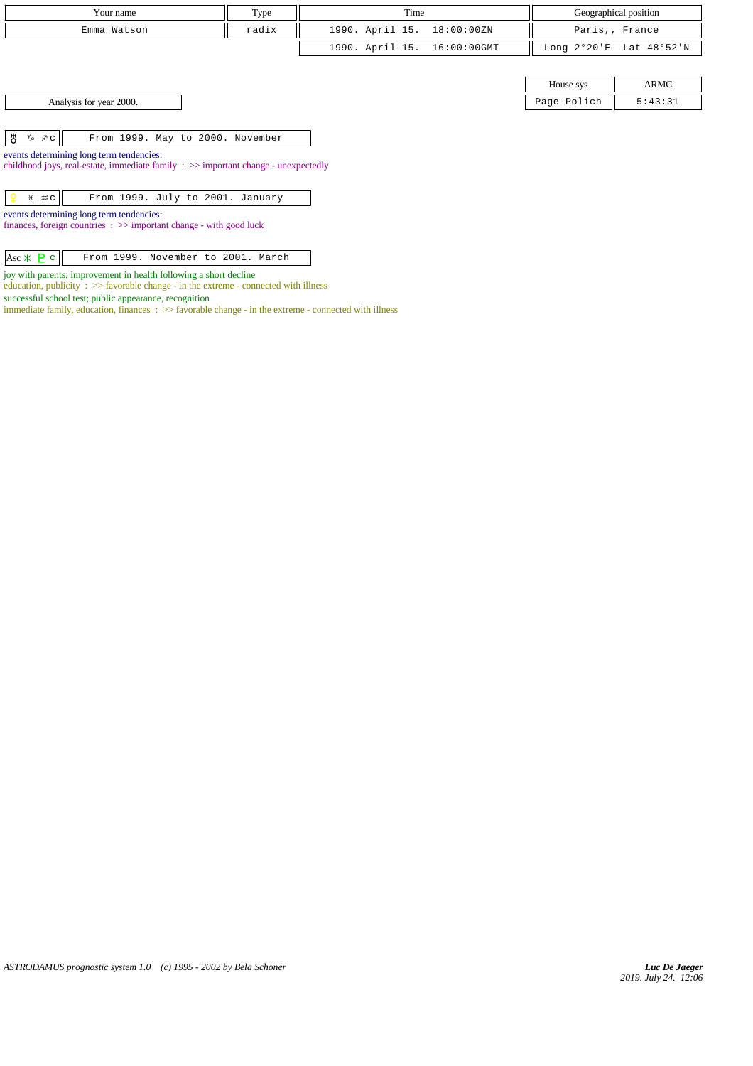| Your name   | Type  | Time                        | Geographical position                     |
|-------------|-------|-----------------------------|-------------------------------------------|
| Emma Watson | radix | 1990. April 15. 18:00:00ZN  | Paris,, France                            |
|             |       | 1990. April 15. 16:00:00GMT | Long $2^{\circ}20'E$ Lat $48^{\circ}52'N$ |

House sys ARMC Analysis for year 2000. Page-Polich 5:43:31

 $\begin{array}{|c|c|c|c|c|}\n\hline\n\texttt{B} & \texttt{b} & \texttt{c} & \texttt{From 1999. May to 2000. November}\n\hline\n\end{array}$ 

events determining long term tendencies:

childhood joys, real-estate, immediate family : >> important change - unexpectedly

events determining long term tendencies:

finances, foreign countries : >> important change - with good luck

joy with parents; improvement in health following a short decline

education, publicity  $\cdot$   $\Rightarrow$  favorable change - in the extreme - connected with illness

successful school test; public appearance, recognition

immediate family, education, finances : >> favorable change - in the extreme - connected with illness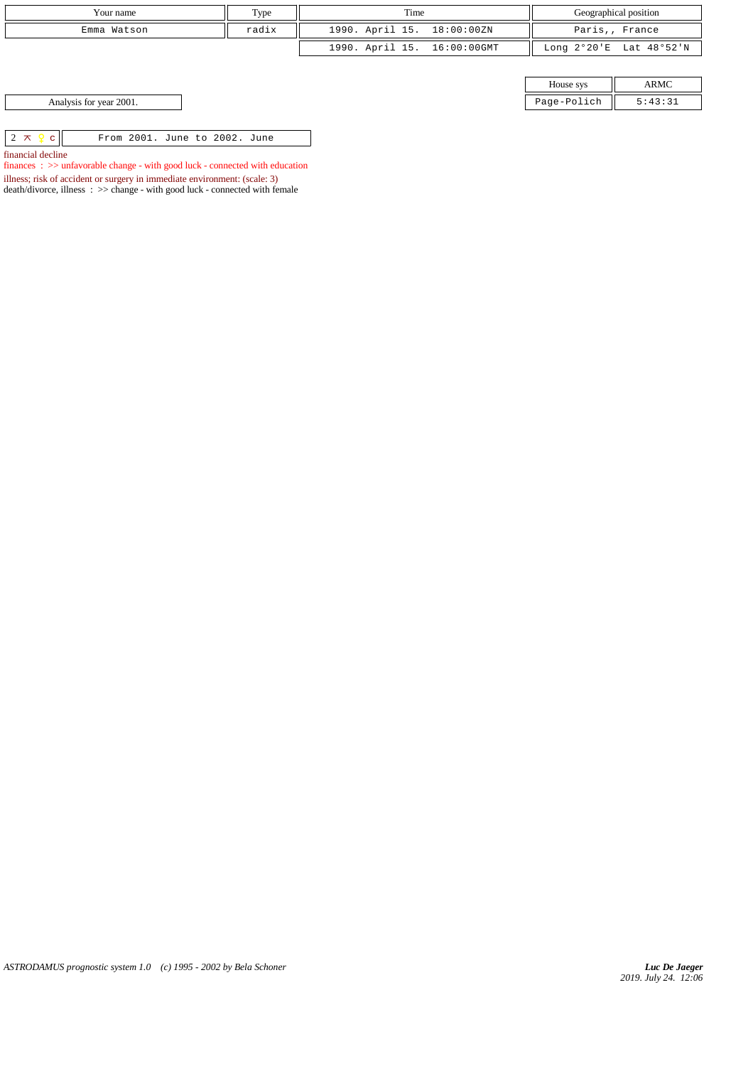| Your name                                                      | Type  | Time                        |             | Geographical position   |
|----------------------------------------------------------------|-------|-----------------------------|-------------|-------------------------|
| Emma Watson                                                    | radix | 1990. April 15. 18:00:00ZN  |             | Paris,, France          |
|                                                                |       | 1990. April 15. 16:00:00GMT |             | Long 2°20'E Lat 48°52'N |
|                                                                |       |                             |             |                         |
|                                                                |       |                             | House sys   | ARMC                    |
| Analysis for year 2001.                                        |       |                             | Page-Polich | 5:43:31                 |
|                                                                |       |                             |             |                         |
| $2 \times 9$<br>From 2001. June to 2002. June<br>$\mathcal{C}$ |       |                             |             |                         |

financial decline

finances :  $>\!\!>$  unfavorable change - with good luck - connected with education

illness; risk of accident or surgery in immediate environment: (scale: 3)

death/divorce, illness : >> change - with good luck - connected with female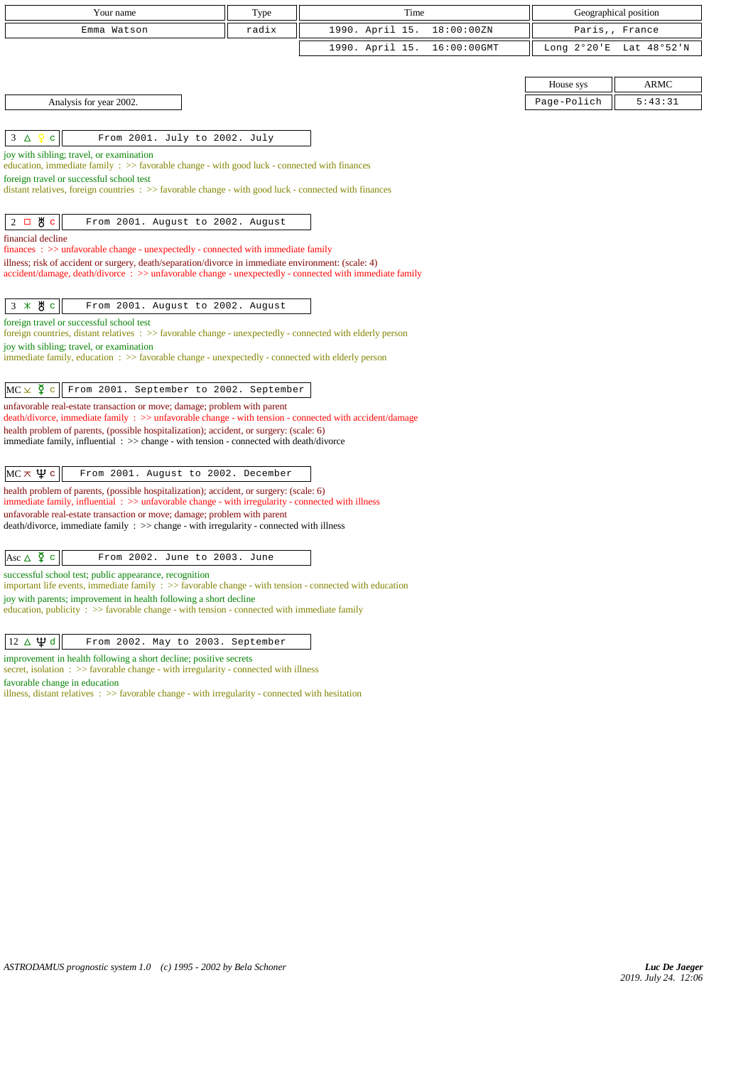| Your name                                                                                                                                                                                                      | Type  | Time            |             |                       | Geographical position |
|----------------------------------------------------------------------------------------------------------------------------------------------------------------------------------------------------------------|-------|-----------------|-------------|-----------------------|-----------------------|
| Emma Watson                                                                                                                                                                                                    | radix | 1990. April 15. | 18:00:00ZN  |                       | Paris,, France        |
|                                                                                                                                                                                                                |       | 1990. April 15. | 16:00:00GMT | Long $2^{\circ}20$ 'E | Lat 48°52'N           |
|                                                                                                                                                                                                                |       |                 |             |                       |                       |
|                                                                                                                                                                                                                |       |                 |             | House sys             | <b>ARMC</b>           |
| Analysis for year 2002.                                                                                                                                                                                        |       |                 |             | Page-Polich           | 5:43:31               |
|                                                                                                                                                                                                                |       |                 |             |                       |                       |
| Ŷ<br>From 2001. July to 2002. July<br>$3\Delta$<br>$\mathbf{C}$                                                                                                                                                |       |                 |             |                       |                       |
| joy with sibling; travel, or examination<br>education, immediate family $\Rightarrow$ Savorable change - with good luck - connected with finances                                                              |       |                 |             |                       |                       |
| foreign travel or successful school test                                                                                                                                                                       |       |                 |             |                       |                       |
| distant relatives, foreign countries $\Rightarrow$ Savorable change - with good luck - connected with finances                                                                                                 |       |                 |             |                       |                       |
| $2$ 口 め c                                                                                                                                                                                                      |       |                 |             |                       |                       |
| From 2001. August to 2002. August<br>financial decline                                                                                                                                                         |       |                 |             |                       |                       |
| finances : >> unfavorable change - unexpectedly - connected with immediate family                                                                                                                              |       |                 |             |                       |                       |
| illness; risk of accident or surgery, death/separation/divorce in immediate environment: (scale: 4)<br>accident/damage, death/divorce : >> unfavorable change - unexpectedly - connected with immediate family |       |                 |             |                       |                       |
|                                                                                                                                                                                                                |       |                 |             |                       |                       |
| $3 * 8c$<br>From 2001. August to 2002. August                                                                                                                                                                  |       |                 |             |                       |                       |
| foreign travel or successful school test                                                                                                                                                                       |       |                 |             |                       |                       |
| foreign countries, distant relatives : >> favorable change - unexpectedly - connected with elderly person<br>joy with sibling; travel, or examination                                                          |       |                 |             |                       |                       |
| immediate family, education : >> favorable change - unexpectedly - connected with elderly person                                                                                                               |       |                 |             |                       |                       |
|                                                                                                                                                                                                                |       |                 |             |                       |                       |
| $MC \times \xi$ c<br>From 2001. September to 2002. September                                                                                                                                                   |       |                 |             |                       |                       |
| unfavorable real-estate transaction or move; damage; problem with parent<br>death/divorce, immediate family : >> unfavorable change - with tension - connected with accident/damage                            |       |                 |             |                       |                       |
| health problem of parents, (possible hospitalization); accident, or surgery: (scale: 6)                                                                                                                        |       |                 |             |                       |                       |
| immediate family, influential : >> change - with tension - connected with death/divorce                                                                                                                        |       |                 |             |                       |                       |
| MC $\pi$ $\psi$ с<br>From 2001. August to 2002. December                                                                                                                                                       |       |                 |             |                       |                       |
| health problem of parents, (possible hospitalization); accident, or surgery: (scale: 6)                                                                                                                        |       |                 |             |                       |                       |
| immediate family, influential $\Rightarrow$ >> unfavorable change - with irregularity - connected with illness                                                                                                 |       |                 |             |                       |                       |
| unfavorable real-estate transaction or move; damage; problem with parent<br>$death/divorce, immediate family : >> change - with irregularity - connected with illness$                                         |       |                 |             |                       |                       |
|                                                                                                                                                                                                                |       |                 |             |                       |                       |
| Asc $\triangle$ $\frac{8}{9}$ c<br>From 2002. June to 2003. June                                                                                                                                               |       |                 |             |                       |                       |
| successful school test; public appearance, recognition<br>important life events, immediate family $\Rightarrow$ favorable change - with tension - connected with education                                     |       |                 |             |                       |                       |
| joy with parents; improvement in health following a short decline                                                                                                                                              |       |                 |             |                       |                       |
| education, publicity $\Rightarrow$ Savorable change - with tension - connected with immediate family                                                                                                           |       |                 |             |                       |                       |
|                                                                                                                                                                                                                |       |                 |             |                       |                       |
| $12 \Delta \Psi d$<br>From 2002. May to 2003. September<br>improvement in health following a short decline; positive secrets                                                                                   |       |                 |             |                       |                       |

secret, isolation : >> favorable change - with irregularity - connected with illness

favorable change in education

illness, distant relatives  $\therefore$  >> favorable change - with irregularity - connected with hesitation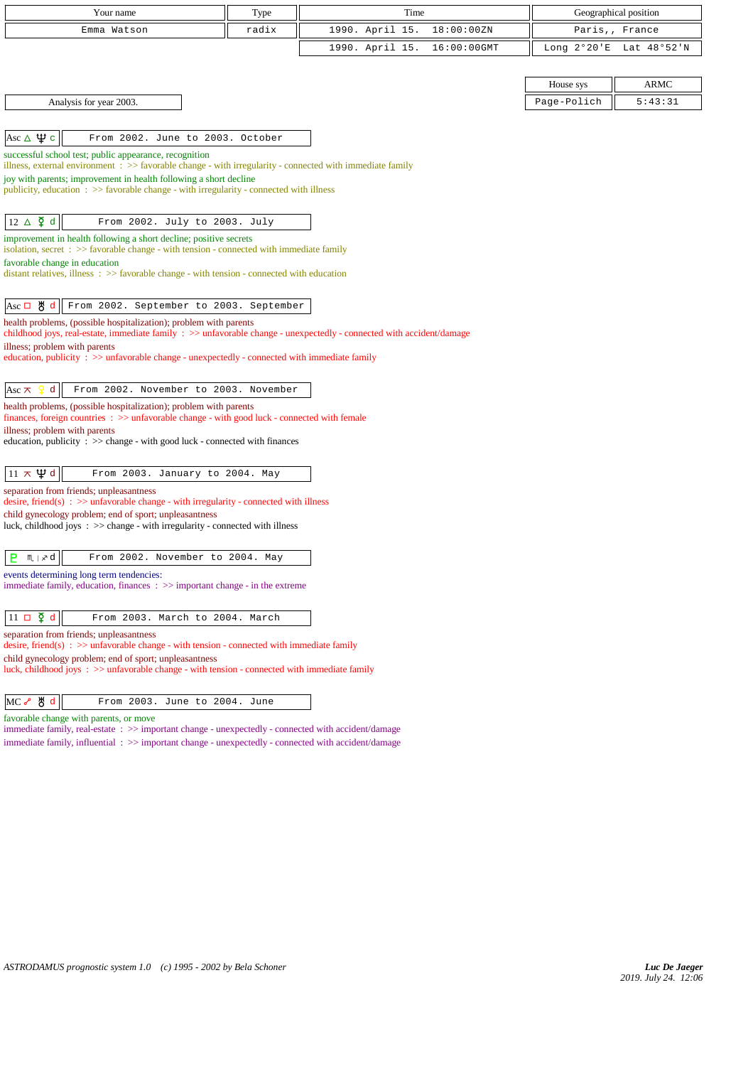| Your name                                                                                                                                                                      | Type  | Time                           |                       | Geographical position |
|--------------------------------------------------------------------------------------------------------------------------------------------------------------------------------|-------|--------------------------------|-----------------------|-----------------------|
| Emma Watson                                                                                                                                                                    | radix | 1990. April 15.<br>18:00:00ZN  |                       | Paris,, France        |
|                                                                                                                                                                                |       | 1990. April 15.<br>16:00:00GMT | Long $2^{\circ}20$ 'E | Lat 48°52'N           |
|                                                                                                                                                                                |       |                                |                       |                       |
|                                                                                                                                                                                |       |                                | House sys             | ARMC                  |
| Analysis for year 2003.                                                                                                                                                        |       |                                | Page-Polich           | 5:43:31               |
|                                                                                                                                                                                |       |                                |                       |                       |
| Asc $\Delta \Psi c$<br>From 2002. June to 2003. October                                                                                                                        |       |                                |                       |                       |
| successful school test; public appearance, recognition<br>illness, external environment $\Rightarrow$ > favorable change - with irregularity - connected with immediate family |       |                                |                       |                       |
| joy with parents; improvement in health following a short decline                                                                                                              |       |                                |                       |                       |
| $\mu$ publicity, education : $\gg$ favorable change - with irregularity - connected with illness                                                                               |       |                                |                       |                       |
|                                                                                                                                                                                |       |                                |                       |                       |
| $12 \Delta \n\mathfrak{P} d$<br>From 2002. July to 2003. July                                                                                                                  |       |                                |                       |                       |
| improvement in health following a short decline; positive secrets<br>isolation, secret $\Rightarrow$ Savorable change - with tension - connected with immediate family         |       |                                |                       |                       |
| favorable change in education                                                                                                                                                  |       |                                |                       |                       |
| distant relatives, illness $\Rightarrow$ > favorable change - with tension - connected with education                                                                          |       |                                |                       |                       |
| $\text{Asc} \Box \text{ } \overset{\text{M}}{\mathbf{0}}$ d<br>From 2002. September to 2003. September                                                                         |       |                                |                       |                       |
| health problems, (possible hospitalization); problem with parents                                                                                                              |       |                                |                       |                       |
| childhood joys, real-estate, immediate family : >> unfavorable change - unexpectedly - connected with accident/damage                                                          |       |                                |                       |                       |
| illness; problem with parents<br>education, publicity $\Rightarrow$ unfavorable change - unexpectedly - connected with immediate family                                        |       |                                |                       |                       |
|                                                                                                                                                                                |       |                                |                       |                       |
| From 2002. November to 2003. November<br>d<br>Asc $\pi$                                                                                                                        |       |                                |                       |                       |
| health problems, (possible hospitalization); problem with parents<br>finances, foreign countries $\Rightarrow$ > unfavorable change - with good luck - connected with female   |       |                                |                       |                       |
| illness; problem with parents                                                                                                                                                  |       |                                |                       |                       |
| education, publicity $\Rightarrow$ $\Rightarrow$ change - with good luck - connected with finances                                                                             |       |                                |                       |                       |
| $11 \times \Psi d$<br>From 2003. January to 2004. May                                                                                                                          |       |                                |                       |                       |
| separation from friends; unpleasantness                                                                                                                                        |       |                                |                       |                       |
| desire, friend(s) : $\gg$ unfavorable change - with irregularity - connected with illness                                                                                      |       |                                |                       |                       |
| child gynecology problem; end of sport; unpleasantness<br>luck, childhood joys $\Rightarrow$ > $\Rightarrow$ change - with irregularity - connected with illness               |       |                                |                       |                       |
|                                                                                                                                                                                |       |                                |                       |                       |
| $m \mid x d$<br>P<br>From 2002. November to 2004. May                                                                                                                          |       |                                |                       |                       |
| events determining long term tendencies:                                                                                                                                       |       |                                |                       |                       |
| immediate family, education, finances $\Rightarrow$ > important change - in the extreme                                                                                        |       |                                |                       |                       |
| $11 \Box \Phi d$                                                                                                                                                               |       |                                |                       |                       |
| From 2003. March to 2004. March<br>separation from friends; unpleasantness                                                                                                     |       |                                |                       |                       |
| desire, friend(s) : $\gg$ unfavorable change - with tension - connected with immediate family                                                                                  |       |                                |                       |                       |
| child gynecology problem; end of sport; unpleasantness<br>luck, childhood joys: $\gg$ unfavorable change - with tension - connected with immediate family                      |       |                                |                       |                       |
|                                                                                                                                                                                |       |                                |                       |                       |
| MC& <sup>y</sup> gd<br>From 2003. June to 2004. June                                                                                                                           |       |                                |                       |                       |
| favorable change with parents, or move                                                                                                                                         |       |                                |                       |                       |

immediate family, real-estate :  $>>$  important change - unexpectedly - connected with accident/damage immediate family, influential : >> important change - unexpectedly - connected with accident/damage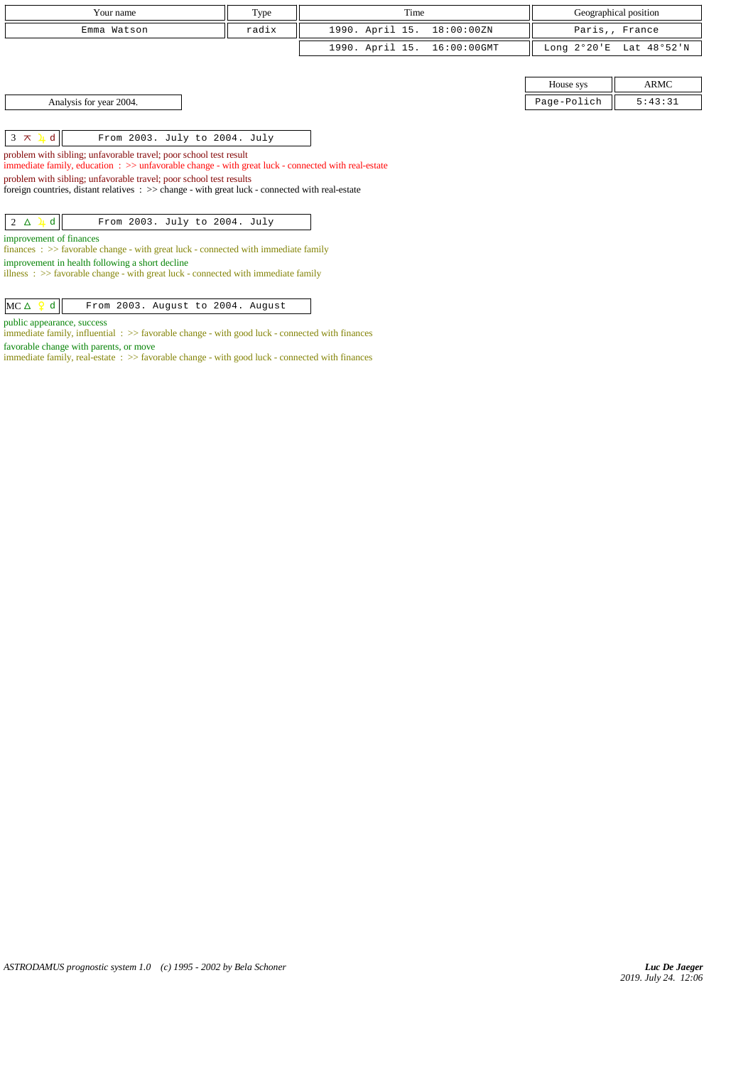| Your name   | Type  | Time                        | Geographical position   |
|-------------|-------|-----------------------------|-------------------------|
| Emma Watson | radix | 1990. April 15. 18:00:00ZN  | Paris,, France          |
|             |       | 1990. April 15. 16:00:00GMT | Long 2°20'E Lat 48°52'N |

Analysis for year 2004. Page-Polich 5:43:31

 $3 \times 1$  d From 2003. July to 2004. July

problem with sibling; unfavorable travel; poor school test result

immediate family, education : >> unfavorable change - with great luck - connected with real-estate

problem with sibling; unfavorable travel; poor school test results

foreign countries, distant relatives : >> change - with great luck - connected with real-estate

| $2 \Delta \downarrow d$ | From 2003. July to 2004. July |  |  |  |
|-------------------------|-------------------------------|--|--|--|
|-------------------------|-------------------------------|--|--|--|

improvement of finances

finances : >> favorable change - with great luck - connected with immediate family improvement in health following a short decline

illness :  $\gg$  favorable change - with great luck - connected with immediate family

 $MC \triangle$   $Q$  d From 2003. August to 2004. August

public appearance, success

immediate family, influential :  $\gg$  favorable change - with good luck - connected with finances favorable change with parents, or move

immediate family, real-estate : >> favorable change - with good luck - connected with finances

House sys **ARMC**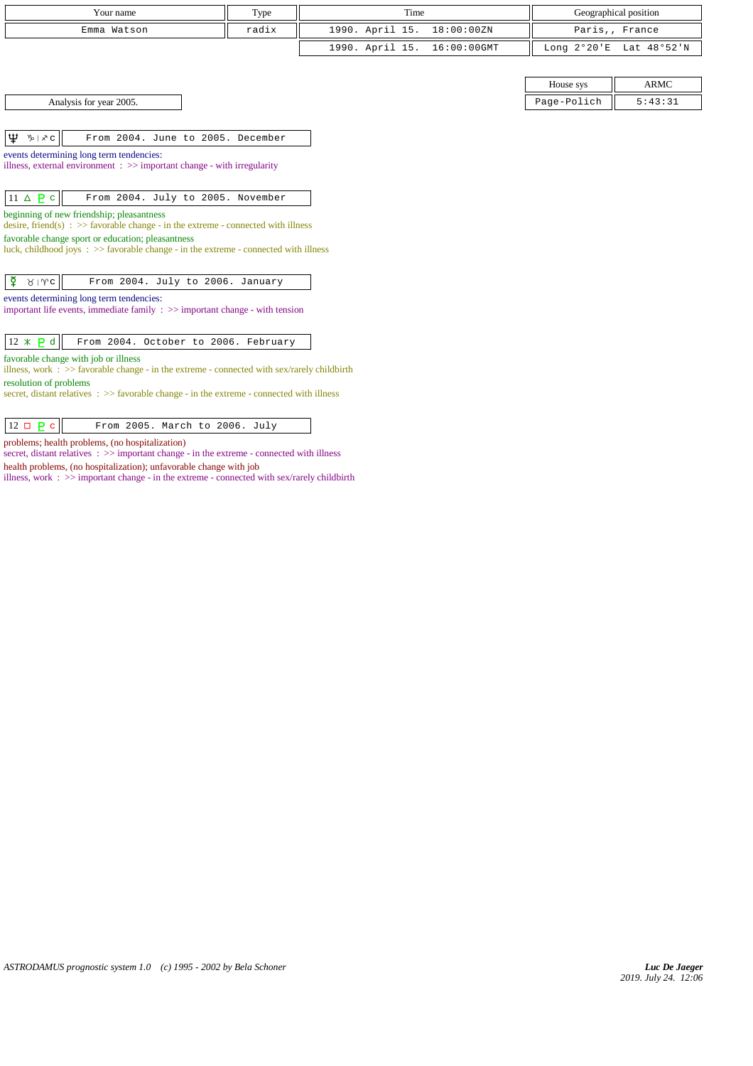| r our name  | Type  | Time                        | Geographical position   |
|-------------|-------|-----------------------------|-------------------------|
| Emma Watson | radix | 1990. April 15. 18:00:00ZN  | Paris,, France          |
|             |       | 1990. April 15. 16:00:00GMT | Long 2°20'E Lat 48°52'N |

| Analysis for year 2005. |
|-------------------------|
|-------------------------|

 $|\mathbf{\Psi} \, \mathbf{\Psi} | \mathbf{\times} \, \mathbf{c}|$  From 2004. June to 2005. December

events determining long term tendencies:

illness, external environment : >> important change - with irregularity

| $11 \triangle P c$<br>From 2004. July to 2005. November |
|---------------------------------------------------------|
|---------------------------------------------------------|

beginning of new friendship; pleasantness

desire, friend(s)  $\Rightarrow$  5 >> favorable change - in the extreme - connected with illness

favorable change sport or education; pleasantness luck, childhood joys :  $\gg$  favorable change - in the extreme - connected with illness

events determining long term tendencies:

important life events, immediate family  $\, : \, >>$  important change - with tension

|--|--|--|--|--|

favorable change with job or illness

illness, work : >> favorable change - in the extreme - connected with sex/rarely childbirth resolution of problems

secret, distant relatives : >> favorable change - in the extreme - connected with illness

| $12 \square \square$<br>From 2005. March to 2006. July |
|--------------------------------------------------------|
|--------------------------------------------------------|

problems; health problems, (no hospitalization)

secret, distant relatives : >> important change - in the extreme - connected with illness health problems, (no hospitalization); unfavorable change with job

illness, work : >> important change - in the extreme - connected with sex/rarely childbirth

House sys  $\parallel$  ARMC Page-Polich  $\parallel$  5:43:31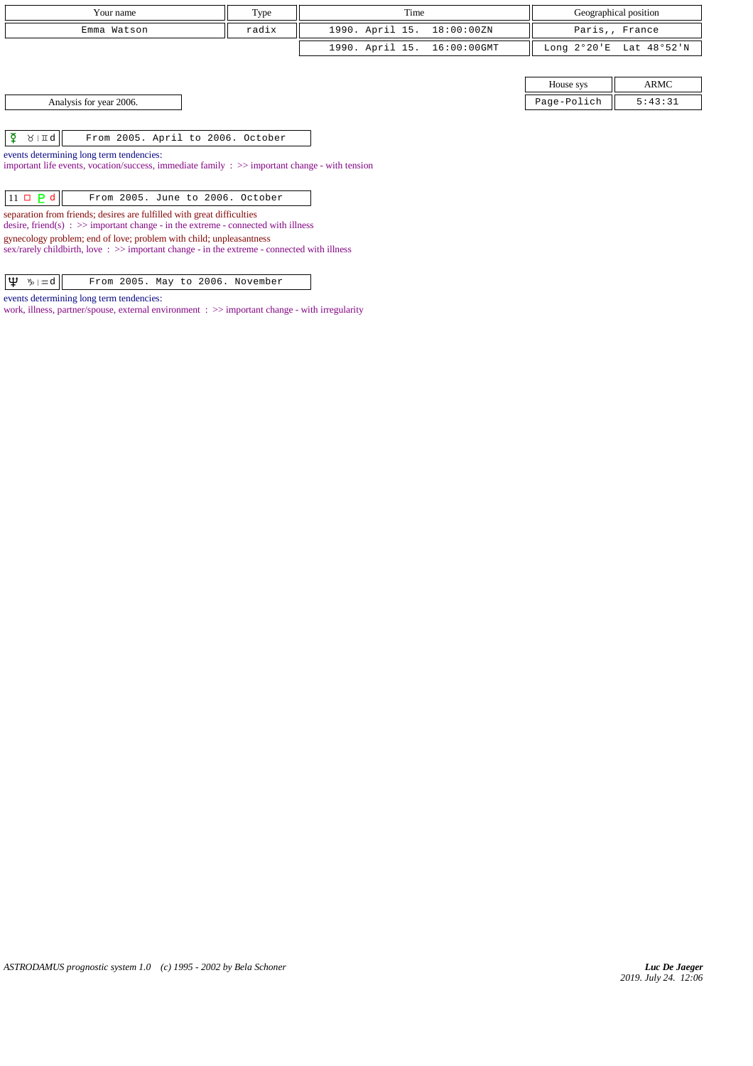| Your name                                                                                                                                                                                                                                                                                                                              | Type | Time                           |                       | Geographical position |  |  |  |  |  |
|----------------------------------------------------------------------------------------------------------------------------------------------------------------------------------------------------------------------------------------------------------------------------------------------------------------------------------------|------|--------------------------------|-----------------------|-----------------------|--|--|--|--|--|
| Emma Watson                                                                                                                                                                                                                                                                                                                            |      | Paris,, France                 |                       |                       |  |  |  |  |  |
|                                                                                                                                                                                                                                                                                                                                        |      | 1990. April 15.<br>16:00:00GMT | Long $2^{\circ}20$ 'E | Lat 48°52'N           |  |  |  |  |  |
|                                                                                                                                                                                                                                                                                                                                        |      |                                |                       |                       |  |  |  |  |  |
| <b>ARMC</b><br>House sys                                                                                                                                                                                                                                                                                                               |      |                                |                       |                       |  |  |  |  |  |
| Page-Polich<br>5:43:31<br>Analysis for year 2006.                                                                                                                                                                                                                                                                                      |      |                                |                       |                       |  |  |  |  |  |
|                                                                                                                                                                                                                                                                                                                                        |      |                                |                       |                       |  |  |  |  |  |
| ₹<br>$\lambda$   $\pi q$   <br>From 2005. April to 2006. October                                                                                                                                                                                                                                                                       |      |                                |                       |                       |  |  |  |  |  |
| events determining long term tendencies:<br>important life events, vocation/success, immediate family $\Rightarrow$ $\Rightarrow$ important change - with tension                                                                                                                                                                      |      |                                |                       |                       |  |  |  |  |  |
| $11 \square$ P d<br>From 2005. June to 2006. October                                                                                                                                                                                                                                                                                   |      |                                |                       |                       |  |  |  |  |  |
| separation from friends; desires are fulfilled with great difficulties<br>desire, friend(s) : $\gg$ important change - in the extreme - connected with illness<br>gynecology problem; end of love; problem with child; unpleasantness<br>sex/rarely childbirth, love: $\gg$ important change - in the extreme - connected with illness |      |                                |                       |                       |  |  |  |  |  |

| $\boxed{\psi \gg \mod}$ |  |  |  |                                  |
|-------------------------|--|--|--|----------------------------------|
|                         |  |  |  | From 2005. May to 2006. November |

events determining long term tendencies:

work, illness, partner/spouse, external environment : >> important change - with irregularity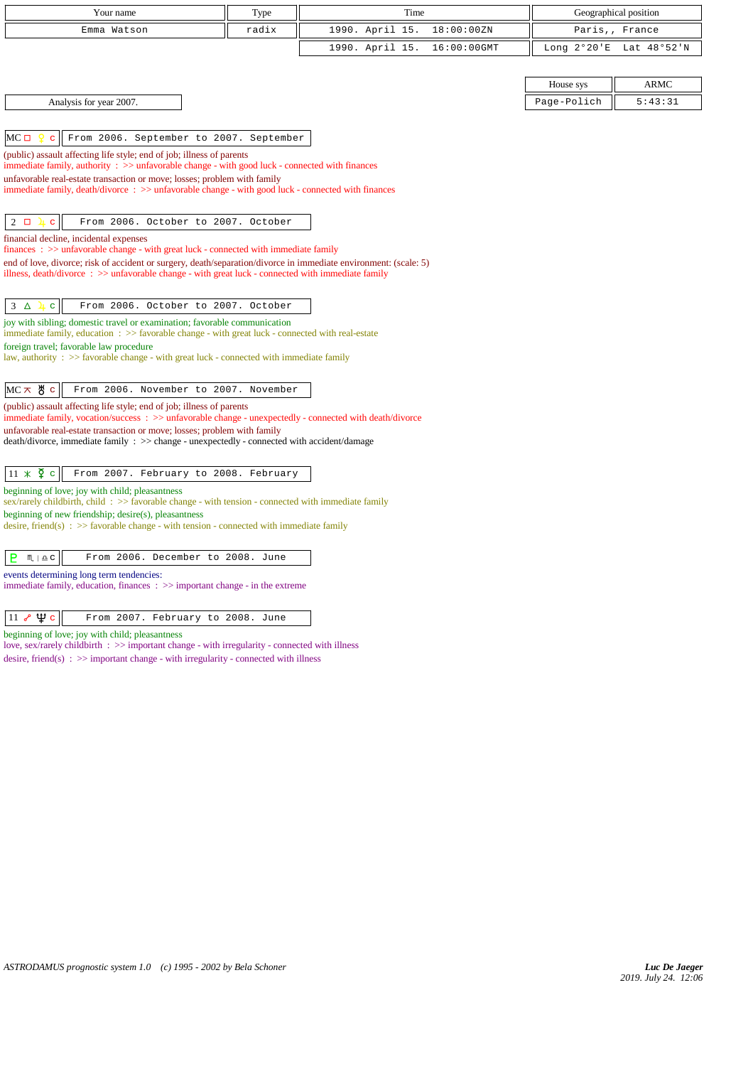| Your name                                                                                                                                                                                                 | Type  | Time            |             |             | Geographical position   |
|-----------------------------------------------------------------------------------------------------------------------------------------------------------------------------------------------------------|-------|-----------------|-------------|-------------|-------------------------|
| Emma Watson                                                                                                                                                                                               | radix | 1990. April 15. | 18:00:00ZN  |             | Paris,, France          |
|                                                                                                                                                                                                           |       | 1990. April 15. | 16:00:00GMT |             | Long 2°20'E Lat 48°52'N |
|                                                                                                                                                                                                           |       |                 |             |             |                         |
|                                                                                                                                                                                                           |       |                 |             | House sys   | <b>ARMC</b>             |
| Analysis for year 2007.                                                                                                                                                                                   |       |                 |             | Page-Polich | 5:43:31                 |
|                                                                                                                                                                                                           |       |                 |             |             |                         |
| $MC \Box$<br>From 2006. September to 2007. September                                                                                                                                                      |       |                 |             |             |                         |
| (public) assault affecting life style; end of job; illness of parents                                                                                                                                     |       |                 |             |             |                         |
| immediate family, authority $\therefore$ $\Rightarrow$ unfavorable change - with good luck - connected with finances<br>unfavorable real-estate transaction or move; losses; problem with family          |       |                 |             |             |                         |
| immediate family, death/divorce: >> unfavorable change - with good luck - connected with finances                                                                                                         |       |                 |             |             |                         |
|                                                                                                                                                                                                           |       |                 |             |             |                         |
| $2\Box$<br>From 2006. October to 2007. October<br><u>և</u><br>$\mathbf{C}$                                                                                                                                |       |                 |             |             |                         |
| financial decline, incidental expenses                                                                                                                                                                    |       |                 |             |             |                         |
| $finances: >> unfavorable change - with great luck - connected with immediate family$<br>end of love, divorce; risk of accident or surgery, death/separation/divorce in immediate environment: (scale: 5) |       |                 |             |             |                         |
| illness, death/divorce $\Rightarrow$ > unfavorable change - with great luck - connected with immediate family                                                                                             |       |                 |             |             |                         |
|                                                                                                                                                                                                           |       |                 |             |             |                         |
| 3<br>From 2006. October to 2007. October<br>$\Delta$<br>$\mathbf{C}$<br>工                                                                                                                                 |       |                 |             |             |                         |
| joy with sibling; domestic travel or examination; favorable communication<br>immediate family, education $\Rightarrow$ > favorable change - with great luck - connected with real-estate                  |       |                 |             |             |                         |
| foreign travel; favorable law procedure<br>law, authority : $\gg$ favorable change - with great luck - connected with immediate family                                                                    |       |                 |             |             |                         |
|                                                                                                                                                                                                           |       |                 |             |             |                         |
| $MC \times$ 5 $c$<br>From 2006. November to 2007. November                                                                                                                                                |       |                 |             |             |                         |
| (public) assault affecting life style; end of job; illness of parents                                                                                                                                     |       |                 |             |             |                         |
| immediate family, vocation/success $\Rightarrow$ unfavorable change - unexpectedly - connected with death/divorce                                                                                         |       |                 |             |             |                         |
| unfavorable real-estate transaction or move; losses; problem with family<br>death/divorce, immediate family : >> change - unexpectedly - connected with accident/damage                                   |       |                 |             |             |                         |
|                                                                                                                                                                                                           |       |                 |             |             |                         |
| $11 \times \overline{2}$ c<br>From 2007. February to 2008. February                                                                                                                                       |       |                 |             |             |                         |
| beginning of love; joy with child; pleasantness<br>$sex/rarely childbirth$ , child : $>>$ favorable change - with tension - connected with immediate family                                               |       |                 |             |             |                         |
| beginning of new friendship; desire(s), pleasantness                                                                                                                                                      |       |                 |             |             |                         |
| desire, friend(s) : $\gg$ favorable change - with tension - connected with immediate family                                                                                                               |       |                 |             |             |                         |
| From 2006. December to 2008. June                                                                                                                                                                         |       |                 |             |             |                         |
| в<br>$M \rvert \triangleq C$                                                                                                                                                                              |       |                 |             |             |                         |
| events determining long term tendencies:                                                                                                                                                                  |       |                 |             |             |                         |

immediate family, education, finances : >> important change - in the extreme

 $\boxed{11 \; \sqrt{\mathbf{u}} \; \mathbf{c}}$  From 2007. February to 2008. June

beginning of love; joy with child; pleasantness

love, sex/rarely childbirth : >> important change - with irregularity - connected with illness desire, friend(s)  $\therefore$  >> important change - with irregularity - connected with illness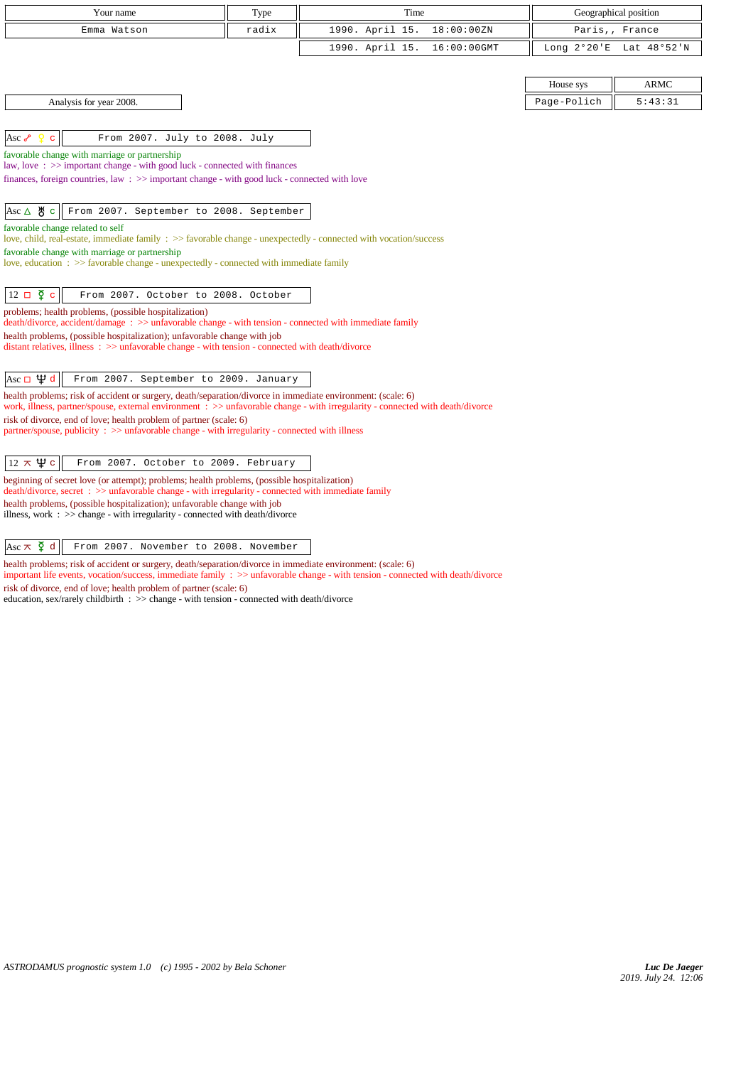| Your name                                                                                                                                                                       | Type  | Time                           |               | Geographical position |
|---------------------------------------------------------------------------------------------------------------------------------------------------------------------------------|-------|--------------------------------|---------------|-----------------------|
| Emma Watson                                                                                                                                                                     | radix | 1990. April 15.<br>18:00:00ZN  |               | Paris,, France        |
|                                                                                                                                                                                 |       | 1990. April 15.<br>16:00:00GMT | Long $2°20'E$ | Lat 48°52'N           |
|                                                                                                                                                                                 |       |                                |               |                       |
|                                                                                                                                                                                 |       |                                | House sys     | <b>ARMC</b>           |
| Analysis for year 2008.                                                                                                                                                         |       |                                | Page-Polich   | 5:43:31               |
|                                                                                                                                                                                 |       |                                |               |                       |
| From 2007. July to 2008. July<br>$\operatorname{Asc}$ م<br>c.                                                                                                                   |       |                                |               |                       |
| favorable change with marriage or partnership<br>law, love: >> important change - with good luck - connected with finances                                                      |       |                                |               |                       |
| finances, foreign countries, law $\Rightarrow$ > important change - with good luck - connected with love                                                                        |       |                                |               |                       |
|                                                                                                                                                                                 |       |                                |               |                       |
| Asc ∆ ੴ<br>From 2007. September to 2008. September<br>$\mathbf{C}$                                                                                                              |       |                                |               |                       |
| favorable change related to self<br>love, child, real-estate, immediate family : >> favorable change - unexpectedly - connected with vocation/success                           |       |                                |               |                       |
| favorable change with marriage or partnership                                                                                                                                   |       |                                |               |                       |
| love, education : >> favorable change - unexpectedly - connected with immediate family                                                                                          |       |                                |               |                       |
|                                                                                                                                                                                 |       |                                |               |                       |
| $12 \Box \Phi$<br>$\mathbf{c}$<br>From 2007. October to 2008. October                                                                                                           |       |                                |               |                       |
| problems; health problems, (possible hospitalization)<br>death/divorce, accident/damage: >> unfavorable change - with tension - connected with immediate family                 |       |                                |               |                       |
| health problems, (possible hospitalization); unfavorable change with job                                                                                                        |       |                                |               |                       |
| distant relatives, illness : >> unfavorable change - with tension - connected with death/divorce                                                                                |       |                                |               |                       |
| Asc $\Box \Psi d$<br>From 2007. September to 2009. January                                                                                                                      |       |                                |               |                       |
| health problems; risk of accident or surgery, death/separation/divorce in immediate environment: (scale: 6)                                                                     |       |                                |               |                       |
| work, illness, partner/spouse, external environment : >> unfavorable change - with irregularity - connected with death/divorce                                                  |       |                                |               |                       |
| risk of divorce, end of love; health problem of partner (scale: 6)<br>partner/spouse, publicity $\Rightarrow$ unfavorable change - with irregularity - connected with illness   |       |                                |               |                       |
|                                                                                                                                                                                 |       |                                |               |                       |
| $12 \times \Psi$ c<br>From 2007. October to 2009. February                                                                                                                      |       |                                |               |                       |
| beginning of secret love (or attempt); problems; health problems, (possible hospitalization)                                                                                    |       |                                |               |                       |
| death/divorce, secret : >> unfavorable change - with irregularity - connected with immediate family<br>health problems, (possible hospitalization); unfavorable change with job |       |                                |               |                       |
| illness, work : $\gg$ change - with irregularity - connected with death/divorce                                                                                                 |       |                                |               |                       |

Asc  $\overline{\times}$   $\overline{\phantom{a}}$  a From 2007. November to 2008. November

health problems; risk of accident or surgery, death/separation/divorce in immediate environment: (scale: 6) important life events, vocation/success, immediate family : >> unfavorable change - with tension - connected with death/divorce

risk of divorce, end of love; health problem of partner (scale: 6)

education, sex/rarely childbirth : >> change - with tension - connected with death/divorce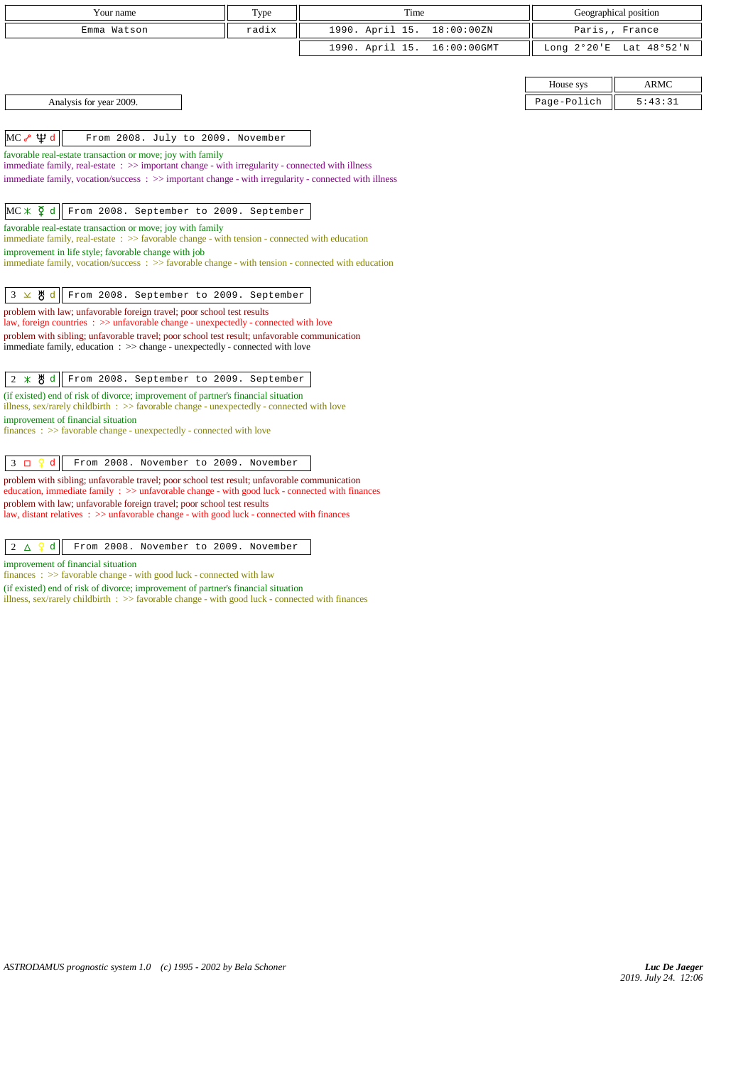| Your name   | Type  | Time                        | Geographical position   |
|-------------|-------|-----------------------------|-------------------------|
| Emma Watson | radix | 1990. April 15. 18:00:00ZN  | Paris,, France          |
|             |       | 1990. April 15. 16:00:00GMT | Long 2°20'E Lat 48°52'N |

 $MC \sim \Psi d$  From 2008. July to 2009. November

favorable real-estate transaction or move; joy with family

immediate family, real-estate : >> important change - with irregularity - connected with illness

immediate family, vocation/success : >> important change - with irregularity - connected with illness

# MC \*  $\overline{Q}$  d From 2008. September to 2009. September

favorable real-estate transaction or move; joy with family

immediate family, real-estate  $\therefore$   $\gg$  favorable change - with tension - connected with education

improvement in life style; favorable change with job

immediate family, vocation/success :  $\gg$  favorable change - with tension - connected with education

#### $3 \times 8 d$  From 2008. September to 2009. September

problem with law; unfavorable foreign travel; poor school test results

law, foreign countries : >> unfavorable change - unexpectedly - connected with love

problem with sibling; unfavorable travel; poor school test result; unfavorable communication immediate family, education : >> change - unexpectedly - connected with love

### 2 d From 2008. September to 2009. September

(if existed) end of risk of divorce; improvement of partner's financial situation illness, sex/rarely childbirth : >> favorable change - unexpectedly - connected with love improvement of financial situation

finances :  $\gg$  favorable change - unexpectedly - connected with love

### 3 d From 2008. November to 2009. November

problem with sibling; unfavorable travel; poor school test result; unfavorable communication education, immediate family : >> unfavorable change - with good luck - connected with finances problem with law; unfavorable foreign travel; poor school test results law, distant relatives :  $\gg$  unfavorable change - with good luck - connected with finances

#### $2 \Delta$   $9d$  From 2008. November to 2009. November

improvement of financial situation

finances : >> favorable change - with good luck - connected with law

(if existed) end of risk of divorce; improvement of partner's financial situation

illness, sex/rarely childbirth : >> favorable change - with good luck - connected with finances

House sys  $\parallel$  ARMC Analysis for year 2009. Page-Polich 5:43:31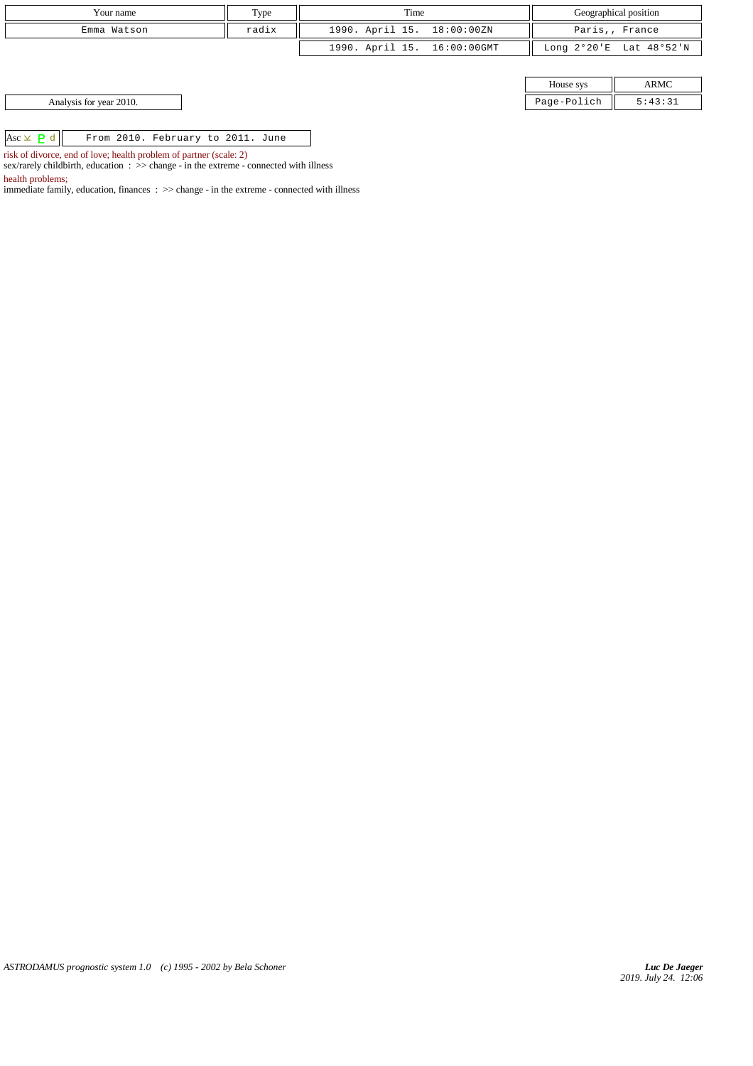| Your name                                             | Type  | Time                        |             | Geographical position   |
|-------------------------------------------------------|-------|-----------------------------|-------------|-------------------------|
| Emma Watson                                           | radix | 1990. April 15. 18:00:00ZN  |             | Paris,, France          |
|                                                       |       | 1990. April 15. 16:00:00GMT |             | Long 2°20'E Lat 48°52'N |
|                                                       |       |                             |             |                         |
|                                                       |       |                             | House sys   | ARMC                    |
| Analysis for year 2010.                               |       |                             | Page-Polich | 5:43:31                 |
|                                                       |       |                             |             |                         |
| $Asc \times P d$<br>From 2010. February to 2011. June |       |                             |             |                         |

risk of divorce, end of love; health problem of partner (scale: 2)

sex/rarely childbirth, education :  $\gg$  change - in the extreme - connected with illness

health problems;

immediate family, education, finances : >> change - in the extreme - connected with illness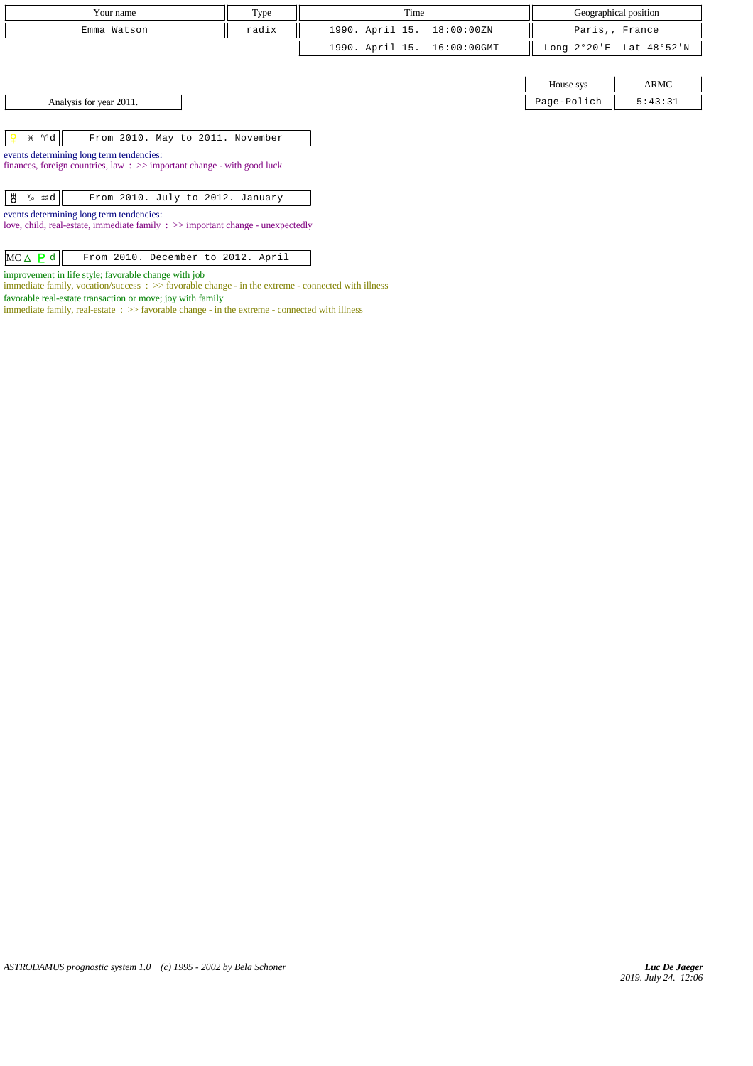| Your name   | Type  | Time                        | Geographical position   |
|-------------|-------|-----------------------------|-------------------------|
| Emma Watson | radix | 1990. April 15. 18:00:00ZN  | Paris,, France          |
|             |       | 1990. April 15. 16:00:00GMT | Long 2°20'E Lat 48°52'N |

House sys ARMC Page-Polich  $\parallel$  5:43:31

|  | $H \upharpoonright \mathcal{M}$ |  |  |  |  |  | From 2010. May to 2011. November |  |
|--|---------------------------------|--|--|--|--|--|----------------------------------|--|
|--|---------------------------------|--|--|--|--|--|----------------------------------|--|

events determining long term tendencies: finances, foreign countries, law : >> important change - with good luck

events determining long term tendencies:

love, child, real-estate, immediate family : >> important change - unexpectedly

 $MC \triangle P d$  From 2010. December to 2012. April

improvement in life style; favorable change with job

 $\emph{immediate family},$  vocation/success  $\emph{ : } >> \emph{favorable change - in the extreme - connected with illness}$ 

favorable real-estate transaction or move; joy with family

immediate family, real-estate  $\;\; >>$  favorable change - in the extreme - connected with illness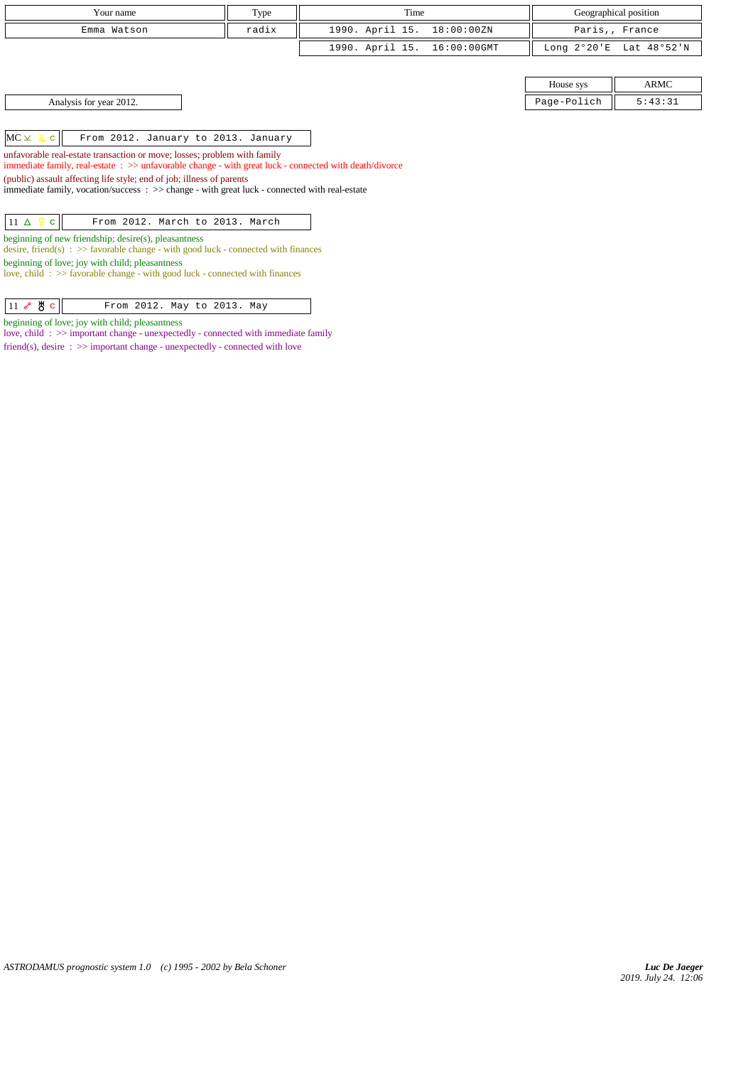| Your name                                                                                                                                                                                                                                                                                                                                                                                                            | Type  | Time                           |  |                       | Geographical position |  |  |
|----------------------------------------------------------------------------------------------------------------------------------------------------------------------------------------------------------------------------------------------------------------------------------------------------------------------------------------------------------------------------------------------------------------------|-------|--------------------------------|--|-----------------------|-----------------------|--|--|
| Emma Watson                                                                                                                                                                                                                                                                                                                                                                                                          | radix | 1990. April 15.<br>18:00:00ZN  |  |                       | Paris,, France        |  |  |
|                                                                                                                                                                                                                                                                                                                                                                                                                      |       | 1990. April 15.<br>16:00:00GMT |  | Long $2^{\circ}20$ 'E | Lat 48°52'N           |  |  |
|                                                                                                                                                                                                                                                                                                                                                                                                                      |       |                                |  |                       |                       |  |  |
|                                                                                                                                                                                                                                                                                                                                                                                                                      |       |                                |  | House sys             | ARMC                  |  |  |
| Analysis for year 2012.                                                                                                                                                                                                                                                                                                                                                                                              |       |                                |  | Page-Polich           | 5:43:31               |  |  |
| $MC \times 4c$<br>From 2012. January to 2013. January<br>unfavorable real-estate transaction or move; losses; problem with family<br>immediate family, real-estate : >> unfavorable change - with great luck - connected with death/divorce<br>(public) assault affecting life style; end of job; illness of parents<br>immediate family, vocation/success: >> change - with great luck - connected with real-estate |       |                                |  |                       |                       |  |  |
| $11 \triangle 9$ c<br>From 2012. March to 2013. March                                                                                                                                                                                                                                                                                                                                                                |       |                                |  |                       |                       |  |  |
| beginning of new friendship; desire(s), pleasantness<br>desire, friend(s) : $\gg$ favorable change - with good luck - connected with finances                                                                                                                                                                                                                                                                        |       |                                |  |                       |                       |  |  |
| beginning of love; joy with child; pleasantness                                                                                                                                                                                                                                                                                                                                                                      |       |                                |  |                       |                       |  |  |

love, child : >> favorable change - with good luck - connected with finances

11 & 8 c From 2012. May to 2013. May

beginning of love; joy with child; pleasantness

love, child : >> important change - unexpectedly - connected with immediate family friend(s), desire : >> important change - unexpectedly - connected with love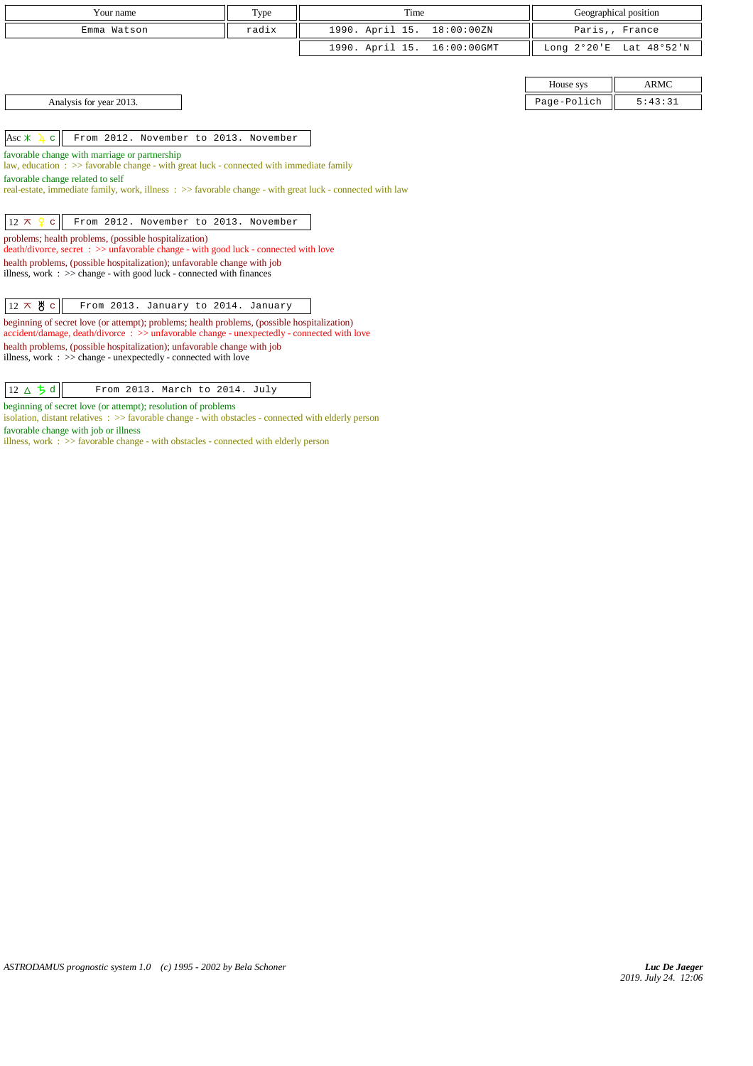| Your name                                                                                                                                                                                  | Type  | Time                           |                       | Geographical position |  |  |
|--------------------------------------------------------------------------------------------------------------------------------------------------------------------------------------------|-------|--------------------------------|-----------------------|-----------------------|--|--|
| Emma Watson                                                                                                                                                                                | radix | 1990. April 15.<br>18:00:00ZN  |                       | Paris,, France        |  |  |
|                                                                                                                                                                                            |       | 1990. April 15.<br>16:00:00GMT | Long $2^{\circ}20$ 'E | Lat 48°52'N           |  |  |
|                                                                                                                                                                                            |       |                                |                       |                       |  |  |
|                                                                                                                                                                                            |       |                                | House sys             | <b>ARMC</b>           |  |  |
| Analysis for year 2013.                                                                                                                                                                    |       |                                | Page-Polich           | 5:43:31               |  |  |
|                                                                                                                                                                                            |       |                                |                       |                       |  |  |
| Asc $*$<br>From 2012. November to 2013. November<br>$\mathbf{C}$                                                                                                                           |       |                                |                       |                       |  |  |
| favorable change with marriage or partnership                                                                                                                                              |       |                                |                       |                       |  |  |
| law, education $\Rightarrow$ > favorable change - with great luck - connected with immediate family                                                                                        |       |                                |                       |                       |  |  |
| favorable change related to self                                                                                                                                                           |       |                                |                       |                       |  |  |
| real-estate, immediate family, work, illness: >> favorable change - with great luck - connected with law                                                                                   |       |                                |                       |                       |  |  |
|                                                                                                                                                                                            |       |                                |                       |                       |  |  |
| From 2012. November to 2013. November<br>$12 \times$<br>$\mathbf{C}$                                                                                                                       |       |                                |                       |                       |  |  |
| problems; health problems, (possible hospitalization)<br>death/divorce, secret: >> unfavorable change - with good luck - connected with love                                               |       |                                |                       |                       |  |  |
| health problems, (possible hospitalization); unfavorable change with job                                                                                                                   |       |                                |                       |                       |  |  |
| illness, work $\Rightarrow$ >> change - with good luck - connected with finances                                                                                                           |       |                                |                       |                       |  |  |
|                                                                                                                                                                                            |       |                                |                       |                       |  |  |
| $12 \times 8$ c<br>From 2013. January to 2014. January                                                                                                                                     |       |                                |                       |                       |  |  |
| beginning of secret love (or attempt); problems; health problems, (possible hospitalization)<br>accident/damage, death/divorce: >> unfavorable change - unexpectedly - connected with love |       |                                |                       |                       |  |  |
| health problems, (possible hospitalization); unfavorable change with job                                                                                                                   |       |                                |                       |                       |  |  |
| illness, work $\Rightarrow$ $\Rightarrow$ change - unexpectedly - connected with love                                                                                                      |       |                                |                       |                       |  |  |
|                                                                                                                                                                                            |       |                                |                       |                       |  |  |

| $ 12 \triangle \overline{5} d $ | From 2013. March to 2014. July |  |  |  |
|---------------------------------|--------------------------------|--|--|--|
|---------------------------------|--------------------------------|--|--|--|

beginning of secret love (or attempt); resolution of problems

isolation, distant relatives :  $\gg$  favorable change - with obstacles - connected with elderly person

favorable change with job or illness

illness, work : >> favorable change - with obstacles - connected with elderly person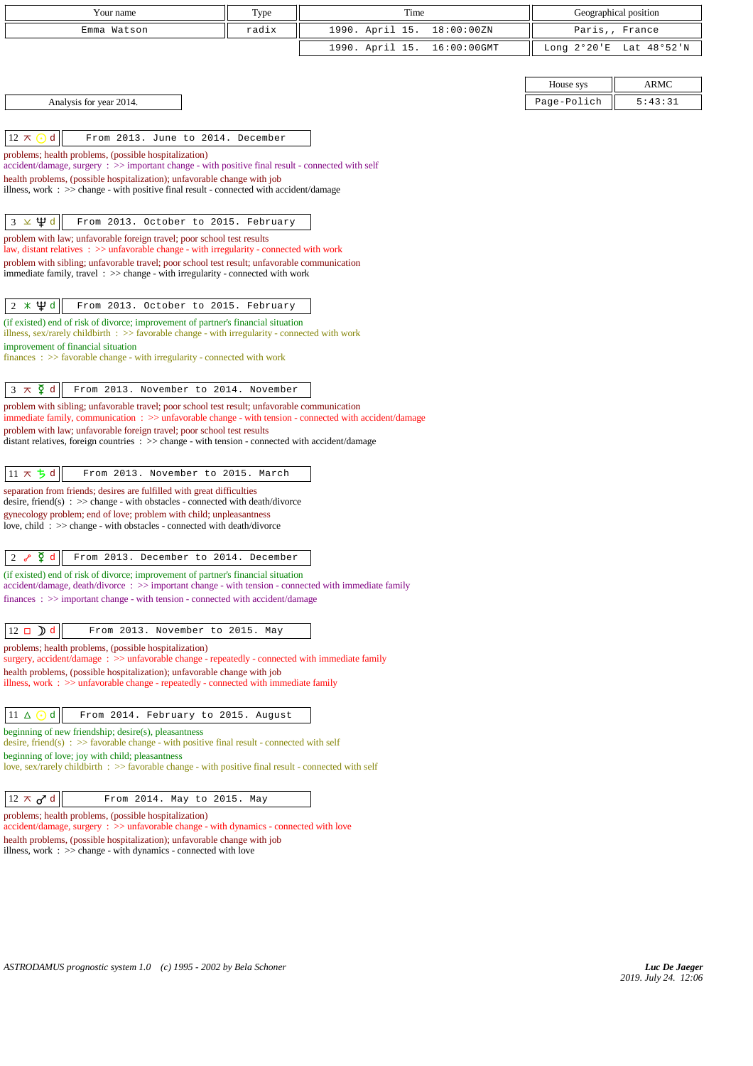| Your name                                                                                                                                                                                              | Type  | Time            |             |                       | Geographical position |
|--------------------------------------------------------------------------------------------------------------------------------------------------------------------------------------------------------|-------|-----------------|-------------|-----------------------|-----------------------|
| Emma Watson                                                                                                                                                                                            | radix | 1990. April 15. | 18:00:00ZN  | Paris,, France        |                       |
|                                                                                                                                                                                                        |       | 1990. April 15. | 16:00:00GMT | Long $2^{\circ}20$ 'E | Lat 48°52'N           |
|                                                                                                                                                                                                        |       |                 |             |                       |                       |
|                                                                                                                                                                                                        |       |                 |             | House sys             | <b>ARMC</b>           |
| Analysis for year 2014.                                                                                                                                                                                |       |                 |             | Page-Polich           | 5:43:31               |
|                                                                                                                                                                                                        |       |                 |             |                       |                       |
| $12 \pi$<br>d<br>From 2013. June to 2014. December                                                                                                                                                     |       |                 |             |                       |                       |
| problems; health problems, (possible hospitalization)                                                                                                                                                  |       |                 |             |                       |                       |
| accident/damage, surgery : >> important change - with positive final result - connected with self                                                                                                      |       |                 |             |                       |                       |
| health problems, (possible hospitalization); unfavorable change with job                                                                                                                               |       |                 |             |                       |                       |
| illness, work : >> change - with positive final result - connected with accident/damage                                                                                                                |       |                 |             |                       |                       |
|                                                                                                                                                                                                        |       |                 |             |                       |                       |
| ⊻ Ѱ ∝<br>From 2013. October to 2015. February<br>3                                                                                                                                                     |       |                 |             |                       |                       |
| problem with law; unfavorable foreign travel; poor school test results<br>law, distant relatives $\therefore$ >> unfavorable change - with irregularity - connected with work                          |       |                 |             |                       |                       |
| problem with sibling; unfavorable travel; poor school test result; unfavorable communication                                                                                                           |       |                 |             |                       |                       |
| immediate family, travel : >> change - with irregularity - connected with work                                                                                                                         |       |                 |             |                       |                       |
|                                                                                                                                                                                                        |       |                 |             |                       |                       |
| $2 \times \Psi d$<br>From 2013. October to 2015. February                                                                                                                                              |       |                 |             |                       |                       |
| (if existed) end of risk of divorce; improvement of partner's financial situation<br>illness, sex/rarely childbirth $\Rightarrow$ favorable change - with irregularity - connected with work           |       |                 |             |                       |                       |
| improvement of financial situation                                                                                                                                                                     |       |                 |             |                       |                       |
| finances : $\gg$ favorable change - with irregularity - connected with work                                                                                                                            |       |                 |             |                       |                       |
|                                                                                                                                                                                                        |       |                 |             |                       |                       |
| $3 \times \xi$ d<br>From 2013. November to 2014. November                                                                                                                                              |       |                 |             |                       |                       |
| problem with sibling; unfavorable travel; poor school test result; unfavorable communication<br>immediate family, communication: >> unfavorable change - with tension - connected with accident/damage |       |                 |             |                       |                       |
| problem with law; unfavorable foreign travel; poor school test results                                                                                                                                 |       |                 |             |                       |                       |
| distant relatives, foreign countries $\Rightarrow$ change - with tension - connected with accident/damage                                                                                              |       |                 |             |                       |                       |
|                                                                                                                                                                                                        |       |                 |             |                       |                       |
| $11 \times 5d$<br>From 2013. November to 2015. March                                                                                                                                                   |       |                 |             |                       |                       |
| separation from friends; desires are fulfilled with great difficulties                                                                                                                                 |       |                 |             |                       |                       |
| desire, friend(s) : $\gg$ change - with obstacles - connected with death/divorce<br>gynecology problem; end of love; problem with child; unpleasantness                                                |       |                 |             |                       |                       |
| love, child: >> change - with obstacles - connected with death/divorce                                                                                                                                 |       |                 |             |                       |                       |
|                                                                                                                                                                                                        |       |                 |             |                       |                       |
| $\sqrt{2}$ d<br>From 2013. December to 2014. December<br>2                                                                                                                                             |       |                 |             |                       |                       |
| (if existed) end of risk of divorce; improvement of partner's financial situation                                                                                                                      |       |                 |             |                       |                       |
| $accident/damage, death/divorce : >> important change - with tension - connected with immediate family$<br>$finances: >> important change - with tension - connected with accident/damage$             |       |                 |             |                       |                       |
|                                                                                                                                                                                                        |       |                 |             |                       |                       |
| $12 \Box$ d<br>From 2013. November to 2015. May                                                                                                                                                        |       |                 |             |                       |                       |
| problems; health problems, (possible hospitalization)                                                                                                                                                  |       |                 |             |                       |                       |
| surgery, accident/damage: >> unfavorable change - repeatedly - connected with immediate family                                                                                                         |       |                 |             |                       |                       |
| health problems, (possible hospitalization); unfavorable change with job                                                                                                                               |       |                 |             |                       |                       |
| illness, work $\Rightarrow$ unfavorable change - repeatedly - connected with immediate family                                                                                                          |       |                 |             |                       |                       |
| 11 $\Delta$<br>d<br>From 2014. February to 2015. August                                                                                                                                                |       |                 |             |                       |                       |
|                                                                                                                                                                                                        |       |                 |             |                       |                       |
| beginning of new friendship; desire(s), pleasantness<br>desire, friend(s) : $\gg$ favorable change - with positive final result - connected with self                                                  |       |                 |             |                       |                       |
| beginning of love; joy with child; pleasantness                                                                                                                                                        |       |                 |             |                       |                       |
| love, sex/rarely childbirth $\Rightarrow$ favorable change - with positive final result - connected with self                                                                                          |       |                 |             |                       |                       |
|                                                                                                                                                                                                        |       |                 |             |                       |                       |
| $12 \times d$ <sup>d</sup><br>From 2014. May to 2015. May                                                                                                                                              |       |                 |             |                       |                       |
| problems; health problems, (possible hospitalization)<br>$accident/damage$ , $surgery : >> unfavorable change - with dynamics - connected with love$                                                   |       |                 |             |                       |                       |
| health problems, (possible hospitalization); unfavorable change with job                                                                                                                               |       |                 |             |                       |                       |

illness, work : >> change - with dynamics - connected with love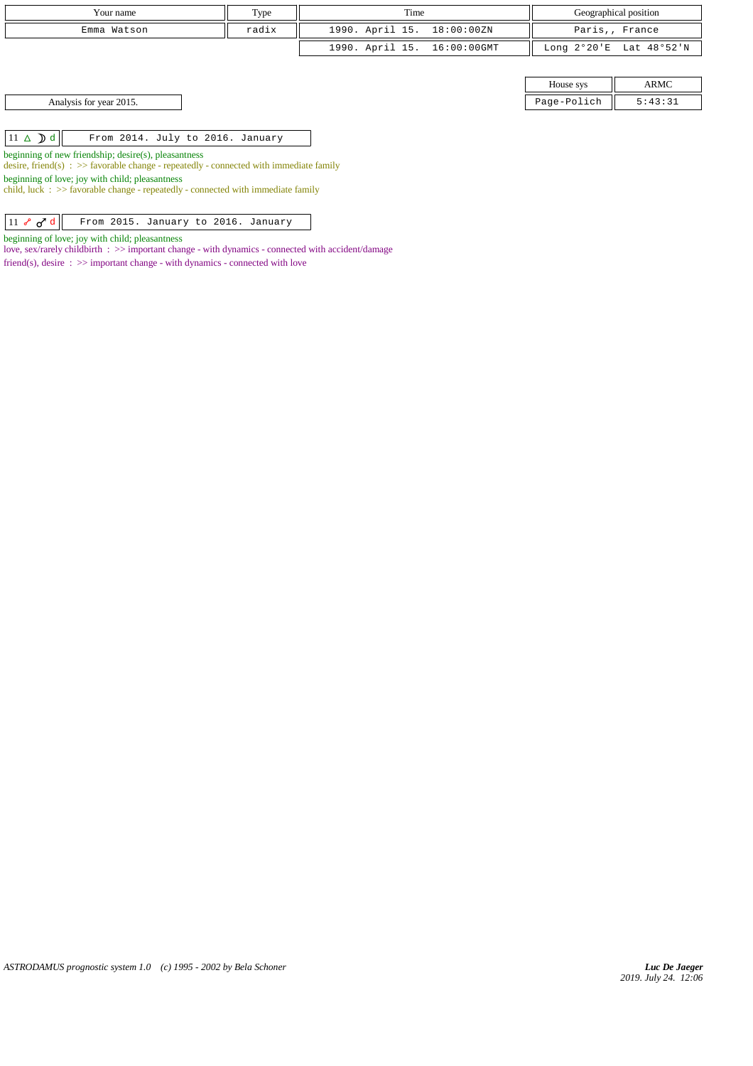| Your name               | Type  | Time                        |             | Geographical position   |
|-------------------------|-------|-----------------------------|-------------|-------------------------|
| Emma Watson             | radix | 1990. April 15. 18:00:00ZN  |             | Paris,, France          |
|                         |       | 1990. April 15. 16:00:00GMT |             | Long 2°20'E Lat 48°52'N |
|                         |       |                             |             |                         |
|                         |       |                             | House sys   | ARMC                    |
| Analysis for year 2015. |       |                             | Page-Polich | 5:43:31                 |

 $\boxed{11 \Delta$   $\boxed{d}$  From 2014. July to 2016. January

beginning of new friendship; desire(s), pleasantness

desire, friend(s) :  $\gg$  favorable change - repeatedly - connected with immediate family

beginning of love; joy with child; pleasantness

child, luck  $\therefore$  >> favorable change - repeatedly - connected with immediate family

 $\boxed{11$   $\sim$   $\sigma$ <sup>d</sup>  $\boxed{$  From 2015. January to 2016. January

beginning of love; joy with child; pleasantness

love, sex/rarely childbirth :  $\gg$  important change - with dynamics - connected with accident/damage

friend(s), desire  $\Rightarrow$  > important change - with dynamics - connected with love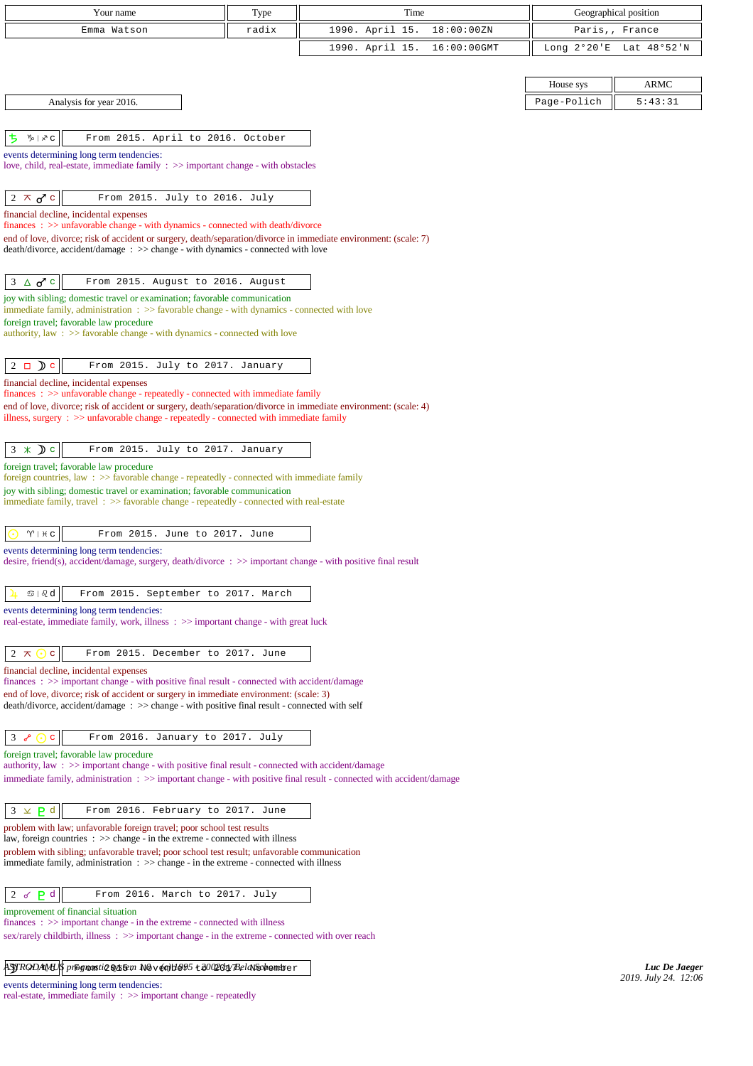| Your name                                                                                                                                                                                            | Type  | Time            |             |                       | Geographical position |
|------------------------------------------------------------------------------------------------------------------------------------------------------------------------------------------------------|-------|-----------------|-------------|-----------------------|-----------------------|
| Emma Watson                                                                                                                                                                                          | radix | 1990. April 15. | 18:00:00ZN  |                       | Paris,, France        |
|                                                                                                                                                                                                      |       | 1990. April 15. | 16:00:00GMT | Long $2^{\circ}20$ 'E | Lat 48°52'N           |
|                                                                                                                                                                                                      |       |                 |             |                       |                       |
|                                                                                                                                                                                                      |       |                 |             | House sys             | <b>ARMC</b>           |
| Analysis for year 2016.                                                                                                                                                                              |       |                 |             | Page-Polich           | 5:43:31               |
|                                                                                                                                                                                                      |       |                 |             |                       |                       |
| ち<br>$\psi \mid x \in$<br>From 2015. April to 2016. October                                                                                                                                          |       |                 |             |                       |                       |
| events determining long term tendencies:                                                                                                                                                             |       |                 |             |                       |                       |
| love, child, real-estate, immediate family $\Rightarrow$ important change - with obstacles                                                                                                           |       |                 |             |                       |                       |
| $2 \times d$ c<br>From 2015. July to 2016. July                                                                                                                                                      |       |                 |             |                       |                       |
| financial decline, incidental expenses                                                                                                                                                               |       |                 |             |                       |                       |
| $finances: >> unfavorable change - with dynamics - connected with death/divorce$                                                                                                                     |       |                 |             |                       |                       |
| end of love, divorce; risk of accident or surgery, death/separation/divorce in immediate environment: (scale: 7)<br>death/divorce, accident/damage : >> change - with dynamics - connected with love |       |                 |             |                       |                       |
|                                                                                                                                                                                                      |       |                 |             |                       |                       |
| $\Delta$ o <sup>7</sup> $c$<br>3<br>From 2015. August to 2016. August                                                                                                                                |       |                 |             |                       |                       |
| joy with sibling; domestic travel or examination; favorable communication                                                                                                                            |       |                 |             |                       |                       |
| immediate family, administration $\Rightarrow$ Savorable change - with dynamics - connected with love<br>foreign travel; favorable law procedure                                                     |       |                 |             |                       |                       |
| authority, law: >> favorable change - with dynamics - connected with love                                                                                                                            |       |                 |             |                       |                       |
|                                                                                                                                                                                                      |       |                 |             |                       |                       |
| $2 \Box$ $\Box$ $\Box$<br>From 2015. July to 2017. January                                                                                                                                           |       |                 |             |                       |                       |
| financial decline, incidental expenses<br>$finances: >> unfavorable change - repeatedly - connected with immediate family$                                                                           |       |                 |             |                       |                       |
| end of love, divorce; risk of accident or surgery, death/separation/divorce in immediate environment: (scale: 4)                                                                                     |       |                 |             |                       |                       |
| illness, surgery $\therefore$ >> unfavorable change - repeatedly - connected with immediate family                                                                                                   |       |                 |             |                       |                       |
|                                                                                                                                                                                                      |       |                 |             |                       |                       |
| $3 \times Dc$<br>From 2015. July to 2017. January                                                                                                                                                    |       |                 |             |                       |                       |
| foreign travel; favorable law procedure<br>foreign countries, law: >> favorable change - repeatedly - connected with immediate family                                                                |       |                 |             |                       |                       |
| joy with sibling; domestic travel or examination; favorable communication                                                                                                                            |       |                 |             |                       |                       |
| immediate family, travel : >> favorable change - repeatedly - connected with real-estate                                                                                                             |       |                 |             |                       |                       |
| $\gamma$   $\#$ c<br>From 2015. June to 2017. June                                                                                                                                                   |       |                 |             |                       |                       |
| events determining long term tendencies:                                                                                                                                                             |       |                 |             |                       |                       |
| desire, friend(s), accident/damage, surgery, death/divorce : $\gg$ important change - with positive final result                                                                                     |       |                 |             |                       |                       |
|                                                                                                                                                                                                      |       |                 |             |                       |                       |
| $\circledcirc$   $\circledcirc$ d<br>From 2015. September to 2017. March                                                                                                                             |       |                 |             |                       |                       |
| events determining long term tendencies:<br>real-estate, immediate family, work, illness: $\gg$ important change - with great luck                                                                   |       |                 |             |                       |                       |
|                                                                                                                                                                                                      |       |                 |             |                       |                       |
| From 2015. December to 2017. June<br>2 $\pi$<br>$\mathbf C$                                                                                                                                          |       |                 |             |                       |                       |
| financial decline, incidental expenses                                                                                                                                                               |       |                 |             |                       |                       |
| finances: >> important change - with positive final result - connected with accident/damage<br>end of love, divorce; risk of accident or surgery in immediate environment: (scale: 3)                |       |                 |             |                       |                       |
| death/divorce, accident/damage: >> change - with positive final result - connected with self                                                                                                         |       |                 |             |                       |                       |
|                                                                                                                                                                                                      |       |                 |             |                       |                       |
| $3 \in \odot$<br>From 2016. January to 2017. July<br>$\mathbf{C}$                                                                                                                                    |       |                 |             |                       |                       |
| foreign travel; favorable law procedure<br>authority, law: >> important change - with positive final result - connected with accident/damage                                                         |       |                 |             |                       |                       |
| immediate family, administration : >> important change - with positive final result - connected with accident/damage                                                                                 |       |                 |             |                       |                       |
|                                                                                                                                                                                                      |       |                 |             |                       |                       |
| $3 \times$<br>P <sub>d</sub><br>From 2016. February to 2017. June                                                                                                                                    |       |                 |             |                       |                       |
| problem with law; unfavorable foreign travel; poor school test results                                                                                                                               |       |                 |             |                       |                       |
| law, foreign countries $\Rightarrow$ $\Rightarrow$ change - in the extreme - connected with illness<br>problem with sibling; unfavorable travel; poor school test result; unfavorable communication  |       |                 |             |                       |                       |
| immediate family, administration $\Rightarrow$ > $\Rightarrow$ change - in the extreme - connected with illness                                                                                      |       |                 |             |                       |                       |
|                                                                                                                                                                                                      |       |                 |             |                       |                       |
| P <sub>d</sub><br>2<br>From 2016. March to 2017. July<br>♂                                                                                                                                           |       |                 |             |                       |                       |
| improvement of financial situation<br>$finances : \gg important change - in the extreme - connected with illness$                                                                                    |       |                 |             |                       |                       |
| sex/rarely childbirth, illness : >> important change - in the extreme - connected with over reach                                                                                                    |       |                 |             |                       |                       |
|                                                                                                                                                                                                      |       |                 |             |                       |                       |
| ASTRODAMUS programti2 System N&v (a)B&95 t 2002 Oby BelaSschendrer                                                                                                                                   |       |                 |             |                       | Luc De Jaeger         |
| events determining long term tendencies:                                                                                                                                                             |       |                 |             |                       | 2019. July 24. 12:06  |
| real-estate, immediate family : >> important change - repeatedly                                                                                                                                     |       |                 |             |                       |                       |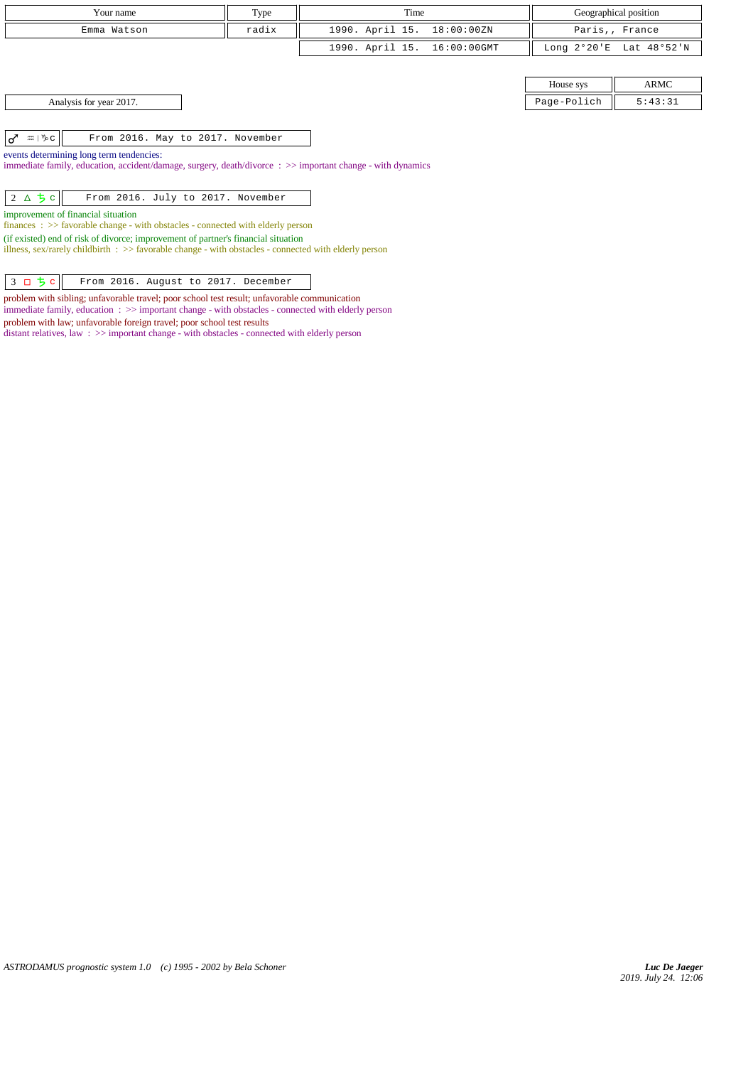| Your name                                                                                                                                                                                           | Type  | Time                           |                       | Geographical position |  |  |
|-----------------------------------------------------------------------------------------------------------------------------------------------------------------------------------------------------|-------|--------------------------------|-----------------------|-----------------------|--|--|
| Emma Watson                                                                                                                                                                                         | radix | 1990. April 15.<br>18:00:00ZN  |                       | Paris,, France        |  |  |
|                                                                                                                                                                                                     |       | 1990. April 15.<br>16:00:00GMT | Long $2^{\circ}20$ 'E | Lat 48°52'N           |  |  |
|                                                                                                                                                                                                     |       |                                |                       |                       |  |  |
|                                                                                                                                                                                                     |       |                                | House sys             | ARMC                  |  |  |
| Analysis for year 2017.                                                                                                                                                                             |       |                                | Page-Polich           | 5:43:31               |  |  |
|                                                                                                                                                                                                     |       |                                |                       |                       |  |  |
| $\sigma$ $\approx$ $\sqrt[n]{c}$<br>From 2016. May to 2017. November                                                                                                                                |       |                                |                       |                       |  |  |
| events determining long term tendencies:                                                                                                                                                            |       |                                |                       |                       |  |  |
| immediate family, education, accident/damage, surgery, death/divorce : >> important change - with dynamics                                                                                          |       |                                |                       |                       |  |  |
| $2\Delta$ 5 c<br>From 2016. July to 2017. November                                                                                                                                                  |       |                                |                       |                       |  |  |
| improvement of financial situation<br>$finances : \gg$ favorable change - with obstacles - connected with elderly person                                                                            |       |                                |                       |                       |  |  |
| (if existed) end of risk of divorce; improvement of partner's financial situation<br>illness, sex/rarely childbirth $\Rightarrow$ favorable change - with obstacles - connected with elderly person |       |                                |                       |                       |  |  |
|                                                                                                                                                                                                     |       |                                |                       |                       |  |  |
| $3 \Box 5 c$<br>From 2016. August to 2017. December                                                                                                                                                 |       |                                |                       |                       |  |  |

problem with sibling; unfavorable travel; poor school test result; unfavorable communication immediate family, education : >> important change - with obstacles - connected with elderly person

distant relatives, law : >> important change - with obstacles - connected with elderly person

problem with law; unfavorable foreign travel; poor school test results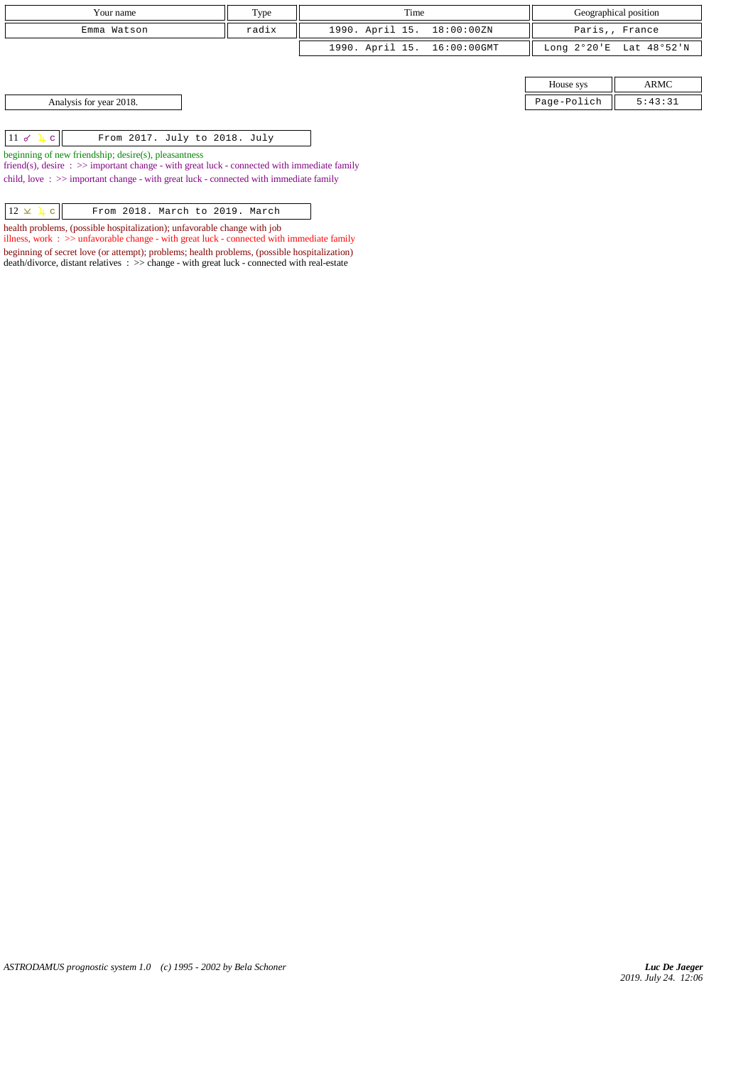| Your name   | Type  | Time                        |           | Geographical position   |
|-------------|-------|-----------------------------|-----------|-------------------------|
| Emma Watson | radix | 1990. April 15. 18:00:00ZN  |           | Paris,, France          |
|             |       | 1990. April 15. 16:00:00GMT |           | Long 2°20'E Lat 48°52'N |
|             |       |                             |           |                         |
|             |       |                             | House sys | ARMC                    |

| House sys |              |  |  |
|-----------|--------------|--|--|
| e-Polich  | 43:31<br>ь : |  |  |

Analysis for year 2018.

 $\boxed{11 \text{ d } \frac{1}{4} \text{ c}}$  From 2017. July to 2018. July

beginning of new friendship; desire(s), pleasantness

friend(s), desire : >> important change - with great luck - connected with immediate family child, love  $\Rightarrow$   $\Rightarrow$  important change - with great luck - connected with immediate family

 $\boxed{12 \times 1 c}$  From 2018. March to 2019. March

health problems, (possible hospitalization); unfavorable change with job

illness, work : >> unfavorable change - with great luck - connected with immediate family beginning of secret love (or attempt); problems; health problems, (possible hospitalization) death/divorce, distant relatives : >> change - with great luck - connected with real-estate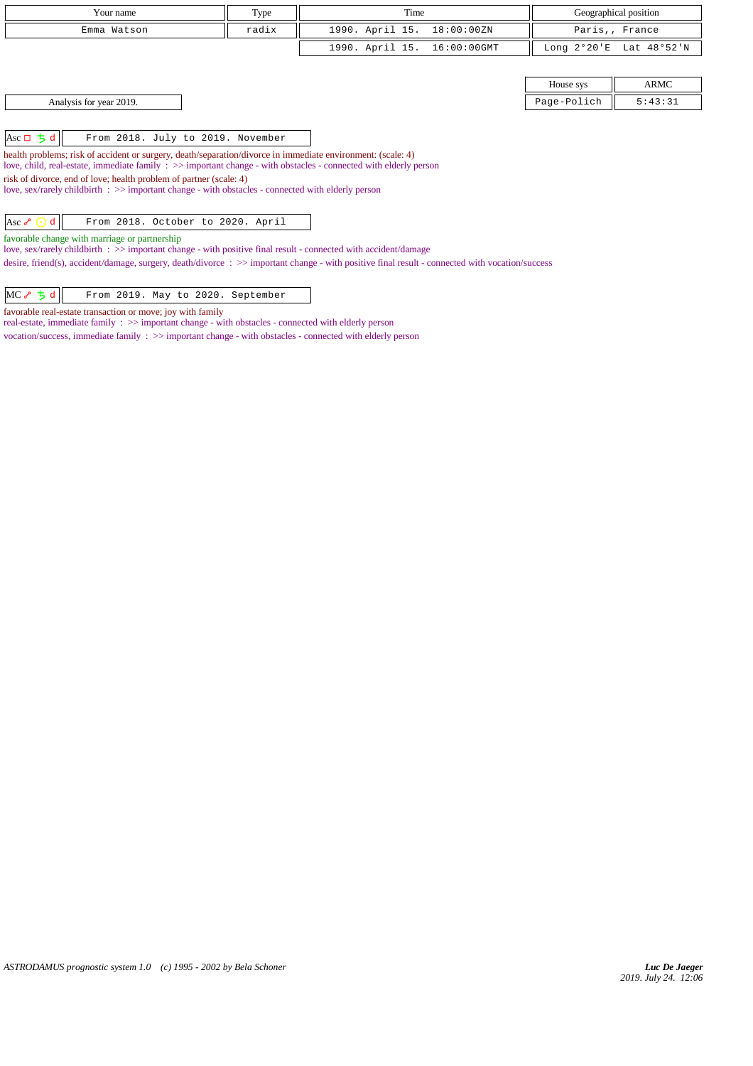| Your name   | Type  | Time                        | Geographical position   |
|-------------|-------|-----------------------------|-------------------------|
| Emma Watson | radix | 1990. April 15. 18:00:00ZN  | Paris,, France          |
|             |       | 1990. April 15. 16:00:00GMT | Long 2°20'E Lat 48°52'N |
|             |       |                             |                         |
|             |       |                             |                         |

House sys  $||$  ARMC Analysis for year 2019. Page-Polich 5:43:31

Asc  $\Box$  **5 d** From 2018. July to 2019. November

health problems; risk of accident or surgery, death/separation/divorce in immediate environment: (scale: 4) love, child, real-estate, immediate family : >> important change - with obstacles - connected with elderly person risk of divorce, end of love; health problem of partner (scale: 4) love, sex/rarely childbirth : >> important change - with obstacles - connected with elderly person

Asc  $\lozenge$   $\odot$  d  $\vert$  From 2018. October to 2020. April

favorable change with marriage or partnership

love, sex/rarely childbirth : >> important change - with positive final result - connected with accident/damage

desire, friend(s), accident/damage, surgery, death/divorce :  $\gg$  important change - with positive final result - connected with vocation/success

| $MC \rightarrow 5 d$ |  |  |  |  |  | From 2019. May to 2020. September |  |
|----------------------|--|--|--|--|--|-----------------------------------|--|
|----------------------|--|--|--|--|--|-----------------------------------|--|

favorable real-estate transaction or move; joy with family

real-estate, immediate family : >> important change - with obstacles - connected with elderly person

vocation/success, immediate family : >> important change - with obstacles - connected with elderly person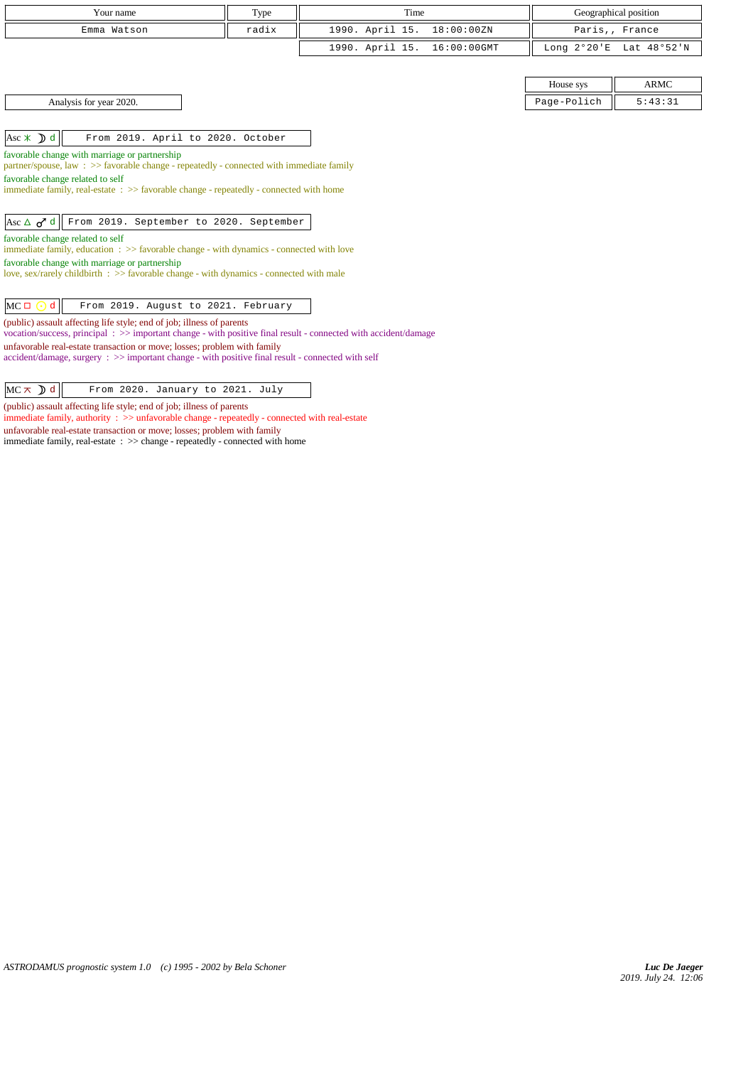| Your name                                                                                                                                                                               | Type  | Time                           | Geographical position    |  |  |  |
|-----------------------------------------------------------------------------------------------------------------------------------------------------------------------------------------|-------|--------------------------------|--------------------------|--|--|--|
| Emma Watson                                                                                                                                                                             | radix | 1990. April 15.<br>18:00:00ZN  | Paris,, France           |  |  |  |
|                                                                                                                                                                                         |       | 1990. April 15.<br>16:00:00GMT | Long 2°20'E Lat 48°52'N  |  |  |  |
|                                                                                                                                                                                         |       |                                |                          |  |  |  |
|                                                                                                                                                                                         |       |                                | <b>ARMC</b><br>House sys |  |  |  |
| Analysis for year 2020.                                                                                                                                                                 |       |                                | Page-Polich<br>5:43:31   |  |  |  |
|                                                                                                                                                                                         |       |                                |                          |  |  |  |
| Asc $\ast$ <b>D</b> d<br>From 2019. April to 2020. October                                                                                                                              |       |                                |                          |  |  |  |
| favorable change with marriage or partnership                                                                                                                                           |       |                                |                          |  |  |  |
| partner/spouse, law : $\gg$ favorable change - repeatedly - connected with immediate family                                                                                             |       |                                |                          |  |  |  |
| favorable change related to self                                                                                                                                                        |       |                                |                          |  |  |  |
| immediate family, real-estate: >> favorable change - repeatedly - connected with home                                                                                                   |       |                                |                          |  |  |  |
|                                                                                                                                                                                         |       |                                |                          |  |  |  |
| Asc $\Delta$ $\sigma$ <sup>7</sup> d<br>From 2019. September to 2020. September                                                                                                         |       |                                |                          |  |  |  |
| favorable change related to self                                                                                                                                                        |       |                                |                          |  |  |  |
| immediate family, education : >> favorable change - with dynamics - connected with love                                                                                                 |       |                                |                          |  |  |  |
| favorable change with marriage or partnership                                                                                                                                           |       |                                |                          |  |  |  |
| love, sex/rarely childbirth $\Rightarrow$ favorable change - with dynamics - connected with male                                                                                        |       |                                |                          |  |  |  |
|                                                                                                                                                                                         |       |                                |                          |  |  |  |
| $MC \Box$<br>d<br>From 2019. August to 2021. February                                                                                                                                   |       |                                |                          |  |  |  |
| (public) assault affecting life style; end of job; illness of parents<br>vocation/success, principal: >> important change - with positive final result - connected with accident/damage |       |                                |                          |  |  |  |
| unfavorable real-estate transaction or move; losses; problem with family                                                                                                                |       |                                |                          |  |  |  |
| $accident/damage$ , surgery : $\gg$ important change - with positive final result - connected with self                                                                                 |       |                                |                          |  |  |  |
|                                                                                                                                                                                         |       |                                |                          |  |  |  |
|                                                                                                                                                                                         |       |                                |                          |  |  |  |

 $MC \times D d$  From 2020. January to 2021. July

(public) assault affecting life style; end of job; illness of parents

immediate family, authority : >> unfavorable change - repeatedly - connected with real-estate unfavorable real-estate transaction or move; losses; problem with family immediate family, real-estate : >> change - repeatedly - connected with home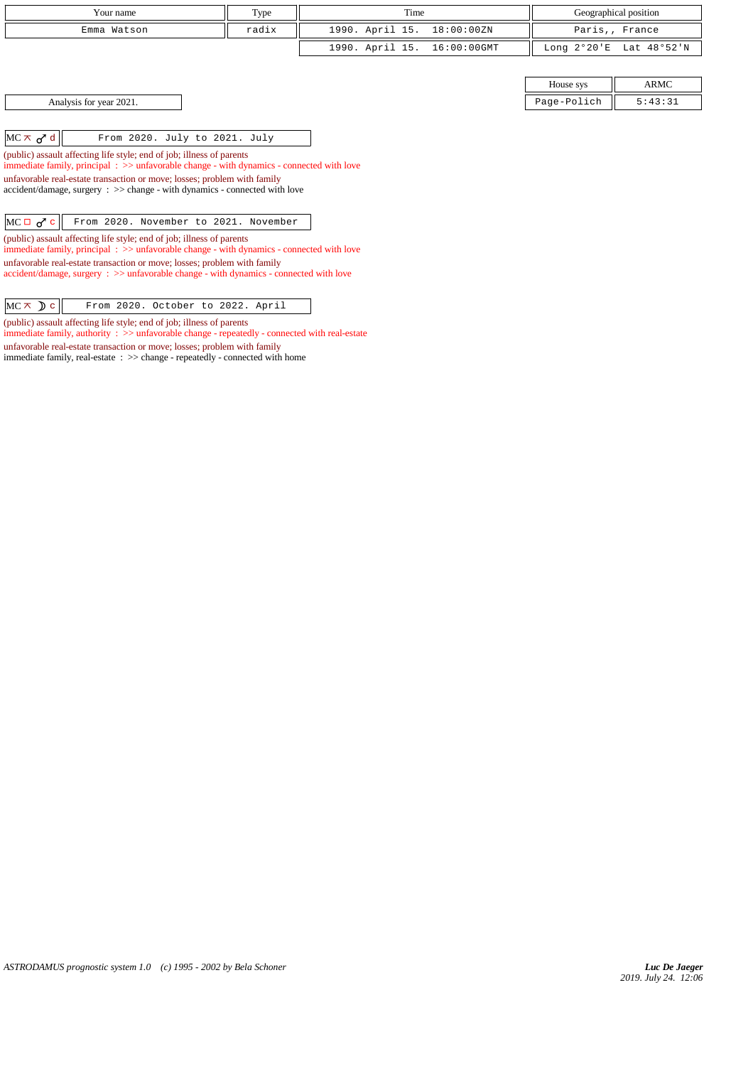| Your name   | Type  | Time                        |           | Geographical position   |
|-------------|-------|-----------------------------|-----------|-------------------------|
| Emma Watson | radix | 1990. April 15. 18:00:00ZN  |           | Paris,, France          |
|             |       | 1990. April 15. 16:00:00GMT |           | Long 2°20'E Lat 48°52'N |
|             |       |                             |           |                         |
|             |       |                             | House sys | ARMC                    |

Analysis for year 2021. 2.43:31

 $\left|\text{MC} \times \sigma^2 d\right|$  From 2020. July to 2021. July

(public) assault affecting life style; end of job; illness of parents immediate family, principal : >> unfavorable change - with dynamics - connected with love unfavorable real-estate transaction or move; losses; problem with family accident/damage, surgery : >> change - with dynamics - connected with love

 $MC \Box \sigma^{\prime} c$  From 2020. November to 2021. November

(public) assault affecting life style; end of job; illness of parents immediate family, principal : >> unfavorable change - with dynamics - connected with love unfavorable real-estate transaction or move; losses; problem with family accident/damage, surgery : >> unfavorable change - with dynamics - connected with love

 $MC \times D c$  From 2020. October to 2022. April

(public) assault affecting life style; end of job; illness of parents

immediate family, authority : >> unfavorable change - repeatedly - connected with real-estate unfavorable real-estate transaction or move; losses; problem with family

immediate family, real-estate : >> change - repeatedly - connected with home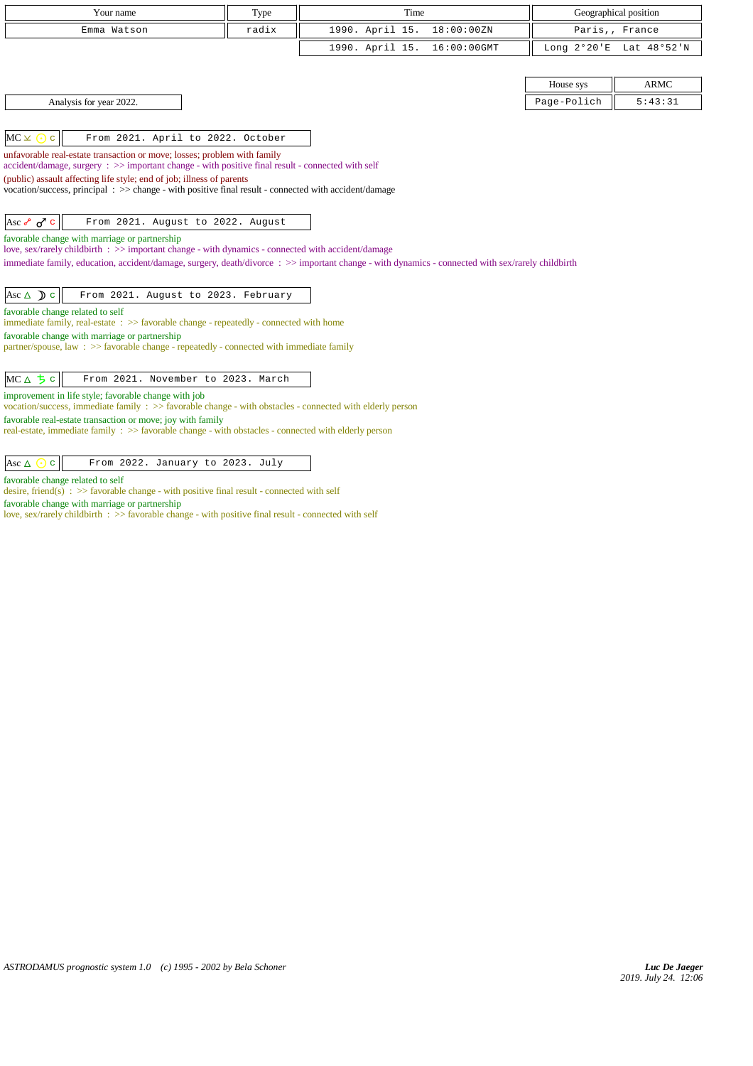| Your name                                                                                                                                                                  | Type  | Time                                                                                                                                             | Geographical position    |
|----------------------------------------------------------------------------------------------------------------------------------------------------------------------------|-------|--------------------------------------------------------------------------------------------------------------------------------------------------|--------------------------|
| Emma Watson                                                                                                                                                                | radix | 1990. April 15.<br>18:00:00ZN                                                                                                                    | Paris,, France           |
|                                                                                                                                                                            |       | 1990. April 15.<br>16:00:00GMT                                                                                                                   | Long 2°20'E Lat 48°52'N  |
|                                                                                                                                                                            |       |                                                                                                                                                  |                          |
|                                                                                                                                                                            |       |                                                                                                                                                  | <b>ARMC</b><br>House sys |
| Analysis for year 2022.                                                                                                                                                    |       |                                                                                                                                                  | 5:43:31<br>Page-Polich   |
|                                                                                                                                                                            |       |                                                                                                                                                  |                          |
| $MC \times \odot$<br>From 2021. April to 2022. October<br>$\mathbf{C}$                                                                                                     |       |                                                                                                                                                  |                          |
| unfavorable real-estate transaction or move; losses; problem with family                                                                                                   |       |                                                                                                                                                  |                          |
| accident/damage, surgery : >> important change - with positive final result - connected with self<br>(public) assault affecting life style; end of job; illness of parents |       |                                                                                                                                                  |                          |
| vocation/success, principal: >> change - with positive final result - connected with accident/damage                                                                       |       |                                                                                                                                                  |                          |
|                                                                                                                                                                            |       |                                                                                                                                                  |                          |
| Asc $\sigma$ $\sigma$ c<br>From 2021. August to 2022. August                                                                                                               |       |                                                                                                                                                  |                          |
| favorable change with marriage or partnership<br>love, sex/rarely childbirth : $\gg$ important change - with dynamics - connected with accident/damage                     |       |                                                                                                                                                  |                          |
|                                                                                                                                                                            |       | immediate family, education, accident/damage, surgery, death/divorce: >> important change - with dynamics - connected with sex/rarely childbirth |                          |
|                                                                                                                                                                            |       |                                                                                                                                                  |                          |
| Asc $\triangle$ $\triangle$ $\triangle$<br>From 2021. August to 2023. February                                                                                             |       |                                                                                                                                                  |                          |
| favorable change related to self                                                                                                                                           |       |                                                                                                                                                  |                          |
| immediate family, real-estate: >> favorable change - repeatedly - connected with home                                                                                      |       |                                                                                                                                                  |                          |
| favorable change with marriage or partnership<br>partner/spouse, law : $\gg$ favorable change - repeatedly - connected with immediate family                               |       |                                                                                                                                                  |                          |
|                                                                                                                                                                            |       |                                                                                                                                                  |                          |
| $MC \triangle 5c$<br>From 2021. November to 2023. March                                                                                                                    |       |                                                                                                                                                  |                          |
| improvement in life style; favorable change with job                                                                                                                       |       |                                                                                                                                                  |                          |
| vocation/success, immediate family : >> favorable change - with obstacles - connected with elderly person                                                                  |       |                                                                                                                                                  |                          |
| favorable real-estate transaction or move; joy with family<br>real-estate, immediate family : >> favorable change - with obstacles - connected with elderly person         |       |                                                                                                                                                  |                          |
|                                                                                                                                                                            |       |                                                                                                                                                  |                          |
| From 2022. January to 2023. July<br>Asc $\Delta$<br>$\mathbf{C}$                                                                                                           |       |                                                                                                                                                  |                          |
| favorable change related to self                                                                                                                                           |       |                                                                                                                                                  |                          |
| desire, friend(s) : $\gg$ favorable change - with positive final result - connected with self                                                                              |       |                                                                                                                                                  |                          |
| favorable change with marriage or partnership                                                                                                                              |       |                                                                                                                                                  |                          |

love, sex/rarely childbirth : >> favorable change - with positive final result - connected with self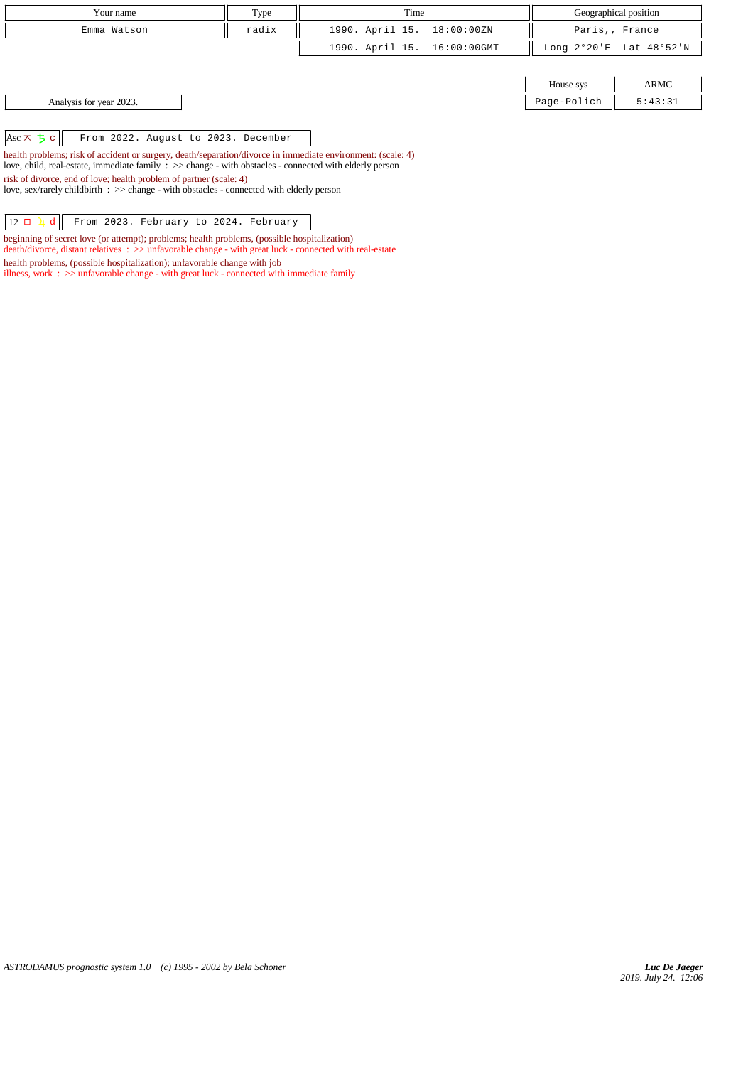| Your name   | Type  | Time                        | Geographical position   |
|-------------|-------|-----------------------------|-------------------------|
| Emma Watson | radix | 1990. April 15. 18:00:00ZN  | Paris,, France          |
|             |       | 1990. April 15. 16:00:00GMT | Long 2°20'E Lat 48°52'N |

| House sys |         |  |
|-----------|---------|--|
| lich      | ว - ว 1 |  |

Analysis for year 2023. Page-Polich 5:43:31

Asc c From 2022. August to 2023. December

health problems; risk of accident or surgery, death/separation/divorce in immediate environment: (scale: 4) love, child, real-estate, immediate family : >> change - with obstacles - connected with elderly person risk of divorce, end of love; health problem of partner (scale: 4) love, sex/rarely childbirth : >> change - with obstacles - connected with elderly person

 $\boxed{12 \Box \Box \Box \Box \Box}$  From 2023. February to 2024. February

beginning of secret love (or attempt); problems; health problems, (possible hospitalization) death/divorce, distant relatives : >> unfavorable change - with great luck - connected with real-estate

health problems, (possible hospitalization); unfavorable change with job

illness, work :  $>$  unfavorable change - with great luck - connected with immediate family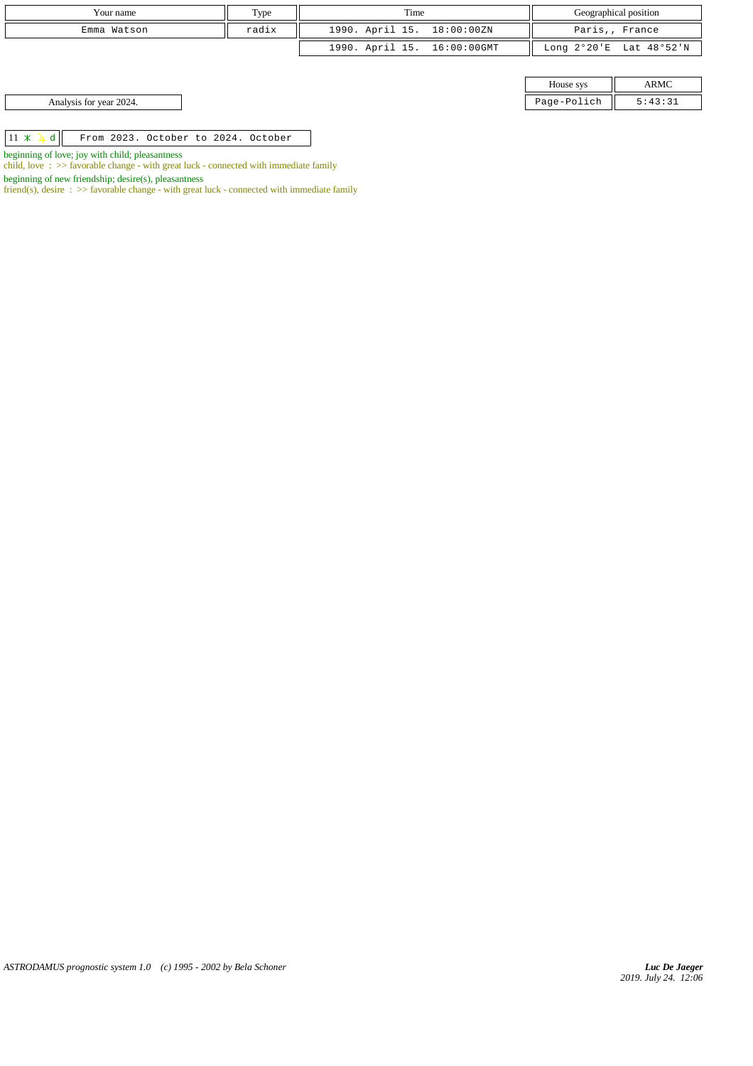| Your name                                              | Type  | Time                        |             | Geographical position   |
|--------------------------------------------------------|-------|-----------------------------|-------------|-------------------------|
| Emma Watson                                            | radix | 1990. April 15. 18:00:00ZN  |             | Paris,, France          |
|                                                        |       | 1990. April 15. 16:00:00GMT |             | Long 2°20'E Lat 48°52'N |
|                                                        |       |                             |             |                         |
|                                                        |       |                             | House sys   | ARMC                    |
| Analysis for year 2024.                                |       |                             | Page-Polich | 5:43:31                 |
|                                                        |       |                             |             |                         |
| $11 \times 1 d$<br>From 2023. October to 2024. October |       |                             |             |                         |

beginning of love; joy with child; pleasantness

child, love : >> favorable change - with great luck - connected with immediate family

beginning of new friendship; desire(s), pleasantness

friend(s), desire :  $\gg$  favorable change - with great luck - connected with immediate family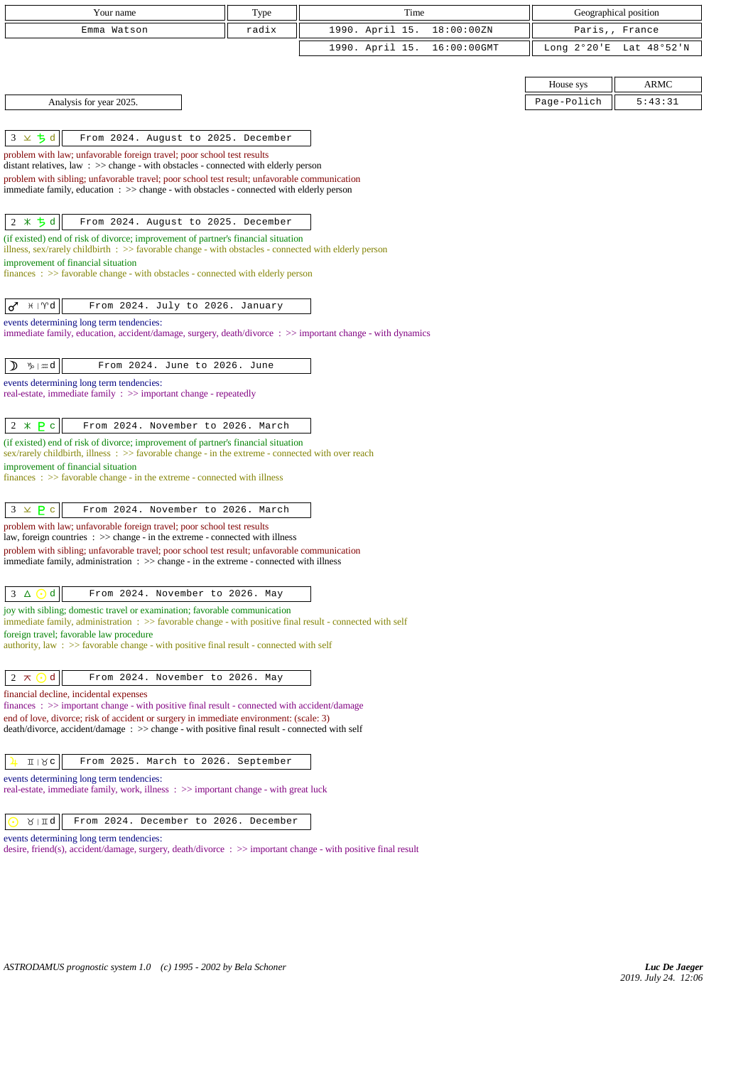| Your name                                                                                                                                                                                | Type  | Time            |             |                       | Geographical position |
|------------------------------------------------------------------------------------------------------------------------------------------------------------------------------------------|-------|-----------------|-------------|-----------------------|-----------------------|
| Emma Watson                                                                                                                                                                              | radix | 1990. April 15. | 18:00:00ZN  |                       | Paris,, France        |
|                                                                                                                                                                                          |       | 1990. April 15. | 16:00:00GMT | Long $2^{\circ}20$ 'E | Lat 48°52'N           |
|                                                                                                                                                                                          |       |                 |             |                       |                       |
|                                                                                                                                                                                          |       |                 |             | House sys             | <b>ARMC</b>           |
| Analysis for year 2025.                                                                                                                                                                  |       |                 |             | Page-Polich           | 5:43:31               |
|                                                                                                                                                                                          |       |                 |             |                       |                       |
| $3 \times 5d$<br>From 2024. August to 2025. December                                                                                                                                     |       |                 |             |                       |                       |
| problem with law; unfavorable foreign travel; poor school test results                                                                                                                   |       |                 |             |                       |                       |
| distant relatives, law: >> change - with obstacles - connected with elderly person                                                                                                       |       |                 |             |                       |                       |
| problem with sibling; unfavorable travel; poor school test result; unfavorable communication<br>immediate family, education : >> change - with obstacles - connected with elderly person |       |                 |             |                       |                       |
|                                                                                                                                                                                          |       |                 |             |                       |                       |
| $2 * 5d$<br>From 2024. August to 2025. December                                                                                                                                          |       |                 |             |                       |                       |
| (if existed) end of risk of divorce; improvement of partner's financial situation                                                                                                        |       |                 |             |                       |                       |
| illness, sex/rarely childbirth $\therefore$ > favorable change - with obstacles - connected with elderly person                                                                          |       |                 |             |                       |                       |
| improvement of financial situation                                                                                                                                                       |       |                 |             |                       |                       |
| finances : >> favorable change - with obstacles - connected with elderly person                                                                                                          |       |                 |             |                       |                       |
| $\sigma$ $\star$ $\uparrow$ $\uparrow$ $d$<br>From 2024. July to 2026. January                                                                                                           |       |                 |             |                       |                       |
| events determining long term tendencies:                                                                                                                                                 |       |                 |             |                       |                       |
| immediate family, education, accident/damage, surgery, death/divorce : >> important change - with dynamics                                                                               |       |                 |             |                       |                       |
|                                                                                                                                                                                          |       |                 |             |                       |                       |
| ዄ∣ <i>;</i> #d<br>From 2024. June to 2026. June<br>D                                                                                                                                     |       |                 |             |                       |                       |
| events determining long term tendencies:                                                                                                                                                 |       |                 |             |                       |                       |
| real-estate, immediate family : >> important change - repeatedly                                                                                                                         |       |                 |             |                       |                       |
| From 2024. November to 2026. March                                                                                                                                                       |       |                 |             |                       |                       |
| $2 * P c$<br>(if existed) end of risk of divorce; improvement of partner's financial situation                                                                                           |       |                 |             |                       |                       |
| sex/rarely childbirth, illness: >> favorable change - in the extreme - connected with over reach                                                                                         |       |                 |             |                       |                       |
| improvement of financial situation                                                                                                                                                       |       |                 |             |                       |                       |
| $finances : \gg$ favorable change - in the extreme - connected with illness                                                                                                              |       |                 |             |                       |                       |
| $3 \times P$ c<br>From 2024. November to 2026. March                                                                                                                                     |       |                 |             |                       |                       |
| problem with law; unfavorable foreign travel; poor school test results                                                                                                                   |       |                 |             |                       |                       |
| law, foreign countries $\Rightarrow$ $\Rightarrow$ change - in the extreme - connected with illness                                                                                      |       |                 |             |                       |                       |
| problem with sibling; unfavorable travel; poor school test result; unfavorable communication                                                                                             |       |                 |             |                       |                       |
| immediate family, administration $\Rightarrow$ $\Rightarrow$ change - in the extreme - connected with illness                                                                            |       |                 |             |                       |                       |
| 3<br>d<br>From 2024. November to 2026. May<br>$\Delta$<br>(⊷                                                                                                                             |       |                 |             |                       |                       |
| joy with sibling; domestic travel or examination; favorable communication                                                                                                                |       |                 |             |                       |                       |
| immediate family, administration $\Rightarrow$ S favorable change - with positive final result - connected with self                                                                     |       |                 |             |                       |                       |
| foreign travel; favorable law procedure<br>authority, law: >> favorable change - with positive final result - connected with self                                                        |       |                 |             |                       |                       |
|                                                                                                                                                                                          |       |                 |             |                       |                       |
| $\mathbf d$<br>$2 \times \odot$<br>From 2024. November to 2026. May                                                                                                                      |       |                 |             |                       |                       |
| financial decline, incidental expenses                                                                                                                                                   |       |                 |             |                       |                       |
| finances: >> important change - with positive final result - connected with accident/damage                                                                                              |       |                 |             |                       |                       |
| end of love, divorce; risk of accident or surgery in immediate environment: (scale: 3)<br>death/divorce, accident/damage: >> change - with positive final result - connected with self   |       |                 |             |                       |                       |
|                                                                                                                                                                                          |       |                 |             |                       |                       |
| $I \cup R$<br>From 2025. March to 2026. September                                                                                                                                        |       |                 |             |                       |                       |
| events determining long term tendencies:                                                                                                                                                 |       |                 |             |                       |                       |
| real-estate, immediate family, work, illness : >> important change - with great luck                                                                                                     |       |                 |             |                       |                       |
|                                                                                                                                                                                          |       |                 |             |                       |                       |
| From 2024. December to 2026. December<br>$\lambda$   II q                                                                                                                                |       |                 |             |                       |                       |
| events determining long term tendencies:<br>desire, friend(s), accident/damage, surgery, death/divorce : $\gg$ important change - with positive final result                             |       |                 |             |                       |                       |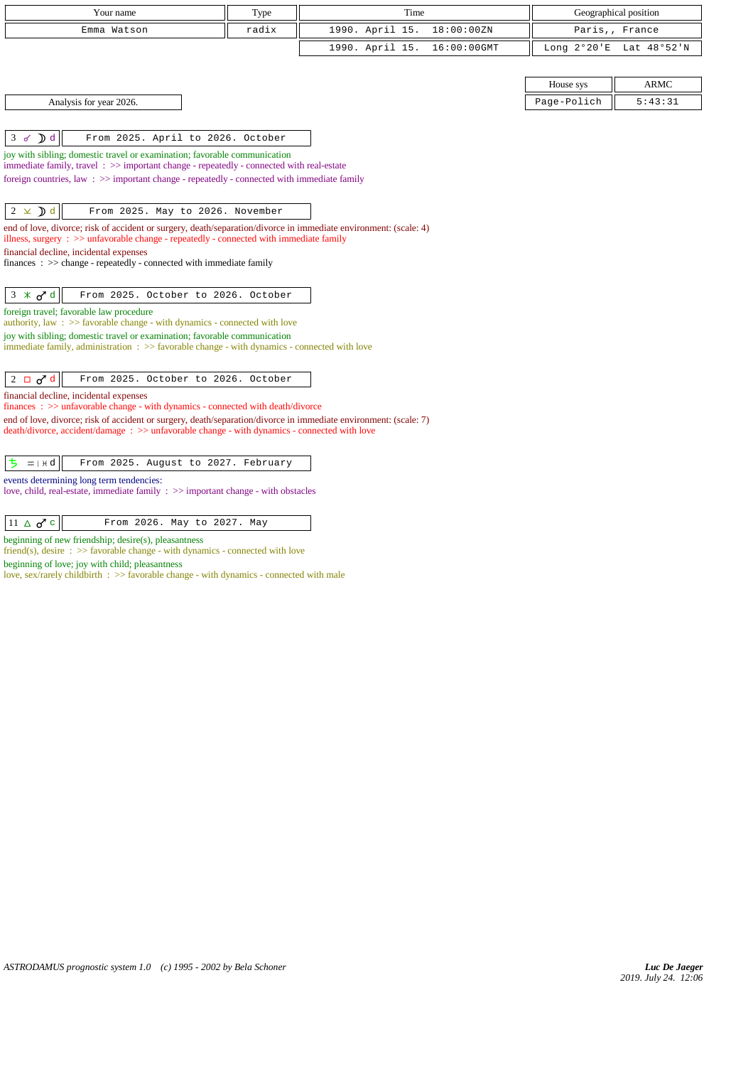| Your name                                                                                                                                                                                                   | Type  | Time                           |             | Geographical position   |
|-------------------------------------------------------------------------------------------------------------------------------------------------------------------------------------------------------------|-------|--------------------------------|-------------|-------------------------|
| Emma Watson                                                                                                                                                                                                 | radix | 1990. April 15.<br>18:00:00ZN  |             | Paris,, France          |
|                                                                                                                                                                                                             |       | 1990. April 15.<br>16:00:00GMT |             | Long 2°20'E Lat 48°52'N |
|                                                                                                                                                                                                             |       |                                |             |                         |
|                                                                                                                                                                                                             |       |                                | House sys   | <b>ARMC</b>             |
| Analysis for year 2026.                                                                                                                                                                                     |       |                                | Page-Polich | 5:43:31                 |
|                                                                                                                                                                                                             |       |                                |             |                         |
| $\mathcal{D}$ d<br>From 2025. April to 2026. October<br>3 <sub>o</sub>                                                                                                                                      |       |                                |             |                         |
| joy with sibling; domestic travel or examination; favorable communication<br>immediate family, travel: >> important change - repeatedly - connected with real-estate                                        |       |                                |             |                         |
| foreign countries, law $\Rightarrow$ important change - repeatedly - connected with immediate family                                                                                                        |       |                                |             |                         |
|                                                                                                                                                                                                             |       |                                |             |                         |
| $2 \times d$<br>From 2025. May to 2026. November                                                                                                                                                            |       |                                |             |                         |
| end of love, divorce; risk of accident or surgery, death/separation/divorce in immediate environment: (scale: 4)<br>illness, surgery : >> unfavorable change - repeatedly - connected with immediate family |       |                                |             |                         |
| financial decline, incidental expenses                                                                                                                                                                      |       |                                |             |                         |
| $finances : \gg change - repeatedly - connected with immediate family$                                                                                                                                      |       |                                |             |                         |
| $3 \times d d$<br>From 2025. October to 2026. October                                                                                                                                                       |       |                                |             |                         |
| foreign travel; favorable law procedure                                                                                                                                                                     |       |                                |             |                         |
| authority, law $\Rightarrow$ Savorable change - with dynamics - connected with love                                                                                                                         |       |                                |             |                         |
| joy with sibling; domestic travel or examination; favorable communication<br>immediate family, administration : >> favorable change - with dynamics - connected with love                                   |       |                                |             |                         |
|                                                                                                                                                                                                             |       |                                |             |                         |
| $2 \Box \sigma^d$<br>From 2025. October to 2026. October                                                                                                                                                    |       |                                |             |                         |
| financial decline, incidental expenses                                                                                                                                                                      |       |                                |             |                         |
| finances : >> unfavorable change - with dynamics - connected with death/divorce<br>end of love, divorce; risk of accident or surgery, death/separation/divorce in immediate environment: (scale: 7)         |       |                                |             |                         |
| death/divorce, accident/damage : >> unfavorable change - with dynamics - connected with love                                                                                                                |       |                                |             |                         |
|                                                                                                                                                                                                             |       |                                |             |                         |
| $m + d$<br>From 2025. August to 2027. February<br>ち                                                                                                                                                         |       |                                |             |                         |
| events determining long term tendencies:<br>love, child, real-estate, immediate family : >> important change - with obstacles                                                                               |       |                                |             |                         |
|                                                                                                                                                                                                             |       |                                |             |                         |
| $11 \triangle \sigma^{\prime}$ c<br>From 2026. May to 2027. May                                                                                                                                             |       |                                |             |                         |
| beginning of new friendship; desire(s), pleasantness                                                                                                                                                        |       |                                |             |                         |
| friend(s), desire $\Rightarrow$ Savorable change - with dynamics - connected with love<br>beginning of love; joy with child; pleasantness                                                                   |       |                                |             |                         |
| love, sex/rarely childbirth : >> favorable change - with dynamics - connected with male                                                                                                                     |       |                                |             |                         |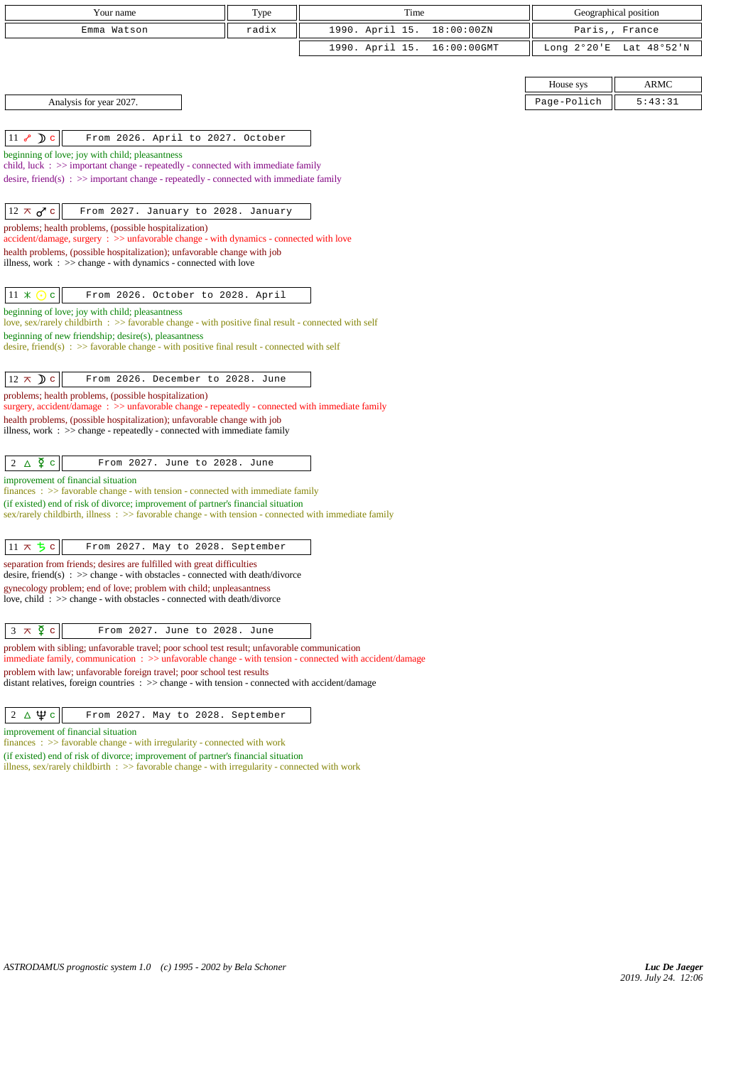| Your name                                                                                                                                                                                               | Type  | Time            |             |             | Geographical position   |
|---------------------------------------------------------------------------------------------------------------------------------------------------------------------------------------------------------|-------|-----------------|-------------|-------------|-------------------------|
| Emma Watson                                                                                                                                                                                             | radix | 1990. April 15. | 18:00:00ZN  |             | Paris,, France          |
|                                                                                                                                                                                                         |       | 1990. April 15. | 16:00:00GMT |             | Long 2°20'E Lat 48°52'N |
|                                                                                                                                                                                                         |       |                 |             |             |                         |
|                                                                                                                                                                                                         |       |                 |             | House sys   | <b>ARMC</b>             |
| Analysis for year 2027.                                                                                                                                                                                 |       |                 |             | Page-Polich | 5:43:31                 |
|                                                                                                                                                                                                         |       |                 |             |             |                         |
| $11 \rightarrow$ D c<br>From 2026. April to 2027. October                                                                                                                                               |       |                 |             |             |                         |
| beginning of love; joy with child; pleasantness                                                                                                                                                         |       |                 |             |             |                         |
| child, luck $\Rightarrow$ important change - repeatedly - connected with immediate family<br>desire, friend(s) : $\gg$ important change - repeatedly - connected with immediate family                  |       |                 |             |             |                         |
|                                                                                                                                                                                                         |       |                 |             |             |                         |
| $12 \times d$ c<br>From 2027. January to 2028. January                                                                                                                                                  |       |                 |             |             |                         |
| problems; health problems, (possible hospitalization)<br>accident/damage, surgery : >> unfavorable change - with dynamics - connected with love                                                         |       |                 |             |             |                         |
| health problems, (possible hospitalization); unfavorable change with job                                                                                                                                |       |                 |             |             |                         |
| illness, work $\Rightarrow$ >> change - with dynamics - connected with love                                                                                                                             |       |                 |             |             |                         |
|                                                                                                                                                                                                         |       |                 |             |             |                         |
| $11 \times$<br>$\mathbf{C}^{\top}$<br>From 2026. October to 2028. April                                                                                                                                 |       |                 |             |             |                         |
| beginning of love; joy with child; pleasantness<br>love, sex/rarely childbirth : $\gg$ favorable change - with positive final result - connected with self                                              |       |                 |             |             |                         |
| beginning of new friendship; desire(s), pleasantness                                                                                                                                                    |       |                 |             |             |                         |
| desire, friend(s) : $\gg$ favorable change - with positive final result - connected with self                                                                                                           |       |                 |             |             |                         |
| $12 \times D c$<br>From 2026. December to 2028. June                                                                                                                                                    |       |                 |             |             |                         |
| problems; health problems, (possible hospitalization)                                                                                                                                                   |       |                 |             |             |                         |
| surgery, accident/damage: >> unfavorable change - repeatedly - connected with immediate family<br>health problems, (possible hospitalization); unfavorable change with job                              |       |                 |             |             |                         |
| illness, work : >> change - repeatedly - connected with immediate family                                                                                                                                |       |                 |             |             |                         |
|                                                                                                                                                                                                         |       |                 |             |             |                         |
| $2 \triangle \Phi$ c<br>From 2027. June to 2028. June                                                                                                                                                   |       |                 |             |             |                         |
| improvement of financial situation                                                                                                                                                                      |       |                 |             |             |                         |
| $finances : >> favorable change - with tension - connected with immediate family$<br>(if existed) end of risk of divorce; improvement of partner's financial situation                                  |       |                 |             |             |                         |
| $sex/rarely childbirth$ , illness : $>>$ favorable change - with tension - connected with immediate family                                                                                              |       |                 |             |             |                         |
|                                                                                                                                                                                                         |       |                 |             |             |                         |
| $11 \times 5c$<br>From 2027. May to 2028. September                                                                                                                                                     |       |                 |             |             |                         |
| separation from friends; desires are fulfilled with great difficulties<br>desire, friend(s) : $\gg$ change - with obstacles - connected with death/divorce                                              |       |                 |             |             |                         |
| gynecology problem; end of love; problem with child; unpleasantness                                                                                                                                     |       |                 |             |             |                         |
| love, child: >> change - with obstacles - connected with death/divorce                                                                                                                                  |       |                 |             |             |                         |
|                                                                                                                                                                                                         |       |                 |             |             |                         |
| $3 \times \xi$ c<br>From 2027. June to 2028. June                                                                                                                                                       |       |                 |             |             |                         |
| problem with sibling; unfavorable travel; poor school test result; unfavorable communication<br>immediate family, communication : >> unfavorable change - with tension - connected with accident/damage |       |                 |             |             |                         |
| problem with law; unfavorable foreign travel; poor school test results<br>distant relatives, foreign countries $\Rightarrow$ change - with tension - connected with accident/damage                     |       |                 |             |             |                         |
|                                                                                                                                                                                                         |       |                 |             |             |                         |
| $2 \Delta \Psi c$<br>From 2027. May to 2028. September                                                                                                                                                  |       |                 |             |             |                         |
| improvement of financial situation                                                                                                                                                                      |       |                 |             |             |                         |

finances :  $\gg$  favorable change - with irregularity - connected with work

(if existed) end of risk of divorce; improvement of partner's financial situation

illness, sex/rarely childbirth :  $\gg$  favorable change - with irregularity - connected with work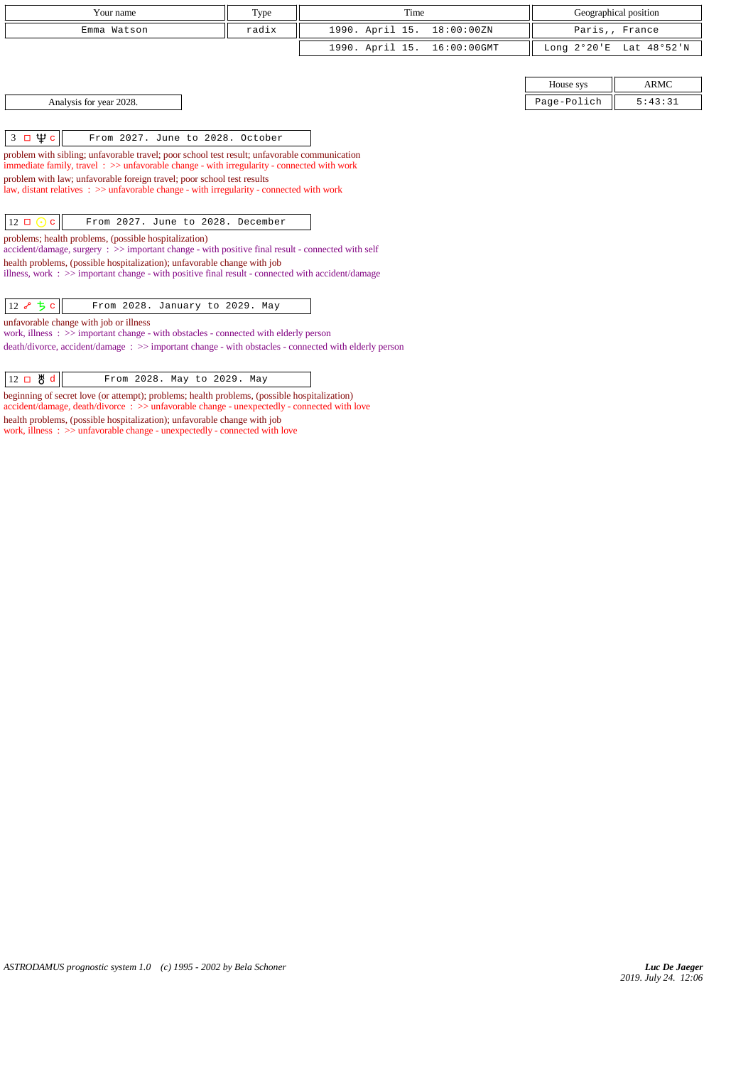| Your name                                                                                                                                                                                              | Type  | Time            |             |                       | Geographical position |
|--------------------------------------------------------------------------------------------------------------------------------------------------------------------------------------------------------|-------|-----------------|-------------|-----------------------|-----------------------|
| Emma Watson                                                                                                                                                                                            | radix | 1990. April 15. | 18:00:00ZN  |                       | Paris,, France        |
|                                                                                                                                                                                                        |       | 1990. April 15. | 16:00:00GMT | Long $2^{\circ}20$ 'E | Lat 48°52'N           |
|                                                                                                                                                                                                        |       |                 |             |                       |                       |
|                                                                                                                                                                                                        |       |                 |             | House sys             | <b>ARMC</b>           |
| Analysis for year 2028.                                                                                                                                                                                |       |                 |             | Page-Polich           | 5:43:31               |
|                                                                                                                                                                                                        |       |                 |             |                       |                       |
| $3 \Box \Psi c$<br>From 2027. June to 2028. October                                                                                                                                                    |       |                 |             |                       |                       |
| problem with sibling; unfavorable travel; poor school test result; unfavorable communication<br>immediate family, travel $\Rightarrow$ >> unfavorable change - with irregularity - connected with work |       |                 |             |                       |                       |
| problem with law; unfavorable foreign travel; poor school test results<br>law, distant relatives $\therefore$ >> unfavorable change - with irregularity - connected with work                          |       |                 |             |                       |                       |
|                                                                                                                                                                                                        |       |                 |             |                       |                       |
| $12 \Box \odot c$<br>From 2027. June to 2028. December                                                                                                                                                 |       |                 |             |                       |                       |
| problems; health problems, (possible hospitalization)<br>$accident/damage$ , surgery : $\gg$ important change - with positive final result - connected with self                                       |       |                 |             |                       |                       |
| health problems, (possible hospitalization); unfavorable change with job                                                                                                                               |       |                 |             |                       |                       |
| illness, work $\Rightarrow$ > important change - with positive final result - connected with accident/damage                                                                                           |       |                 |             |                       |                       |
| 12 $\sim$ 5 c<br>From 2028. January to 2029. May                                                                                                                                                       |       |                 |             |                       |                       |

*ASTRODAMUS prognostic system 1.0 (c) 1995 - 2002 by Bela Schoner*

unfavorable change with job or illness

work, illness : >> important change - with obstacles - connected with elderly person

beginning of secret love (or attempt); problems; health problems, (possible hospitalization) accident/damage, death/divorce : >> unfavorable change - unexpectedly - connected with love

12 **B** d From 2028. May to 2029. May

health problems, (possible hospitalization); unfavorable change with job work, illness : >> unfavorable change - unexpectedly - connected with love

death/divorce, accident/damage : >> important change - with obstacles - connected with elderly person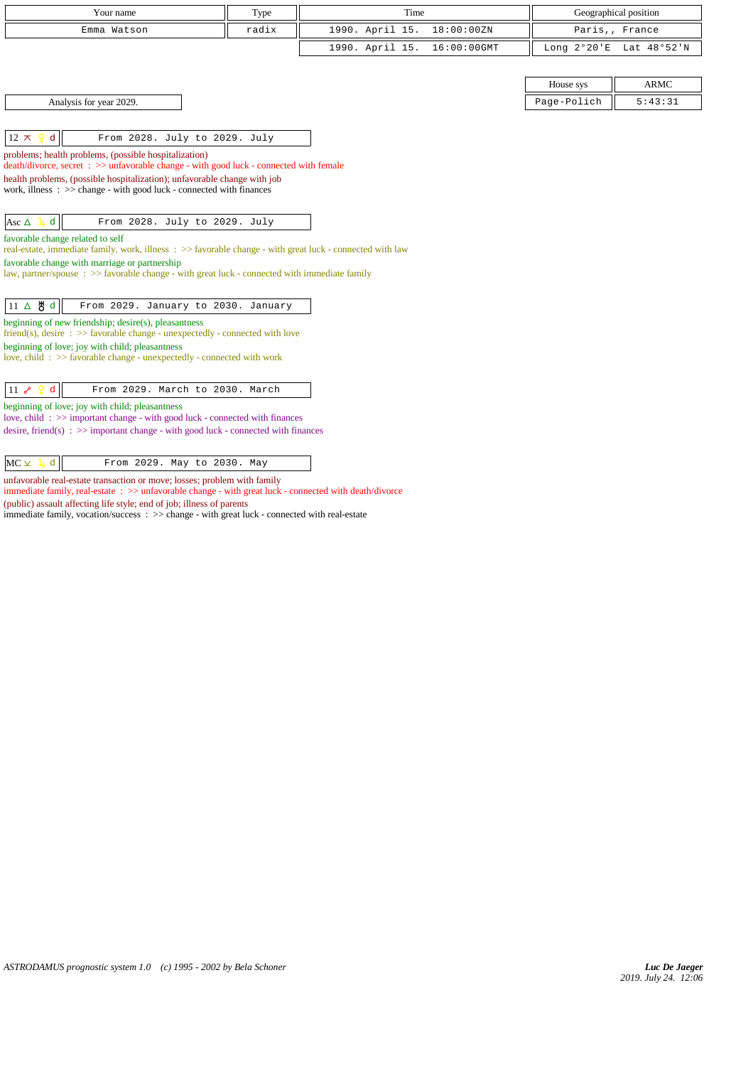| Your name                                                                                                                                       | Type  | Time            |             |             | Geographical position   |
|-------------------------------------------------------------------------------------------------------------------------------------------------|-------|-----------------|-------------|-------------|-------------------------|
| Emma Watson                                                                                                                                     | radix | 1990. April 15. | 18:00:00ZN  |             | Paris,, France          |
|                                                                                                                                                 |       | 1990. April 15. | 16:00:00GMT |             | Long 2°20'E Lat 48°52'N |
|                                                                                                                                                 |       |                 |             |             |                         |
|                                                                                                                                                 |       |                 |             | House sys   | <b>ARMC</b>             |
| Analysis for year 2029.                                                                                                                         |       |                 |             | Page-Polich | 5:43:31                 |
|                                                                                                                                                 |       |                 |             |             |                         |
| From 2028. July to 2029. July<br>$12 \pi$<br>d                                                                                                  |       |                 |             |             |                         |
| problems; health problems, (possible hospitalization)<br>death/divorce, secret : >> unfavorable change - with good luck - connected with female |       |                 |             |             |                         |
| health problems, (possible hospitalization); unfavorable change with job                                                                        |       |                 |             |             |                         |
| work, illness : >> change - with good luck - connected with finances                                                                            |       |                 |             |             |                         |
|                                                                                                                                                 |       |                 |             |             |                         |
| $\mathbf d$<br>From 2028. July to 2029. July<br>Asc $\Delta$                                                                                    |       |                 |             |             |                         |
| favorable change related to self<br>real-estate, immediate family, work, illness: >> favorable change - with great luck - connected with law    |       |                 |             |             |                         |
| favorable change with marriage or partnership                                                                                                   |       |                 |             |             |                         |
| law, partner/spouse : >> favorable change - with great luck - connected with immediate family                                                   |       |                 |             |             |                         |
| 11 △ 5 d<br>From 2029. January to 2030. January                                                                                                 |       |                 |             |             |                         |
| beginning of new friendship; desire(s), pleasantness                                                                                            |       |                 |             |             |                         |
| friend(s), desire $\Rightarrow$ >> favorable change - unexpectedly - connected with love<br>beginning of love; joy with child; pleasantness     |       |                 |             |             |                         |
| love, child: >> favorable change - unexpectedly - connected with work                                                                           |       |                 |             |             |                         |
|                                                                                                                                                 |       |                 |             |             |                         |
| $ 11 \rangle$ م<br>d<br>From 2029. March to 2030. March                                                                                         |       |                 |             |             |                         |
| beginning of love; joy with child; pleasantness<br>love, child: >> important change - with good luck - connected with finances                  |       |                 |             |             |                         |
| desire, friend(s) : $\gg$ important change - with good luck - connected with finances                                                           |       |                 |             |             |                         |
|                                                                                                                                                 |       |                 |             |             |                         |
| $MC \times 1$<br>From 2029. May to 2030. May<br>d                                                                                               |       |                 |             |             |                         |
| unfavorable real-estate transaction or move; losses; problem with family                                                                        |       |                 |             |             |                         |

immediate family, real-estate :  $\gg$  unfavorable change - with great luck - connected with death/divorce (public) assault affecting life style; end of job; illness of parents

immediate family, vocation/success : >> change - with great luck - connected with real-estate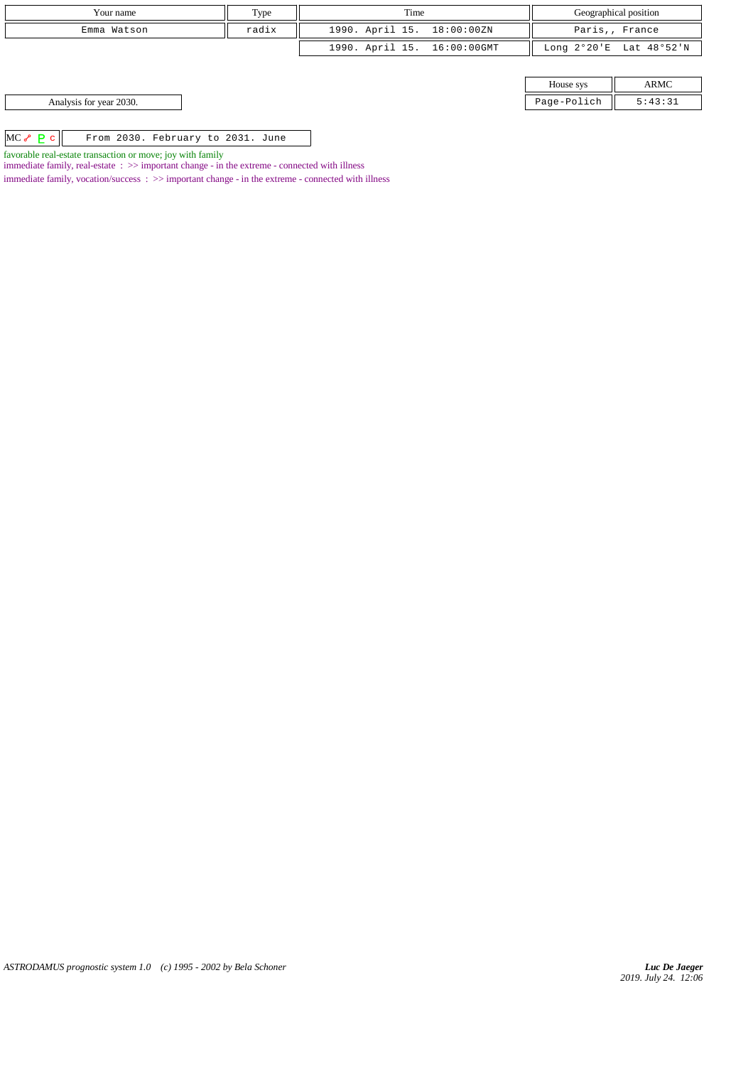| Your name                                                                                                       | Type  | Time                        |             | Geographical position   |
|-----------------------------------------------------------------------------------------------------------------|-------|-----------------------------|-------------|-------------------------|
| Emma Watson                                                                                                     | radix | 1990. April 15. 18:00:00ZN  |             | Paris,, France          |
|                                                                                                                 |       | 1990. April 15. 16:00:00GMT |             | Long 2°20'E Lat 48°52'N |
|                                                                                                                 |       |                             |             |                         |
|                                                                                                                 |       |                             | House sys   | ARMC                    |
| Analysis for year 2030.                                                                                         |       |                             | Page-Polich | 5:43:31                 |
|                                                                                                                 |       |                             |             |                         |
| $MC \sim P c$<br>From 2030. February to 2031. June                                                              |       |                             |             |                         |
| the contract of the contract of the contract of the contract of the contract of the contract of the contract of |       |                             |             |                         |

favorable real-estate transaction or move; joy with family

immediate family, real-estate :  $\gg$  important change - in the extreme - connected with illness

 $\;$  immediate family, vocation/success  $\; : \; >>$  important change - in the extreme - connected with illness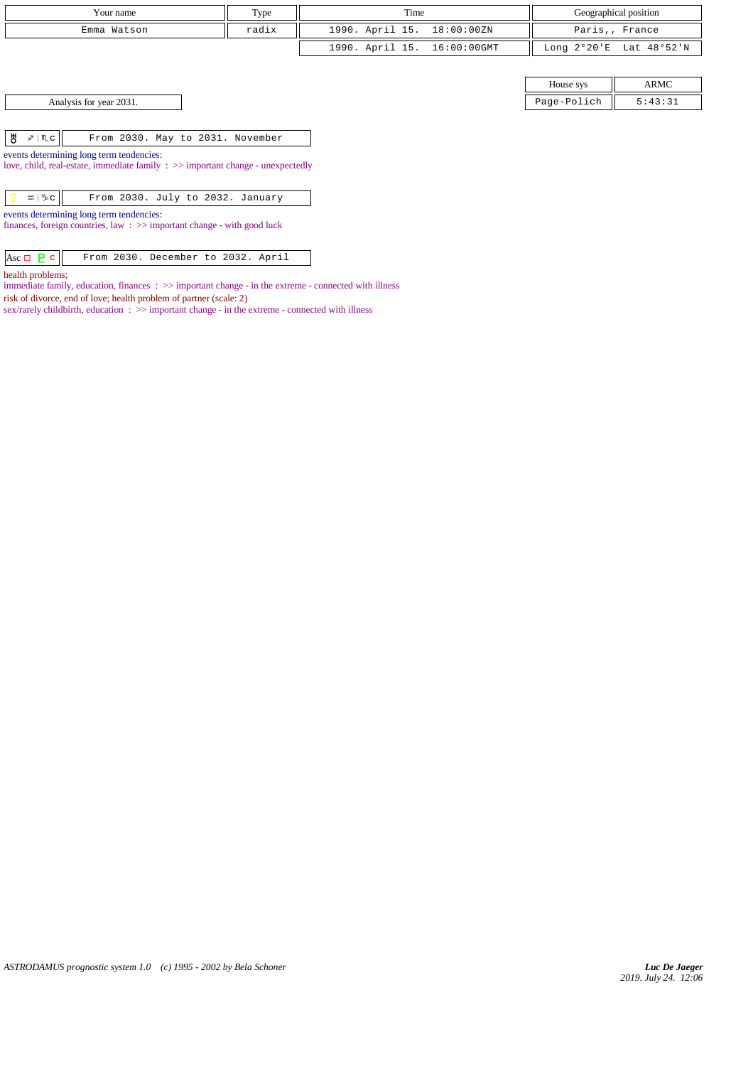| Your name   | Type  | Time                        | Geographical position   |
|-------------|-------|-----------------------------|-------------------------|
| Emma Watson | radix | 1990. April 15. 18:00:00ZN  | Paris,, France          |
|             |       | 1990. April 15. 16:00:00GMT | Long 2°20'E Lat 48°52'N |

House sys ARMC Analysis for year 2031. Page-Polich 5:43:31

| events determining long term tendencies: |  |  |  |  |  |  |  |
|------------------------------------------|--|--|--|--|--|--|--|

love, child, real-estate, immediate family : >> important change - unexpectedly

| ∷ ⊯ ∣ ∿⊳ ຕ ∐<br>From 2030. July to 2032. January |  |
|--------------------------------------------------|--|
|--------------------------------------------------|--|

events determining long term tendencies:

finances, foreign countries, law : >> important change - with good luck

| $ {\rm Asc} \Box {\sf P} {\sf c} $ From 2030. December to 2032. April |  |  |  |  |
|-----------------------------------------------------------------------|--|--|--|--|

health problems;

immediate family, education, finances :  $\gg$  important change - in the extreme - connected with illness risk of divorce, end of love; health problem of partner (scale: 2)

sex/rarely childbirth, education : >> important change - in the extreme - connected with illness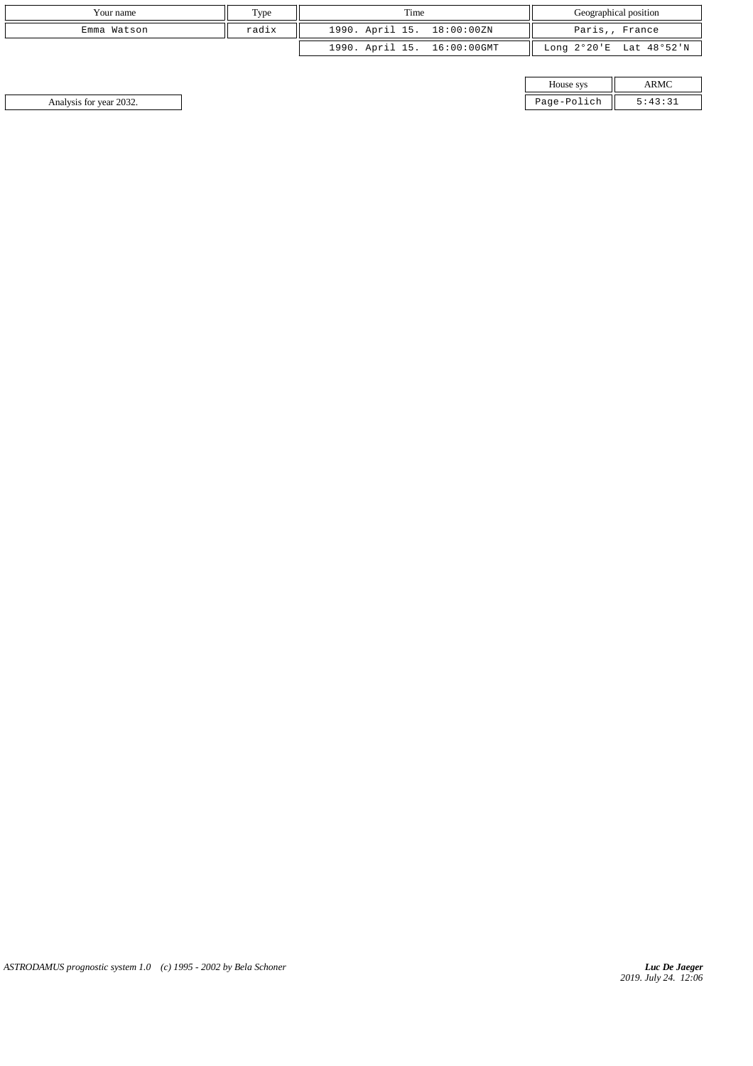| Your name   | Type  | Time                        | Geographical position   |  |
|-------------|-------|-----------------------------|-------------------------|--|
| Emma Watson | radix | 1990. April 15. 18:00:00ZN  | Paris,, France          |  |
|             |       | 1990. April 15. 16:00:00GMT | Long 2°20'E Lat 48°52'N |  |

| House sys  |  |
|------------|--|
| age-Polich |  |

Analysis for year 2032. Page-Polich 5:43:31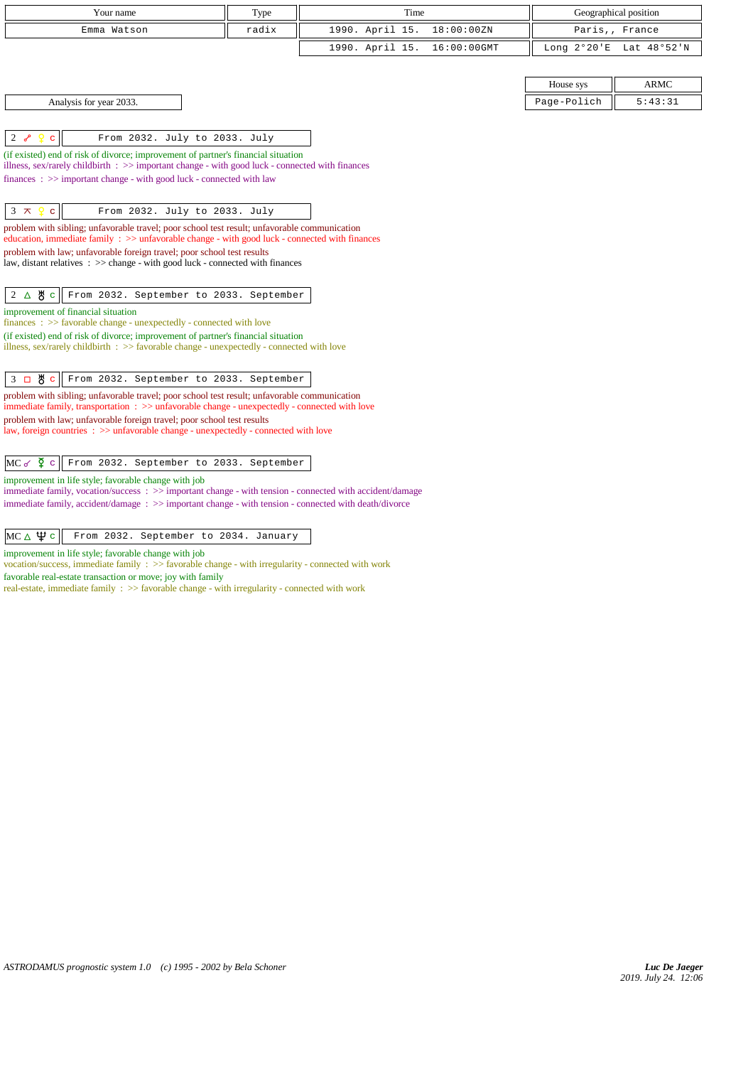| Your name                                                                                                                                                                                                                                                                                                                                                                                                                                                       | Type  | Time            |             | Geographical position    |                        |  |
|-----------------------------------------------------------------------------------------------------------------------------------------------------------------------------------------------------------------------------------------------------------------------------------------------------------------------------------------------------------------------------------------------------------------------------------------------------------------|-------|-----------------|-------------|--------------------------|------------------------|--|
| Emma Watson                                                                                                                                                                                                                                                                                                                                                                                                                                                     | radix | 1990. April 15. | 18:00:00ZN  | Paris,, France           |                        |  |
|                                                                                                                                                                                                                                                                                                                                                                                                                                                                 |       | 1990. April 15. | 16:00:00GMT | Long $2^{\circ}20$ 'E    | Lat 48°52'N            |  |
| Analysis for year 2033.                                                                                                                                                                                                                                                                                                                                                                                                                                         |       |                 |             | House sys<br>Page-Polich | <b>ARMC</b><br>5:43:31 |  |
|                                                                                                                                                                                                                                                                                                                                                                                                                                                                 |       |                 |             |                          |                        |  |
| $2\sigma$<br>From 2032. July to 2033. July<br>$\mathbf C$<br>(if existed) end of risk of divorce; improvement of partner's financial situation<br>illness, sex/rarely childbirth $\Rightarrow$ important change - with good luck - connected with finances<br>finances: >> important change - with good luck - connected with law                                                                                                                               |       |                 |             |                          |                        |  |
| $\mathbf{C}$<br>$3 \times$<br>P<br>From 2032. July to 2033. July<br>problem with sibling; unfavorable travel; poor school test result; unfavorable communication<br>education, immediate family $\Rightarrow$ unfavorable change - with good luck - connected with finances<br>problem with law; unfavorable foreign travel; poor school test results<br>law, distant relatives $\Rightarrow$ > $\Rightarrow$ change - with good luck - connected with finances |       |                 |             |                          |                        |  |
| $2 \Delta \theta c$<br>From 2032. September to 2033. September                                                                                                                                                                                                                                                                                                                                                                                                  |       |                 |             |                          |                        |  |
| improvement of financial situation<br>finances: >> favorable change - unexpectedly - connected with love<br>(if existed) end of risk of divorce; improvement of partner's financial situation<br>illness, sex/rarely childbirth : >> favorable change - unexpectedly - connected with love                                                                                                                                                                      |       |                 |             |                          |                        |  |
| 3 口 e<br>From 2032. September to 2033. September                                                                                                                                                                                                                                                                                                                                                                                                                |       |                 |             |                          |                        |  |
| problem with sibling; unfavorable travel; poor school test result; unfavorable communication<br>immediate family, transportation : >> unfavorable change - unexpectedly - connected with love<br>problem with law; unfavorable foreign travel; poor school test results<br>law, foreign countries : >> unfavorable change - unexpectedly - connected with love                                                                                                  |       |                 |             |                          |                        |  |
| $MC \propto \Phi$ c<br>From 2032. September to 2033. September                                                                                                                                                                                                                                                                                                                                                                                                  |       |                 |             |                          |                        |  |
| improvement in life style; favorable change with job<br>immediate family, vocation/success : >> important change - with tension - connected with accident/damage<br>immediate family, accident/damage : >> important change - with tension - connected with death/divorce                                                                                                                                                                                       |       |                 |             |                          |                        |  |
| МС∆Ѱс<br>From 2032. September to 2034. January                                                                                                                                                                                                                                                                                                                                                                                                                  |       |                 |             |                          |                        |  |
| improvement in life style; favorable change with job<br>vocation/success, immediate family : >> favorable change - with irregularity - connected with work<br>favorable real-estate transaction or move; joy with family<br>real-estate, immediate family : >> favorable change - with irregularity - connected with work                                                                                                                                       |       |                 |             |                          |                        |  |
|                                                                                                                                                                                                                                                                                                                                                                                                                                                                 |       |                 |             |                          |                        |  |
|                                                                                                                                                                                                                                                                                                                                                                                                                                                                 |       |                 |             |                          |                        |  |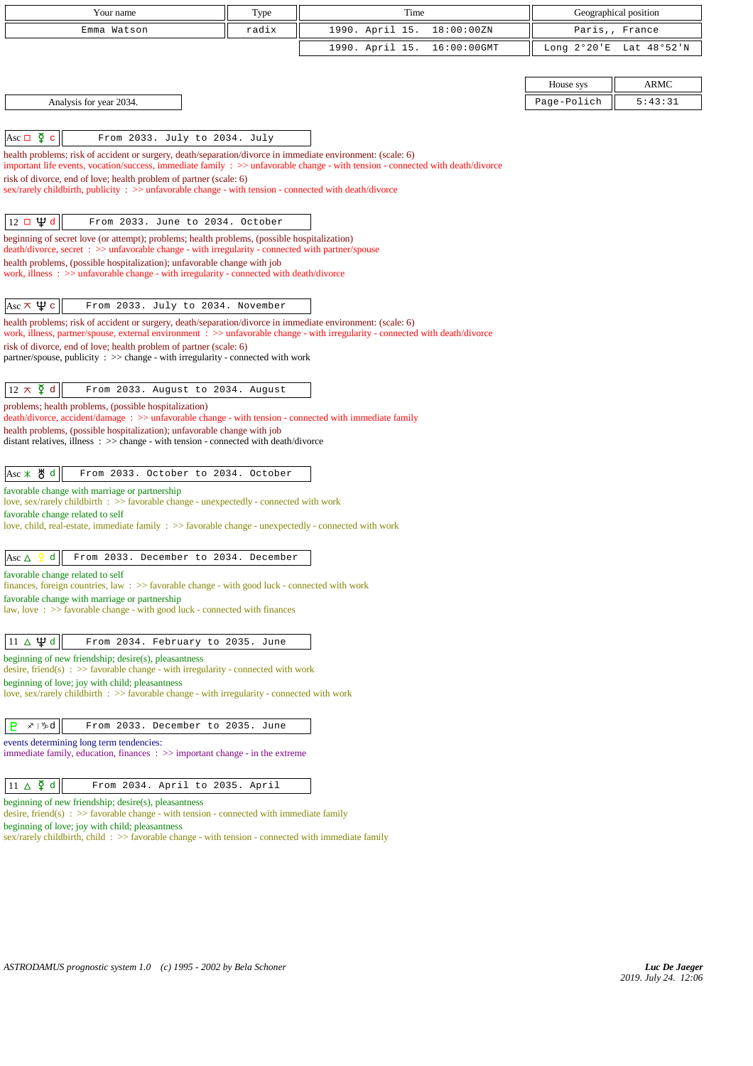| Your name                                                                                                                                                                                            | Type  | Time                           | Geographical position |                |  |
|------------------------------------------------------------------------------------------------------------------------------------------------------------------------------------------------------|-------|--------------------------------|-----------------------|----------------|--|
| Emma Watson                                                                                                                                                                                          | radix | 1990. April 15.<br>18:00:00ZN  |                       | Paris,, France |  |
|                                                                                                                                                                                                      |       | 1990. April 15.<br>16:00:00GMT | Long $2^{\circ}20$ 'E | Lat 48°52'N    |  |
|                                                                                                                                                                                                      |       |                                |                       |                |  |
|                                                                                                                                                                                                      |       |                                | House sys             | <b>ARMC</b>    |  |
| Analysis for year 2034.                                                                                                                                                                              |       |                                | Page-Polich           | 5:43:31        |  |
|                                                                                                                                                                                                      |       |                                |                       |                |  |
| Asc $\Box$ $\Phi$ c<br>From 2033. July to 2034. July                                                                                                                                                 |       |                                |                       |                |  |
| health problems; risk of accident or surgery, death/separation/divorce in immediate environment: (scale: 6)                                                                                          |       |                                |                       |                |  |
| important life events, vocation/success, immediate family : >> unfavorable change - with tension - connected with death/divorce                                                                      |       |                                |                       |                |  |
| risk of divorce, end of love; health problem of partner (scale: 6)<br>sex/rarely childbirth, publicity : >> unfavorable change - with tension - connected with death/divorce                         |       |                                |                       |                |  |
|                                                                                                                                                                                                      |       |                                |                       |                |  |
| $12 \Box \Psi d$<br>From 2033. June to 2034. October                                                                                                                                                 |       |                                |                       |                |  |
| beginning of secret love (or attempt); problems; health problems, (possible hospitalization)                                                                                                         |       |                                |                       |                |  |
| death/divorce, secret : >> unfavorable change - with irregularity - connected with partner/spouse                                                                                                    |       |                                |                       |                |  |
| health problems, (possible hospitalization); unfavorable change with job<br>work, illness : >> unfavorable change - with irregularity - connected with death/divorce                                 |       |                                |                       |                |  |
|                                                                                                                                                                                                      |       |                                |                       |                |  |
| Asc $\pi \psi c$<br>From 2033. July to 2034. November                                                                                                                                                |       |                                |                       |                |  |
| health problems; risk of accident or surgery, death/separation/divorce in immediate environment: (scale: 6)                                                                                          |       |                                |                       |                |  |
| work, illness, partner/spouse, external environment : >> unfavorable change - with irregularity - connected with death/divorce<br>risk of divorce, end of love; health problem of partner (scale: 6) |       |                                |                       |                |  |
| partner/spouse, publicity : >> change - with irregularity - connected with work                                                                                                                      |       |                                |                       |                |  |
|                                                                                                                                                                                                      |       |                                |                       |                |  |
| $12 \pi \xi d$<br>From 2033. August to 2034. August                                                                                                                                                  |       |                                |                       |                |  |
| problems; health problems, (possible hospitalization)                                                                                                                                                |       |                                |                       |                |  |
| death/divorce, accident/damage: >> unfavorable change - with tension - connected with immediate family<br>health problems, (possible hospitalization); unfavorable change with job                   |       |                                |                       |                |  |
| distant relatives, illness $\therefore$ > change - with tension - connected with death/divorce                                                                                                       |       |                                |                       |                |  |
|                                                                                                                                                                                                      |       |                                |                       |                |  |
| Asc * 5 d<br>From 2033. October to 2034. October                                                                                                                                                     |       |                                |                       |                |  |
| favorable change with marriage or partnership<br>love, sex/rarely childbirth : >> favorable change - unexpectedly - connected with work                                                              |       |                                |                       |                |  |
| favorable change related to self                                                                                                                                                                     |       |                                |                       |                |  |
| love, child, real-estate, immediate family $\Rightarrow$ favorable change - unexpectedly - connected with work                                                                                       |       |                                |                       |                |  |
|                                                                                                                                                                                                      |       |                                |                       |                |  |
| From 2033. December to 2034. December<br>d<br>Asc $\Delta$                                                                                                                                           |       |                                |                       |                |  |
| favorable change related to self<br>finances, foreign countries, law $\Rightarrow$ favorable change - with good luck - connected with work                                                           |       |                                |                       |                |  |
| favorable change with marriage or partnership                                                                                                                                                        |       |                                |                       |                |  |
| law, love: >> favorable change - with good luck - connected with finances                                                                                                                            |       |                                |                       |                |  |
|                                                                                                                                                                                                      |       |                                |                       |                |  |
| $11 \Delta \Psi d$<br>From 2034. February to 2035. June                                                                                                                                              |       |                                |                       |                |  |
| beginning of new friendship; desire(s), pleasantness<br>desire, friend(s) : $\gg$ favorable change - with irregularity - connected with work                                                         |       |                                |                       |                |  |
| beginning of love; joy with child; pleasantness                                                                                                                                                      |       |                                |                       |                |  |
| love, sex/rarely childbirth : >> favorable change - with irregularity - connected with work                                                                                                          |       |                                |                       |                |  |
| メールロ<br>From 2033. December to 2035. June                                                                                                                                                            |       |                                |                       |                |  |
| B                                                                                                                                                                                                    |       |                                |                       |                |  |
| events determining long term tendencies:<br>immediate family, education, finances $\Rightarrow$ important change - in the extreme                                                                    |       |                                |                       |                |  |
|                                                                                                                                                                                                      |       |                                |                       |                |  |
| $11 \Delta \n\bm{\zeta}$ d<br>From 2034. April to 2035. April                                                                                                                                        |       |                                |                       |                |  |
| beginning of new friendship; desire(s), pleasantness                                                                                                                                                 |       |                                |                       |                |  |
| desire, friend(s) : $\gg$ favorable change - with tension - connected with immediate family                                                                                                          |       |                                |                       |                |  |

beginning of love; joy with child; pleasantness

sex/rarely childbirth, child : >> favorable change - with tension - connected with immediate family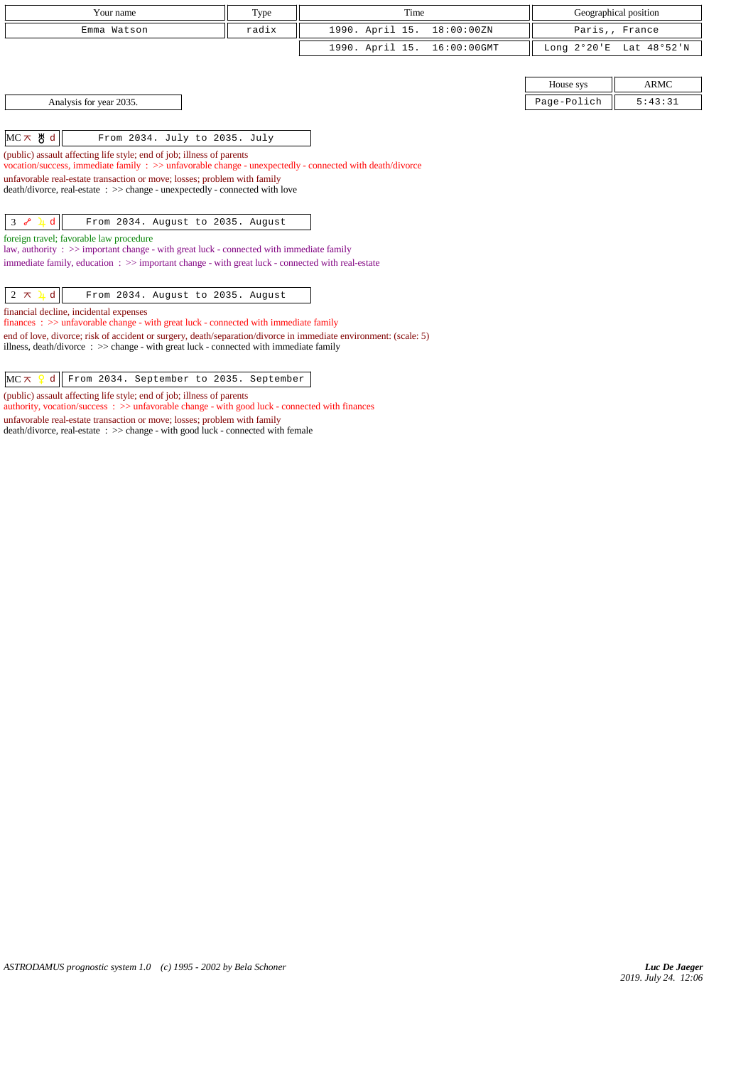| Your name                                                                                                                                                                                                     | Type                                   | Time                           | Geographical position |                |  |  |
|---------------------------------------------------------------------------------------------------------------------------------------------------------------------------------------------------------------|----------------------------------------|--------------------------------|-----------------------|----------------|--|--|
| Emma Watson                                                                                                                                                                                                   | 1990. April 15.<br>18:00:00ZN<br>radix |                                |                       | Paris,, France |  |  |
|                                                                                                                                                                                                               |                                        | 1990. April 15.<br>16:00:00GMT | Long 2°20'E           | Lat 48°52'N    |  |  |
|                                                                                                                                                                                                               |                                        |                                |                       |                |  |  |
|                                                                                                                                                                                                               |                                        |                                | House sys             | <b>ARMC</b>    |  |  |
| Analysis for year 2035.                                                                                                                                                                                       |                                        |                                | Page-Polich           | 5:43:31        |  |  |
|                                                                                                                                                                                                               |                                        |                                |                       |                |  |  |
| $MC \times$ 5 d<br>From 2034. July to 2035. July                                                                                                                                                              |                                        |                                |                       |                |  |  |
| (public) assault affecting life style; end of job; illness of parents<br>vocation/success, immediate family : >> unfavorable change - unexpectedly - connected with death/divorce                             |                                        |                                |                       |                |  |  |
| unfavorable real-estate transaction or move; losses; problem with family<br>death/divorce, real-estate : >> change - unexpectedly - connected with love                                                       |                                        |                                |                       |                |  |  |
| $3 \sim 4d$<br>From 2034. August to 2035. August                                                                                                                                                              |                                        |                                |                       |                |  |  |
| foreign travel; favorable law procedure<br>law, authority : $\gg$ important change - with great luck - connected with immediate family                                                                        |                                        |                                |                       |                |  |  |
| immediate family, education $\Rightarrow$ important change - with great luck - connected with real-estate                                                                                                     |                                        |                                |                       |                |  |  |
| $2 \times 1$<br>d<br>From 2034. August to 2035. August                                                                                                                                                        |                                        |                                |                       |                |  |  |
| financial decline, incidental expenses<br>$finances: >> unfavorable change - with great luck - connected with immediate family$                                                                               |                                        |                                |                       |                |  |  |
| end of love, divorce; risk of accident or surgery, death/separation/divorce in immediate environment: (scale: 5)<br>illness, death/divorce : $\gg$ change - with great luck - connected with immediate family |                                        |                                |                       |                |  |  |

 $MC \times$   $d$  From 2034. September to 2035. September

(public) assault affecting life style; end of job; illness of parents

authority, vocation/success : >> unfavorable change - with good luck - connected with finances

unfavorable real-estate transaction or move; losses; problem with family

death/divorce, real-estate : >> change - with good luck - connected with female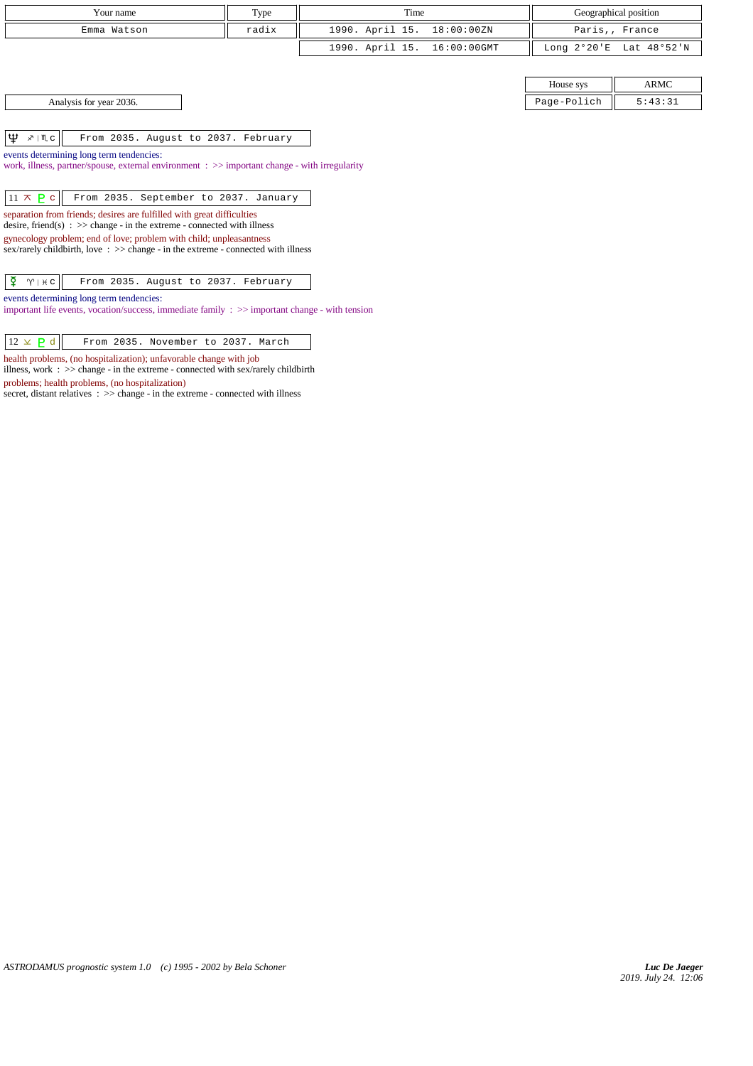| Your name                                                         | Type                                                                                                   | Time                              |                       | Geographical position |  |  |
|-------------------------------------------------------------------|--------------------------------------------------------------------------------------------------------|-----------------------------------|-----------------------|-----------------------|--|--|
| Emma Watson                                                       | radix                                                                                                  | 1990. April 15.<br>18:00:00ZN     |                       | Paris,, France        |  |  |
|                                                                   |                                                                                                        | 1990. April 15.<br>$16:00:00$ GMT | Long $2^{\circ}20$ 'E | Lat 48°52'N           |  |  |
|                                                                   |                                                                                                        |                                   |                       |                       |  |  |
|                                                                   |                                                                                                        |                                   | House sys             | ARMC                  |  |  |
| Analysis for year 2036.                                           |                                                                                                        |                                   | Page-Polich           | 5:43:31               |  |  |
|                                                                   |                                                                                                        |                                   |                       |                       |  |  |
| Ψ<br>$x \mid \mathbb{M}$ c<br>From 2035. August to 2037. February |                                                                                                        |                                   |                       |                       |  |  |
| events determining long term tendencies:                          |                                                                                                        |                                   |                       |                       |  |  |
|                                                                   | work, illness, partner/spouse, external environment $\Rightarrow$ important change - with irregularity |                                   |                       |                       |  |  |
|                                                                   |                                                                                                        |                                   |                       |                       |  |  |

| $ 11 \times  2 $ From 2035. September to 2037. January |  |  |
|--------------------------------------------------------|--|--|
|--------------------------------------------------------|--|--|

separation from friends; desires are fulfilled with great difficulties

desire, friend(s) : >> change - in the extreme - connected with illness

gynecology problem; end of love; problem with child; unpleasantness sex/rarely childbirth, love :  $\gg$  change - in the extreme - connected with illness

| $ \mathfrak{P} \quad \gamma  + c $ From 2035. August to 2037. February |
|------------------------------------------------------------------------|
|------------------------------------------------------------------------|

events determining long term tendencies:

important life events, vocation/success, immediate family : >> important change - with tension

| $12 \times P d$ |  | From 2035. November to 2037. March |  |  |
|-----------------|--|------------------------------------|--|--|
|                 |  |                                    |  |  |

health problems, (no hospitalization); unfavorable change with job

illness, work :  $>$  change - in the extreme - connected with sex/rarely childbirth problems; health problems, (no hospitalization)

secret, distant relatives : >> change - in the extreme - connected with illness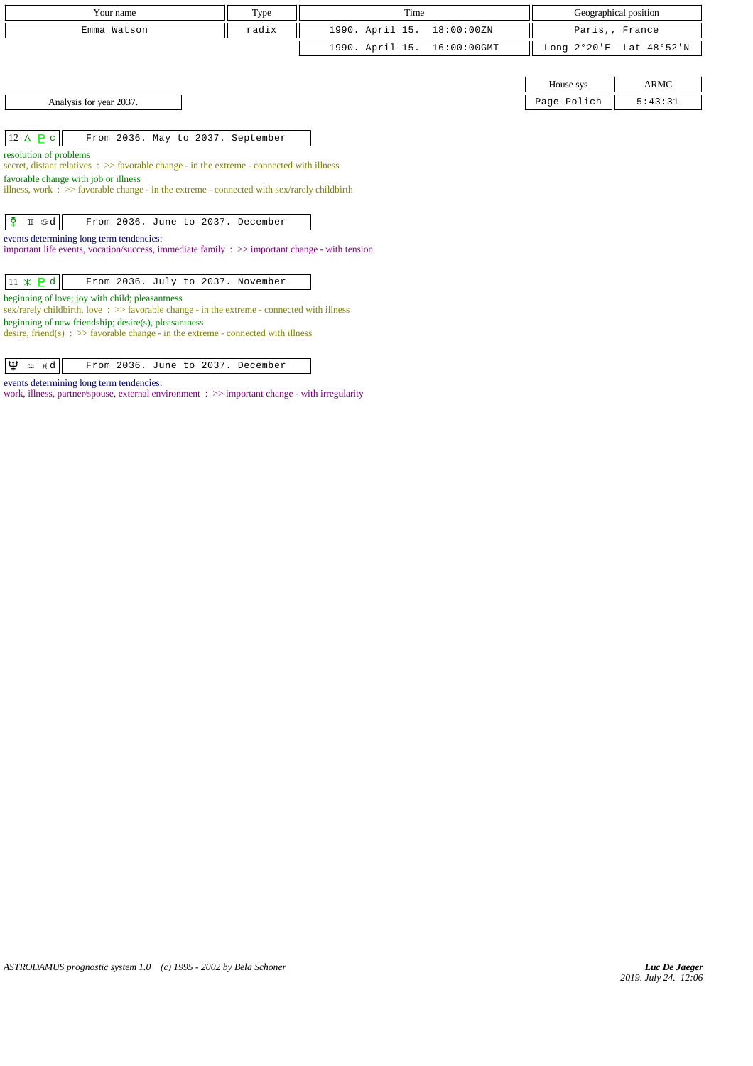| Your name                                                                                                                                        | Type  | Time            |             |             | Geographical position   |
|--------------------------------------------------------------------------------------------------------------------------------------------------|-------|-----------------|-------------|-------------|-------------------------|
| Emma Watson                                                                                                                                      | radix | 1990. April 15. | 18:00:00ZN  |             | Paris,, France          |
|                                                                                                                                                  |       | 1990. April 15. | 16:00:00GMT |             | Long 2°20'E Lat 48°52'N |
|                                                                                                                                                  |       |                 |             |             |                         |
|                                                                                                                                                  |       |                 |             | House sys   | <b>ARMC</b>             |
| Analysis for year 2037.                                                                                                                          |       |                 |             | Page-Polich | 5:43:31                 |
|                                                                                                                                                  |       |                 |             |             |                         |
| $12 \triangle P c$<br>From 2036. May to 2037. September                                                                                          |       |                 |             |             |                         |
| resolution of problems                                                                                                                           |       |                 |             |             |                         |
| secret, distant relatives $\Rightarrow$ favorable change - in the extreme - connected with illness                                               |       |                 |             |             |                         |
| favorable change with job or illness<br>illness, work : $\gg$ favorable change - in the extreme - connected with sex/rarely childbirth           |       |                 |             |             |                         |
|                                                                                                                                                  |       |                 |             |             |                         |
| $\overline{Q}$<br>$II   \mathcal{D}d$<br>From 2036. June to 2037. December                                                                       |       |                 |             |             |                         |
| events determining long term tendencies:                                                                                                         |       |                 |             |             |                         |
| important life events, vocation/success, immediate family $\Rightarrow$ important change - with tension                                          |       |                 |             |             |                         |
|                                                                                                                                                  |       |                 |             |             |                         |
| $11 \times P d$<br>From 2036. July to 2037. November                                                                                             |       |                 |             |             |                         |
| beginning of love; joy with child; pleasantness<br>sex/rarely childbirth, love: $\gg$ favorable change - in the extreme - connected with illness |       |                 |             |             |                         |
| beginning of new friendship; desire(s), pleasantness                                                                                             |       |                 |             |             |                         |
| desire, friend(s) : $\gg$ favorable change - in the extreme - connected with illness                                                             |       |                 |             |             |                         |
|                                                                                                                                                  |       |                 |             |             |                         |
| Ψ<br>From 2036. June to 2037. December<br>$m + H$                                                                                                |       |                 |             |             |                         |

events determining long term tendencies:

work, illness, partner/spouse, external environment : >> important change - with irregularity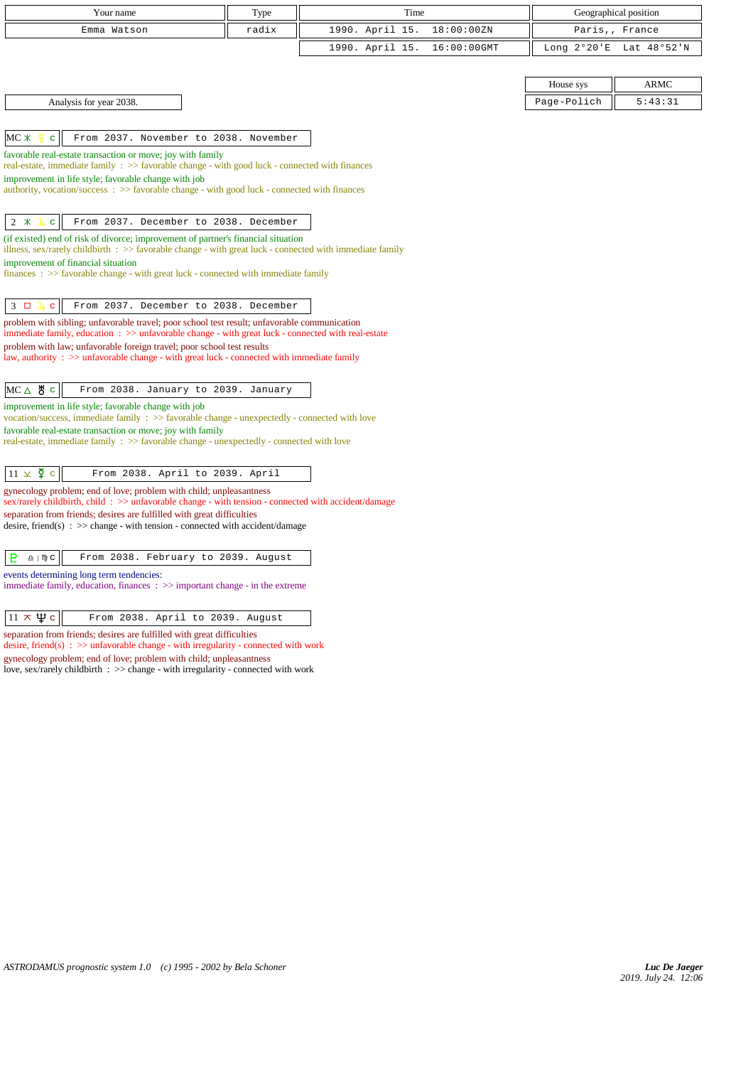| Your name                                                                                                                                                                                              | Type  | Time            |             |                       | Geographical position |
|--------------------------------------------------------------------------------------------------------------------------------------------------------------------------------------------------------|-------|-----------------|-------------|-----------------------|-----------------------|
| Emma Watson                                                                                                                                                                                            | radix | 1990. April 15. | 18:00:00ZN  | Paris,,               | France                |
|                                                                                                                                                                                                        |       | 1990. April 15. | 16:00:00GMT | Long $2^{\circ}20$ 'E | Lat 48°52'N           |
|                                                                                                                                                                                                        |       |                 |             |                       |                       |
|                                                                                                                                                                                                        |       |                 |             | House sys             | <b>ARMC</b>           |
| Analysis for year 2038.                                                                                                                                                                                |       |                 |             | Page-Polich           | 5:43:31               |
|                                                                                                                                                                                                        |       |                 |             |                       |                       |
| $MC \times$<br>From 2037. November to 2038. November<br>c                                                                                                                                              |       |                 |             |                       |                       |
| favorable real-estate transaction or move; joy with family<br>real-estate, immediate family : >> favorable change - with good luck - connected with finances                                           |       |                 |             |                       |                       |
| improvement in life style; favorable change with job                                                                                                                                                   |       |                 |             |                       |                       |
| authority, vocation/success: >> favorable change - with good luck - connected with finances                                                                                                            |       |                 |             |                       |                       |
| $2 *$<br>From 2037. December to 2038. December<br>$\mathbf{C}$                                                                                                                                         |       |                 |             |                       |                       |
| (if existed) end of risk of divorce; improvement of partner's financial situation<br>illness, sex/rarely childbirth $\Rightarrow$ favorable change - with great luck - connected with immediate family |       |                 |             |                       |                       |
| improvement of financial situation                                                                                                                                                                     |       |                 |             |                       |                       |
| $finances: >> favorable change - with great luck - connected with immediate family$                                                                                                                    |       |                 |             |                       |                       |
| $3\Box$<br>From 2037. December to 2038. December<br>$\mathbf{C}$                                                                                                                                       |       |                 |             |                       |                       |
| problem with sibling; unfavorable travel; poor school test result; unfavorable communication<br>immediate family, education : >> unfavorable change - with great luck - connected with real-estate     |       |                 |             |                       |                       |
| problem with law; unfavorable foreign travel; poor school test results                                                                                                                                 |       |                 |             |                       |                       |
| law, authority : $\gg$ unfavorable change - with great luck - connected with immediate family                                                                                                          |       |                 |             |                       |                       |
| $MC \triangle$ & $c$<br>From 2038. January to 2039. January                                                                                                                                            |       |                 |             |                       |                       |
| improvement in life style; favorable change with job                                                                                                                                                   |       |                 |             |                       |                       |
| vocation/success, immediate family : >> favorable change - unexpectedly - connected with love<br>favorable real-estate transaction or move; joy with family                                            |       |                 |             |                       |                       |
| real-estate, immediate family : >> favorable change - unexpectedly - connected with love                                                                                                               |       |                 |             |                       |                       |
|                                                                                                                                                                                                        |       |                 |             |                       |                       |
| $11 \times \xi$ c<br>From 2038. April to 2039. April                                                                                                                                                   |       |                 |             |                       |                       |
| gynecology problem; end of love; problem with child; unpleasantness<br>$sex/rarely childbirth$ , child : $\gg$ unfavorable change - with tension - connected with accident/damage                      |       |                 |             |                       |                       |
| separation from friends; desires are fulfilled with great difficulties<br>desire, friend(s) : $\gg$ change - with tension - connected with accident/damage                                             |       |                 |             |                       |                       |
|                                                                                                                                                                                                        |       |                 |             |                       |                       |
| P<br>From 2038. February to 2039. August<br>$\underline{\Omega}$   $\mathfrak{m}$ C                                                                                                                    |       |                 |             |                       |                       |
| events determining long term tendencies:<br>immediate family, education, finances $\Rightarrow$ important change - in the extreme                                                                      |       |                 |             |                       |                       |

 $\boxed{11 \times \Psi c}$  From 2038. April to 2039. August

separation from friends; desires are fulfilled with great difficulties desire, friend(s) :  $\gg$  unfavorable change - with irregularity - connected with work gynecology problem; end of love; problem with child; unpleasantness love, sex/rarely childbirth : >> change - with irregularity - connected with work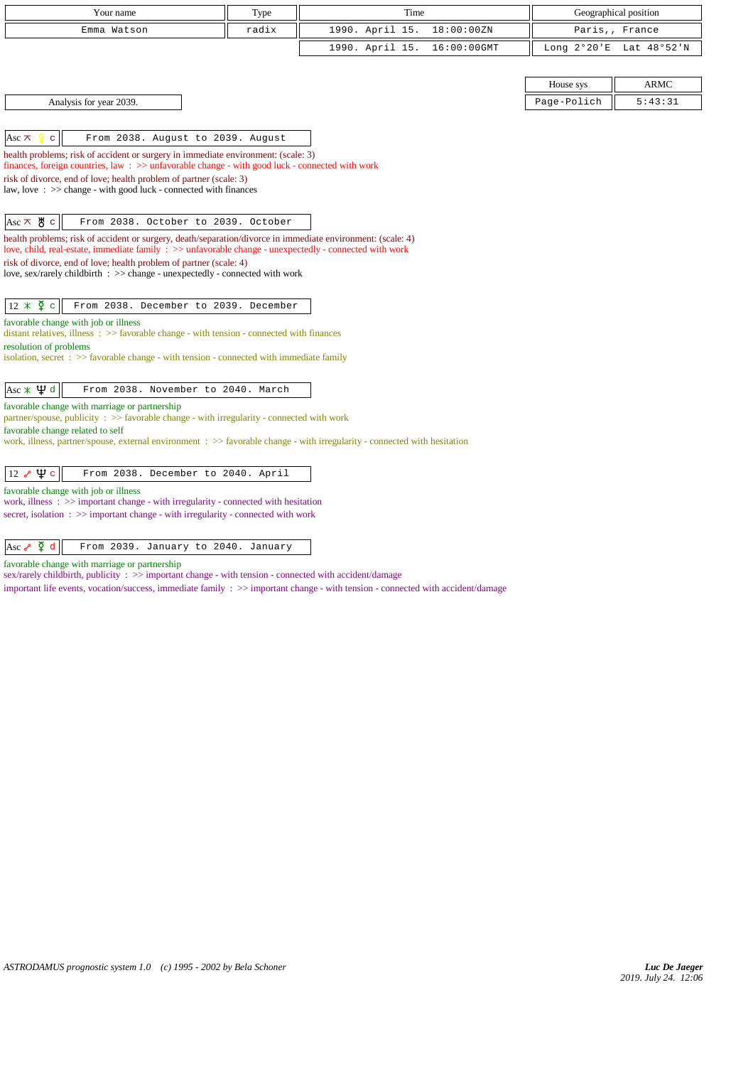| Your name                                                                                                                                                                                                              | Type  | Time            |             |             | Geographical position   |
|------------------------------------------------------------------------------------------------------------------------------------------------------------------------------------------------------------------------|-------|-----------------|-------------|-------------|-------------------------|
| Emma Watson                                                                                                                                                                                                            | radix | 1990. April 15. | 18:00:00ZN  |             | Paris,, France          |
|                                                                                                                                                                                                                        |       | 1990. April 15. | 16:00:00GMT |             | Long 2°20'E Lat 48°52'N |
|                                                                                                                                                                                                                        |       |                 |             |             |                         |
|                                                                                                                                                                                                                        |       |                 |             | House sys   | <b>ARMC</b>             |
| Analysis for year 2039.                                                                                                                                                                                                |       |                 |             | Page-Polich | 5:43:31                 |
|                                                                                                                                                                                                                        |       |                 |             |             |                         |
| From 2038. August to 2039. August<br>Asc $\pi$<br>$\mathbf{C}$                                                                                                                                                         |       |                 |             |             |                         |
| health problems; risk of accident or surgery in immediate environment: (scale: 3)<br>finances, foreign countries, law: >> unfavorable change - with good luck - connected with work                                    |       |                 |             |             |                         |
| risk of divorce, end of love; health problem of partner (scale: 3)                                                                                                                                                     |       |                 |             |             |                         |
| law, love: >> change - with good luck - connected with finances                                                                                                                                                        |       |                 |             |             |                         |
|                                                                                                                                                                                                                        |       |                 |             |             |                         |
| $ $ Asc $\pi$ & c<br>From 2038. October to 2039. October                                                                                                                                                               |       |                 |             |             |                         |
| health problems; risk of accident or surgery, death/separation/divorce in immediate environment: (scale: 4)<br>love, child, real-estate, immediate family : >> unfavorable change - unexpectedly - connected with work |       |                 |             |             |                         |
| risk of divorce, end of love; health problem of partner (scale: 4)                                                                                                                                                     |       |                 |             |             |                         |
| love, sex/rarely childbirth : >> change - unexpectedly - connected with work                                                                                                                                           |       |                 |             |             |                         |
|                                                                                                                                                                                                                        |       |                 |             |             |                         |
| $12 \times \overline{2}$ c<br>From 2038. December to 2039. December                                                                                                                                                    |       |                 |             |             |                         |
| favorable change with job or illness<br>distant relatives, illness $\Rightarrow$ favorable change - with tension - connected with finances                                                                             |       |                 |             |             |                         |
| resolution of problems                                                                                                                                                                                                 |       |                 |             |             |                         |
| isolation, secret $\Rightarrow$ Savorable change - with tension - connected with immediate family                                                                                                                      |       |                 |             |             |                         |
| Asc $\angle$ $\psi$ d<br>From 2038. November to 2040. March                                                                                                                                                            |       |                 |             |             |                         |
| favorable change with marriage or partnership                                                                                                                                                                          |       |                 |             |             |                         |
| partner/spouse, publicity: >> favorable change - with irregularity - connected with work                                                                                                                               |       |                 |             |             |                         |
| favorable change related to self<br>work, illness, partner/spouse, external environment : >> favorable change - with irregularity - connected with hesitation                                                          |       |                 |             |             |                         |
|                                                                                                                                                                                                                        |       |                 |             |             |                         |
| 12 $\sim$ $\uppsi$ c<br>From 2038. December to 2040. April                                                                                                                                                             |       |                 |             |             |                         |
| favorable change with job or illness                                                                                                                                                                                   |       |                 |             |             |                         |
| work, illness $\Rightarrow$ important change - with irregularity - connected with hesitation<br>secret, isolation $\Rightarrow$ >> important change - with irregularity - connected with work                          |       |                 |             |             |                         |

# Asc  $\sqrt{2} d$  From 2039. January to 2040. January

favorable change with marriage or partnership

sex/rarely childbirth, publicity :  $\gg$  important change - with tension - connected with accident/damage

important life events, vocation/success, immediate family : >> important change - with tension - connected with accident/damage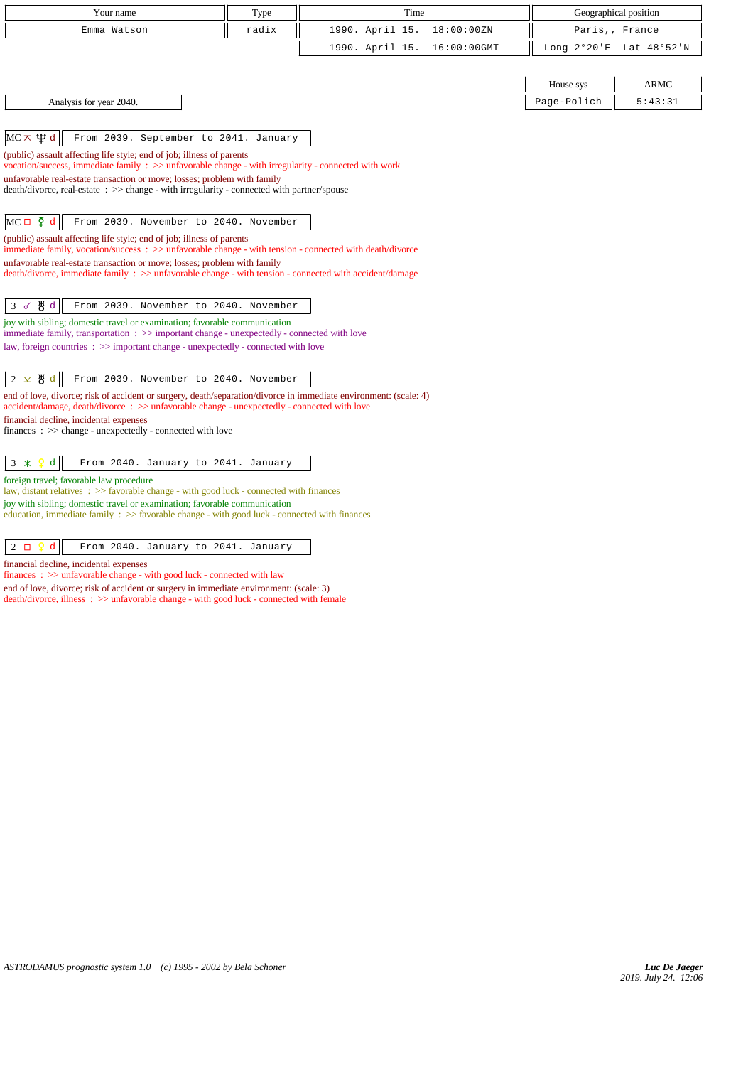| Your name                                                                                                                                                                                                         | Type  | Time                           |             | Geographical position   |
|-------------------------------------------------------------------------------------------------------------------------------------------------------------------------------------------------------------------|-------|--------------------------------|-------------|-------------------------|
| Emma Watson                                                                                                                                                                                                       | radix | 1990. April 15.<br>18:00:00ZN  |             | Paris,, France          |
|                                                                                                                                                                                                                   |       | 1990. April 15.<br>16:00:00GMT |             | Long 2°20'E Lat 48°52'N |
|                                                                                                                                                                                                                   |       |                                |             |                         |
|                                                                                                                                                                                                                   |       |                                | House sys   | <b>ARMC</b>             |
| Analysis for year 2040.                                                                                                                                                                                           |       |                                | Page-Polich | 5:43:31                 |
|                                                                                                                                                                                                                   |       |                                |             |                         |
| МС $\pi$ $\psi$ d<br>From 2039. September to 2041. January                                                                                                                                                        |       |                                |             |                         |
| (public) assault affecting life style; end of job; illness of parents                                                                                                                                             |       |                                |             |                         |
| vocation/success, immediate family : >> unfavorable change - with irregularity - connected with work<br>unfavorable real-estate transaction or move; losses; problem with family                                  |       |                                |             |                         |
| death/divorce, real-estate : >> change - with irregularity - connected with partner/spouse                                                                                                                        |       |                                |             |                         |
|                                                                                                                                                                                                                   |       |                                |             |                         |
| $MC \Box \nabla d$<br>From 2039. November to 2040. November                                                                                                                                                       |       |                                |             |                         |
| (public) assault affecting life style; end of job; illness of parents<br>immediate family, vocation/success: >> unfavorable change - with tension - connected with death/divorce                                  |       |                                |             |                         |
| unfavorable real-estate transaction or move; losses; problem with family                                                                                                                                          |       |                                |             |                         |
| $death/divorce, immediate family : >> unfavorable change - with tension - connected with accident/damage$                                                                                                         |       |                                |             |                         |
|                                                                                                                                                                                                                   |       |                                |             |                         |
| ტ∦ d<br>3d<br>From 2039. November to 2040. November                                                                                                                                                               |       |                                |             |                         |
| joy with sibling; domestic travel or examination; favorable communication<br>immediate family, transportation : >> important change - unexpectedly - connected with love                                          |       |                                |             |                         |
| law, foreign countries : >> important change - unexpectedly - connected with love                                                                                                                                 |       |                                |             |                         |
|                                                                                                                                                                                                                   |       |                                |             |                         |
| $2 \times 8 d$<br>From 2039. November to 2040. November                                                                                                                                                           |       |                                |             |                         |
| end of love, divorce; risk of accident or surgery, death/separation/divorce in immediate environment: (scale: 4)<br>$accident/damage, death/divorce : >> unfavorable change - unexpectedly - connected with love$ |       |                                |             |                         |
| financial decline, incidental expenses                                                                                                                                                                            |       |                                |             |                         |
| $finances : \gg change - unexpectedly - connected with love$                                                                                                                                                      |       |                                |             |                         |
|                                                                                                                                                                                                                   |       |                                |             |                         |
| d<br>3<br>$\boldsymbol{\ast}$<br>From 2040. January to 2041. January                                                                                                                                              |       |                                |             |                         |
| foreign travel; favorable law procedure<br>law, distant relatives $\Rightarrow$ favorable change - with good luck - connected with finances                                                                       |       |                                |             |                         |
| joy with sibling; domestic travel or examination; favorable communication                                                                                                                                         |       |                                |             |                         |
| education, immediate family : >> favorable change - with good luck - connected with finances                                                                                                                      |       |                                |             |                         |
|                                                                                                                                                                                                                   |       |                                |             |                         |
| $2$ $\Box$<br>Q<br>d<br>From 2040. January to 2041. January                                                                                                                                                       |       |                                |             |                         |

financial decline, incidental expenses finances :  $\gg$  unfavorable change - with good luck - connected with law

end of love, divorce; risk of accident or surgery in immediate environment: (scale: 3) death/divorce, illness : >> unfavorable change - with good luck - connected with female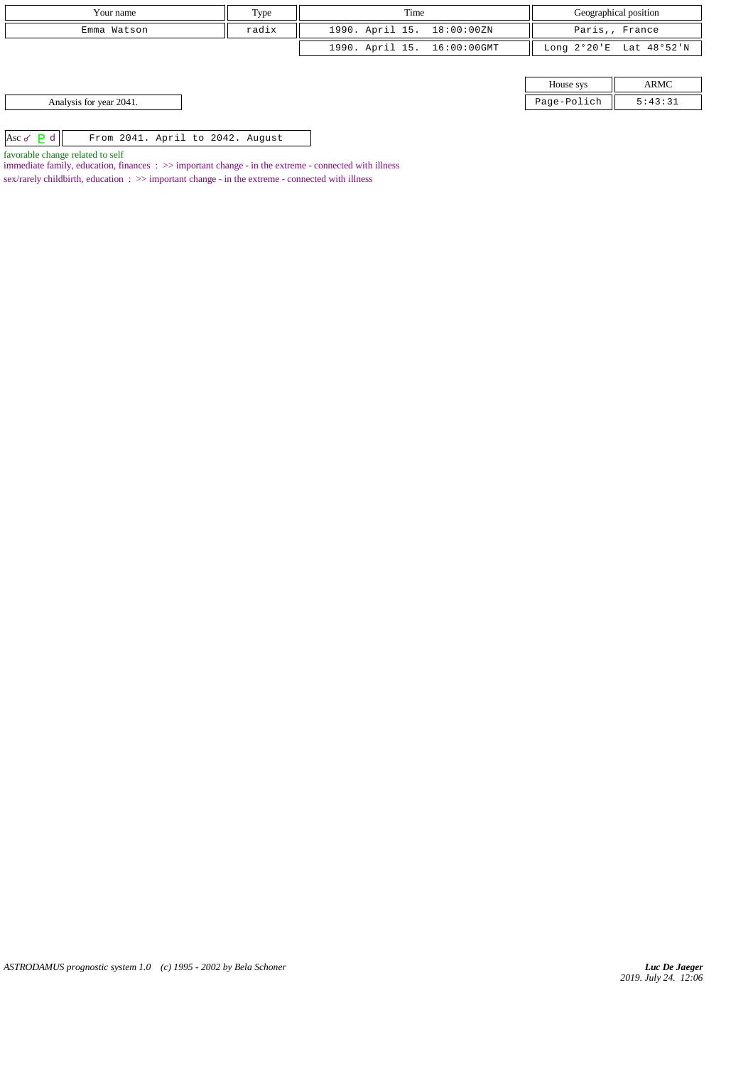| Your name                                            | Type  | Time                        |             | Geographical position   |
|------------------------------------------------------|-------|-----------------------------|-------------|-------------------------|
| Emma Watson                                          | radix | 1990. April 15. 18:00:00ZN  |             | Paris,, France          |
|                                                      |       | 1990. April 15. 16:00:00GMT |             | Long 2°20'E Lat 48°52'N |
|                                                      |       |                             |             |                         |
|                                                      |       |                             | House sys   | ARMC                    |
| Analysis for year 2041.                              |       |                             | Page-Polich | 5:43:31                 |
|                                                      |       |                             |             |                         |
| Asc $\sigma$ P d<br>From 2041. April to 2042. August |       |                             |             |                         |
|                                                      |       |                             |             |                         |

favorable change related to self

immediate family, education, finances :  $\gg$  important change - in the extreme - connected with illness sex/rarely childbirth, education : >> important change - in the extreme - connected with illness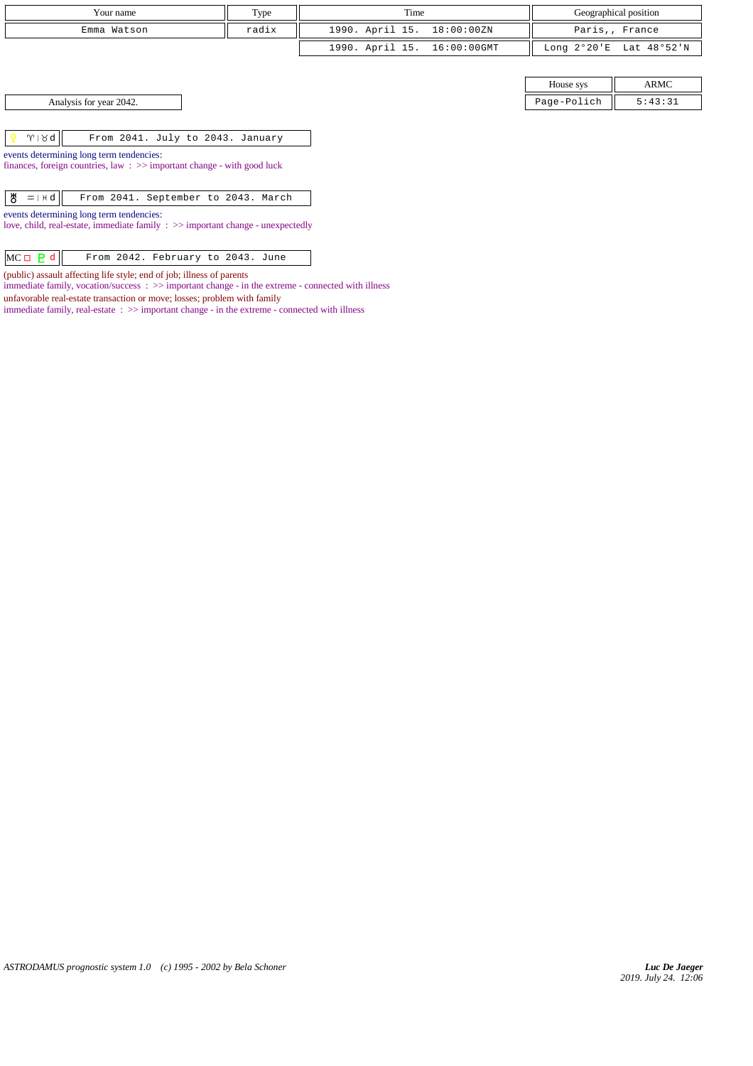| Your name   | Type  | Time                        | Geographical position   |
|-------------|-------|-----------------------------|-------------------------|
| Emma Watson | radix | 1990. April 15. 18:00:00ZN  | Paris,, France          |
|             |       | 1990. April 15. 16:00:00GMT | Long 2°20'E Lat 48°52'N |

House sys ARMC Analysis for year 2042. 2013 and the state of the state of the state of the state of the state of the state of the state of the state of the state of the state of the state of the state of the state of the state of the sta

 $\gamma$  |  $\gamma$  |  $\gamma$  |  $\gamma$  |  $\gamma$  |  $\gamma$  |  $\gamma$  |  $\gamma$  |  $\gamma$  |  $\gamma$  |  $\gamma$  |  $\gamma$  |  $\gamma$  |  $\gamma$  |  $\gamma$  |  $\gamma$  |  $\gamma$  |  $\gamma$  |  $\gamma$  |  $\gamma$  |  $\gamma$  |  $\gamma$  |  $\gamma$  |  $\gamma$  |  $\gamma$  |  $\gamma$  |  $\gamma$  |  $\gamma$  |  $\gamma$  |  $\gamma$  |  $\gamma$  |  $\gamma$ 

events determining long term tendencies: finances, foreign countries, law : >> important change - with good luck

 $\begin{array}{|c|c|c|c|c|}\n\hline \mathbf{g} & \mathbf{m} & \mathbf{p} & \mathbf{d} & \mathbf{d} & \mathbf{d} & \mathbf{d} \\
\hline \end{array}$  From 2041. September to 2043. March

events determining long term tendencies:

love, child, real-estate, immediate family : >> important change - unexpectedly

 $MC \Box$   $\partial$  d From 2042. February to 2043. June

(public) assault affecting life style; end of job; illness of parents

immediate family, vocation/success : >> important change - in the extreme - connected with illness

unfavorable real-estate transaction or move; losses; problem with family

 $\;$  immediate family, real-estate  $\; : >>$  important change - in the extreme - connected with illness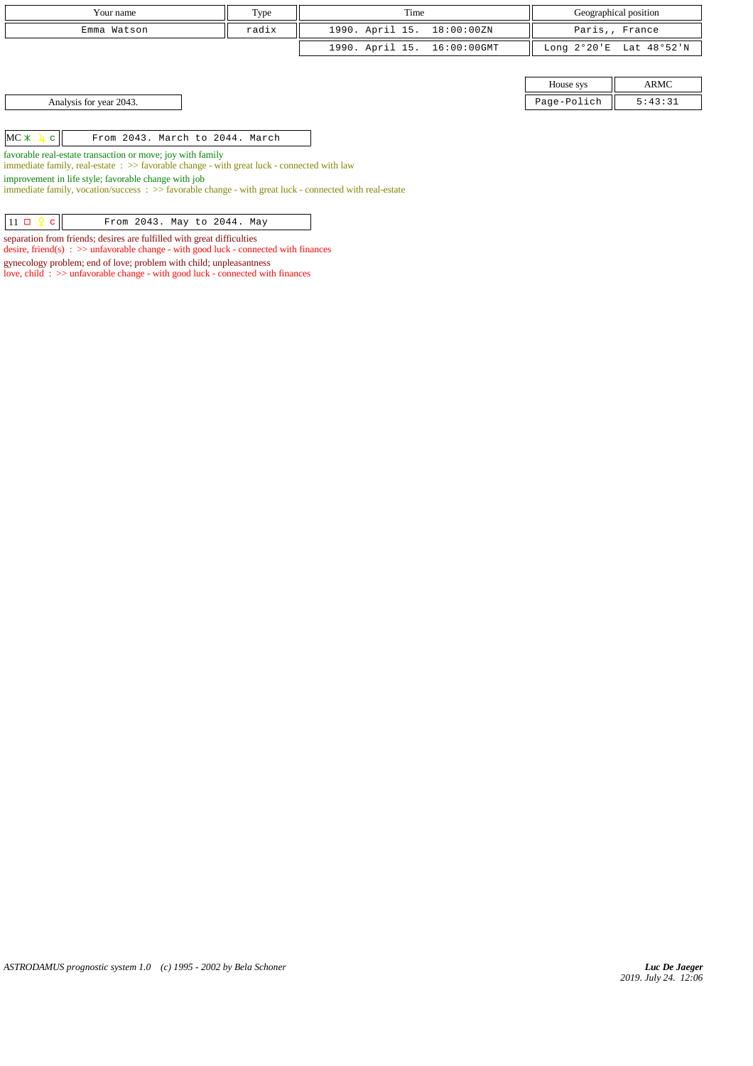| Type                                                                                                                                                                                                                      | Time                        |             | Geographical position   |
|---------------------------------------------------------------------------------------------------------------------------------------------------------------------------------------------------------------------------|-----------------------------|-------------|-------------------------|
| radix                                                                                                                                                                                                                     | 1990. April 15. 18:00:00ZN  |             | Paris,, France          |
|                                                                                                                                                                                                                           | 1990. April 15. 16:00:00GMT |             | Long 2°20'E Lat 48°52'N |
|                                                                                                                                                                                                                           |                             |             |                         |
|                                                                                                                                                                                                                           |                             | House sys   | ARMC                    |
|                                                                                                                                                                                                                           |                             | Page-Polich | 5:43:31                 |
|                                                                                                                                                                                                                           |                             |             |                         |
| From 2043. March to 2044. March                                                                                                                                                                                           |                             |             |                         |
| favorable real-estate transaction or move; joy with family<br>immediate family, real-estate $\Rightarrow$ favorable change - with great luck - connected with law<br>improvement in life style; favorable change with job |                             |             |                         |
|                                                                                                                                                                                                                           |                             |             |                         |

immediate family, vocation/success : >> favorable change - with great luck - connected with real-estate

|  | $11 \Box 2 c$ |  |  |  |  | From 2043. May to 2044. May |  |  |
|--|---------------|--|--|--|--|-----------------------------|--|--|
|--|---------------|--|--|--|--|-----------------------------|--|--|

separation from friends; desires are fulfilled with great difficulties

desire, friend(s) : >> unfavorable change - with good luck - connected with finances

gynecology problem; end of love; problem with child; unpleasantness

love, child : >> unfavorable change - with good luck - connected with finances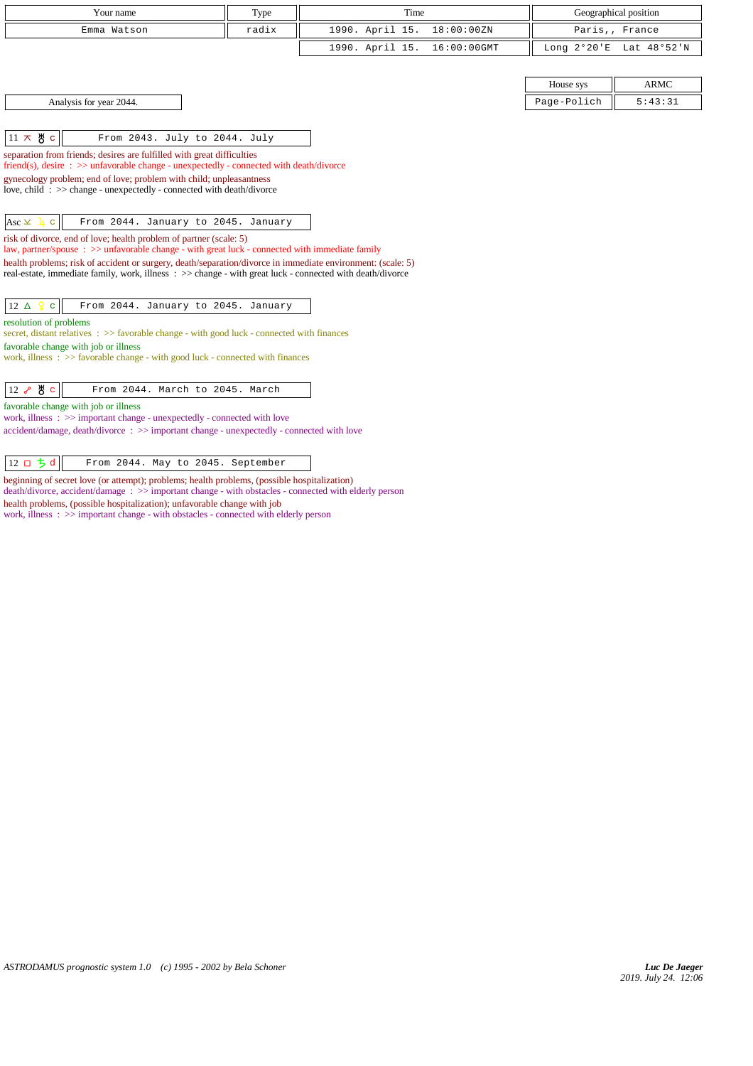| Your name                                                                                                                                                                                                                | Type  | Time                           |             | Geographical position   |
|--------------------------------------------------------------------------------------------------------------------------------------------------------------------------------------------------------------------------|-------|--------------------------------|-------------|-------------------------|
| Emma Watson                                                                                                                                                                                                              | radix | 1990. April 15.<br>18:00:00ZN  |             | Paris,, France          |
|                                                                                                                                                                                                                          |       | 1990. April 15.<br>16:00:00GMT |             | Long 2°20'E Lat 48°52'N |
|                                                                                                                                                                                                                          |       |                                |             |                         |
|                                                                                                                                                                                                                          |       |                                | House sys   | <b>ARMC</b>             |
| Analysis for year 2044.                                                                                                                                                                                                  |       |                                | Page-Polich | 5:43:31                 |
|                                                                                                                                                                                                                          |       |                                |             |                         |
| $11 \times 8$ c<br>From 2043. July to 2044. July                                                                                                                                                                         |       |                                |             |                         |
| separation from friends; desires are fulfilled with great difficulties<br>friend(s), desire $\Rightarrow$ >> unfavorable change - unexpectedly - connected with death/divorce                                            |       |                                |             |                         |
| gynecology problem; end of love; problem with child; unpleasantness                                                                                                                                                      |       |                                |             |                         |
| love, child: $\gg$ change - unexpectedly - connected with death/divorce                                                                                                                                                  |       |                                |             |                         |
|                                                                                                                                                                                                                          |       |                                |             |                         |
| From 2044. January to 2045. January<br>$Asc \times \mathbf{1}$ c<br>risk of divorce, end of love; health problem of partner (scale: 5)                                                                                   |       |                                |             |                         |
| law, partner/spouse : >> unfavorable change - with great luck - connected with immediate family                                                                                                                          |       |                                |             |                         |
| health problems; risk of accident or surgery, death/separation/divorce in immediate environment: (scale: 5)<br>real-estate, immediate family, work, illness : >> change - with great luck - connected with death/divorce |       |                                |             |                         |
|                                                                                                                                                                                                                          |       |                                |             |                         |
| 12 $\Delta$<br>From 2044. January to 2045. January<br>$\mathbf{C}$                                                                                                                                                       |       |                                |             |                         |
| resolution of problems                                                                                                                                                                                                   |       |                                |             |                         |
| secret, distant relatives : >> favorable change - with good luck - connected with finances<br>favorable change with job or illness                                                                                       |       |                                |             |                         |
| work, illness $\Rightarrow$ Savorable change - with good luck - connected with finances                                                                                                                                  |       |                                |             |                         |
|                                                                                                                                                                                                                          |       |                                |             |                         |
| Ж∖с<br>$12\sigma$<br>From 2044. March to 2045. March                                                                                                                                                                     |       |                                |             |                         |
| favorable change with job or illness<br>work, illness $\Rightarrow$ important change - unexpectedly - connected with love                                                                                                |       |                                |             |                         |
| $accident/damage$ , $death/divorce$ : $\gg$ important change - unexpectedly - connected with love                                                                                                                        |       |                                |             |                         |
|                                                                                                                                                                                                                          |       |                                |             |                         |
| $12$ ロ ち d<br>From 2044. May to 2045. September                                                                                                                                                                          |       |                                |             |                         |

beginning of secret love (or attempt); problems; health problems, (possible hospitalization) death/divorce, accident/damage : >> important change - with obstacles - connected with elderly person health problems, (possible hospitalization); unfavorable change with job

work, illness :  $\gg$  important change - with obstacles - connected with elderly person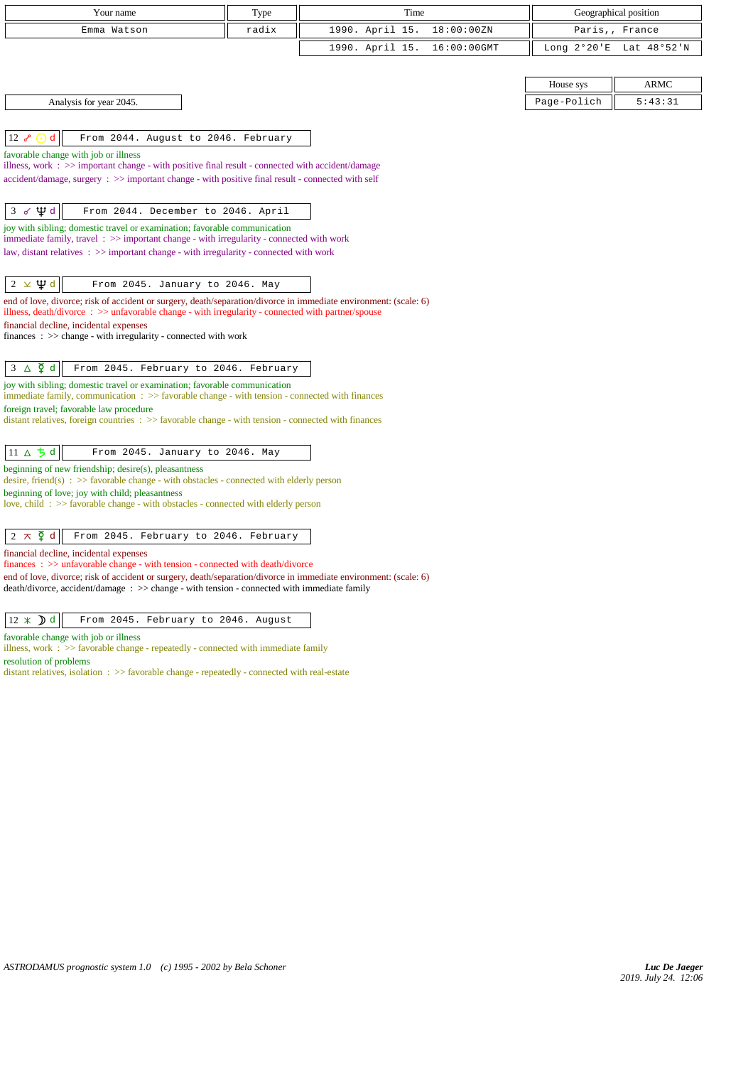| Your name                                                                                                                                                                                                      | Type  | Time            |             |             | Geographical position   |
|----------------------------------------------------------------------------------------------------------------------------------------------------------------------------------------------------------------|-------|-----------------|-------------|-------------|-------------------------|
| Emma Watson                                                                                                                                                                                                    | radix | 1990. April 15. | 18:00:00ZN  |             | Paris,, France          |
|                                                                                                                                                                                                                |       | 1990. April 15. | 16:00:00GMT |             | Long 2°20'E Lat 48°52'N |
|                                                                                                                                                                                                                |       |                 |             |             |                         |
|                                                                                                                                                                                                                |       |                 |             | House sys   | <b>ARMC</b>             |
| Analysis for year 2045.                                                                                                                                                                                        |       |                 |             | Page-Polich | 5:43:31                 |
|                                                                                                                                                                                                                |       |                 |             |             |                         |
| $12\sigma$<br>d<br>From 2044. August to 2046. February                                                                                                                                                         |       |                 |             |             |                         |
| favorable change with job or illness                                                                                                                                                                           |       |                 |             |             |                         |
| illness, work : $\gg$ important change - with positive final result - connected with accident/damage<br>accident/damage, surgery : >> important change - with positive final result - connected with self      |       |                 |             |             |                         |
|                                                                                                                                                                                                                |       |                 |             |             |                         |
| Ф₫<br>3 <sub>0</sub><br>From 2044. December to 2046. April                                                                                                                                                     |       |                 |             |             |                         |
| joy with sibling; domestic travel or examination; favorable communication                                                                                                                                      |       |                 |             |             |                         |
| immediate family, travel: >> important change - with irregularity - connected with work<br>law, distant relatives $\Rightarrow$ important change - with irregularity - connected with work                     |       |                 |             |             |                         |
|                                                                                                                                                                                                                |       |                 |             |             |                         |
| $2 \times \Psi d$<br>From 2045. January to 2046. May                                                                                                                                                           |       |                 |             |             |                         |
| end of love, divorce; risk of accident or surgery, death/separation/divorce in immediate environment: (scale: 6)                                                                                               |       |                 |             |             |                         |
| illness, death/divorce $\Rightarrow$ > unfavorable change - with irregularity - connected with partner/spouse<br>financial decline, incidental expenses                                                        |       |                 |             |             |                         |
| finances : $\gg$ change - with irregularity - connected with work                                                                                                                                              |       |                 |             |             |                         |
|                                                                                                                                                                                                                |       |                 |             |             |                         |
| $3 \Delta \n\Phi d$<br>From 2045. February to 2046. February                                                                                                                                                   |       |                 |             |             |                         |
| joy with sibling; domestic travel or examination; favorable communication<br>immediate family, communication $\Rightarrow$ Savorable change - with tension - connected with finances                           |       |                 |             |             |                         |
| foreign travel; favorable law procedure                                                                                                                                                                        |       |                 |             |             |                         |
| distant relatives, foreign countries $\Rightarrow$ > favorable change - with tension - connected with finances                                                                                                 |       |                 |             |             |                         |
|                                                                                                                                                                                                                |       |                 |             |             |                         |
| 11 $\triangle$ $\frac{1}{2}$ d<br>From 2045. January to 2046. May                                                                                                                                              |       |                 |             |             |                         |
| beginning of new friendship; desire(s), pleasantness<br>desire, friend(s) : $\gg$ favorable change - with obstacles - connected with elderly person                                                            |       |                 |             |             |                         |
| beginning of love; joy with child; pleasantness                                                                                                                                                                |       |                 |             |             |                         |
| love, child: >> favorable change - with obstacles - connected with elderly person                                                                                                                              |       |                 |             |             |                         |
| $\zeta$ d<br>From 2045. February to 2046. February<br>$2 \pi$                                                                                                                                                  |       |                 |             |             |                         |
| financial decline, incidental expenses                                                                                                                                                                         |       |                 |             |             |                         |
| $finances: >> unfavorable change - with tension - connected with death/divorce$                                                                                                                                |       |                 |             |             |                         |
| end of love, divorce; risk of accident or surgery, death/separation/divorce in immediate environment: (scale: 6)<br>death/divorce, accident/damage: >> change - with tension - connected with immediate family |       |                 |             |             |                         |
|                                                                                                                                                                                                                |       |                 |             |             |                         |
| $12 \times D d$<br>From 2045. February to 2046. August                                                                                                                                                         |       |                 |             |             |                         |

favorable change with job or illness

illness, work : >> favorable change - repeatedly - connected with immediate family resolution of problems

distant relatives, isolation : >> favorable change - repeatedly - connected with real-estate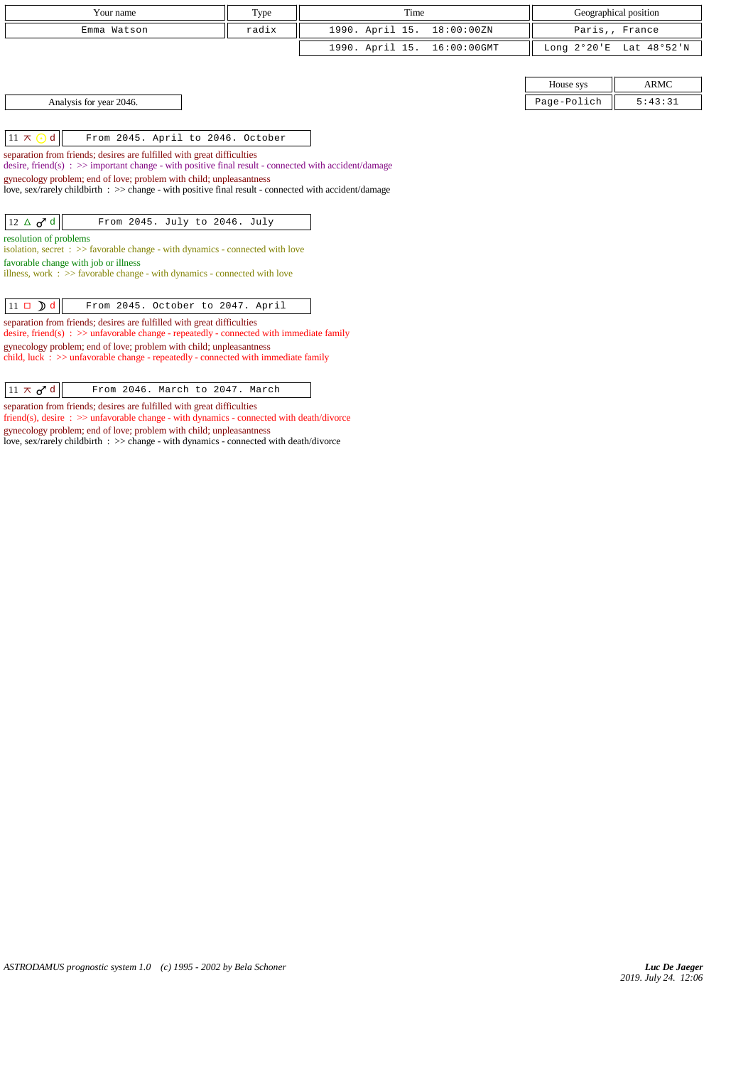| Your name   | Type  | Time                        | Geographical position   |
|-------------|-------|-----------------------------|-------------------------|
| Emma Watson | radix | 1990. April 15. 18:00:00ZN  | Paris,, France          |
|             |       | 1990. April 15. 16:00:00GMT | Long 2°20'E Lat 48°52'N |

| Analysis for year 2046. |
|-------------------------|
|                         |

 $\lVert 11 \times \odot d \rVert$  From 2045. April to 2046. October

separation from friends; desires are fulfilled with great difficulties

desire, friend(s) :  $\gg$  important change - with positive final result - connected with accident/damage

gynecology problem; end of love; problem with child; unpleasantness

love, sex/rarely childbirth :  $\gg$  change - with positive final result - connected with accident/damage

 $\boxed{12 \Delta \sigma^2 d}$  From 2045. July to 2046. July

resolution of problems

isolation, secret :  $\gg$  favorable change - with dynamics - connected with love favorable change with job or illness

illness, work : >> favorable change - with dynamics - connected with love

separation from friends; desires are fulfilled with great difficulties desire, friend(s) :  $\gg$  unfavorable change - repeatedly - connected with immediate family gynecology problem; end of love; problem with child; unpleasantness child, luck : >> unfavorable change - repeatedly - connected with immediate family

 $\boxed{11 \times \sigma^2}$  d From 2046. March to 2047. March

separation from friends; desires are fulfilled with great difficulties

friend(s), desire : >> unfavorable change - with dynamics - connected with death/divorce gynecology problem; end of love; problem with child; unpleasantness

love, sex/rarely childbirth : >> change - with dynamics - connected with death/divorce

|                            | House sys                      | <b>ARMC</b> |
|----------------------------|--------------------------------|-------------|
| 2046.<br>Analysis for year | Page-Pol<br>$\sim$ $\sim$<br>. | $\cdot$ .   |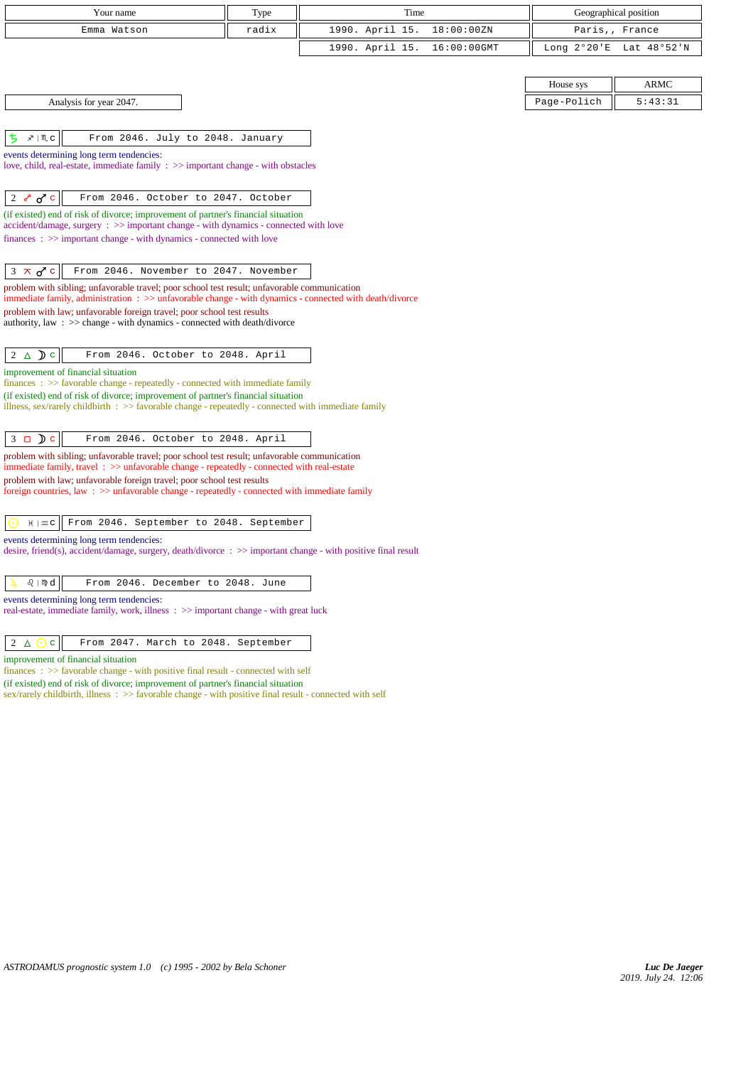| Your name                                                                                                                                                                                               | Type  | Time            |             | Geographical position |                         |  |
|---------------------------------------------------------------------------------------------------------------------------------------------------------------------------------------------------------|-------|-----------------|-------------|-----------------------|-------------------------|--|
| Emma Watson                                                                                                                                                                                             | radix | 1990. April 15. | 18:00:00ZN  | Paris,, France        |                         |  |
|                                                                                                                                                                                                         |       | 1990. April 15. | 16:00:00GMT |                       | Long 2°20'E Lat 48°52'N |  |
|                                                                                                                                                                                                         |       |                 |             |                       |                         |  |
|                                                                                                                                                                                                         |       |                 |             | House sys             | ARMC                    |  |
| Analysis for year 2047.                                                                                                                                                                                 |       |                 |             | Page-Polich           | 5:43:31                 |  |
|                                                                                                                                                                                                         |       |                 |             |                       |                         |  |
| ち<br>$x \mid M$ c<br>From 2046. July to 2048. January                                                                                                                                                   |       |                 |             |                       |                         |  |
| events determining long term tendencies:                                                                                                                                                                |       |                 |             |                       |                         |  |
| love, child, real-estate, immediate family $\Rightarrow$ important change - with obstacles                                                                                                              |       |                 |             |                       |                         |  |
| 2 $\delta$ $\sigma$ c<br>From 2046. October to 2047. October                                                                                                                                            |       |                 |             |                       |                         |  |
| (if existed) end of risk of divorce; improvement of partner's financial situation                                                                                                                       |       |                 |             |                       |                         |  |
| accident/damage, surgery : >> important change - with dynamics - connected with love                                                                                                                    |       |                 |             |                       |                         |  |
| $finances : \gg important change - with dynamics - connected with love$                                                                                                                                 |       |                 |             |                       |                         |  |
|                                                                                                                                                                                                         |       |                 |             |                       |                         |  |
| $3 \times d$ c<br>From 2046. November to 2047. November                                                                                                                                                 |       |                 |             |                       |                         |  |
| problem with sibling; unfavorable travel; poor school test result; unfavorable communication<br>immediate family, administration : >> unfavorable change - with dynamics - connected with death/divorce |       |                 |             |                       |                         |  |
| problem with law; unfavorable foreign travel; poor school test results                                                                                                                                  |       |                 |             |                       |                         |  |
| authority, law : $\gg$ change - with dynamics - connected with death/divorce                                                                                                                            |       |                 |             |                       |                         |  |
| From 2046. October to 2048. April<br>$2 \triangle$ D c                                                                                                                                                  |       |                 |             |                       |                         |  |
| improvement of financial situation<br>finances : >> favorable change - repeatedly - connected with immediate family                                                                                     |       |                 |             |                       |                         |  |
| (if existed) end of risk of divorce; improvement of partner's financial situation                                                                                                                       |       |                 |             |                       |                         |  |
| illness, sex/rarely childbirth : >> favorable change - repeatedly - connected with immediate family                                                                                                     |       |                 |             |                       |                         |  |
| $3 \Box$ D c<br>From 2046. October to 2048. April                                                                                                                                                       |       |                 |             |                       |                         |  |
| problem with sibling; unfavorable travel; poor school test result; unfavorable communication                                                                                                            |       |                 |             |                       |                         |  |
| immediate family, travel $\therefore$ > unfavorable change - repeatedly - connected with real-estate                                                                                                    |       |                 |             |                       |                         |  |
| problem with law; unfavorable foreign travel; poor school test results<br>foreign countries, law: >> unfavorable change - repeatedly - connected with immediate family                                  |       |                 |             |                       |                         |  |
|                                                                                                                                                                                                         |       |                 |             |                       |                         |  |
| $H \mid \mathfrak{m} \subset$<br>From 2046. September to 2048. September                                                                                                                                |       |                 |             |                       |                         |  |
| events determining long term tendencies:                                                                                                                                                                |       |                 |             |                       |                         |  |
| desire, friend(s), accident/damage, surgery, death/divorce : $\gg$ important change - with positive final result                                                                                        |       |                 |             |                       |                         |  |
| From 2046. December to 2048. June<br>$\Omega$   mp $d$                                                                                                                                                  |       |                 |             |                       |                         |  |
| events determining long term tendencies:                                                                                                                                                                |       |                 |             |                       |                         |  |
| real-estate, immediate family, work, illness : >> important change - with great luck                                                                                                                    |       |                 |             |                       |                         |  |
|                                                                                                                                                                                                         |       |                 |             |                       |                         |  |
| 2<br>From 2047. March to 2048. September<br>$\Delta$ $\odot$ c                                                                                                                                          |       |                 |             |                       |                         |  |
| improvement of financial situation                                                                                                                                                                      |       |                 |             |                       |                         |  |

finances :  $\gg$  favorable change - with positive final result - connected with self (if existed) end of risk of divorce; improvement of partner's financial situation

sex/rarely childbirth, illness : >> favorable change - with positive final result - connected with self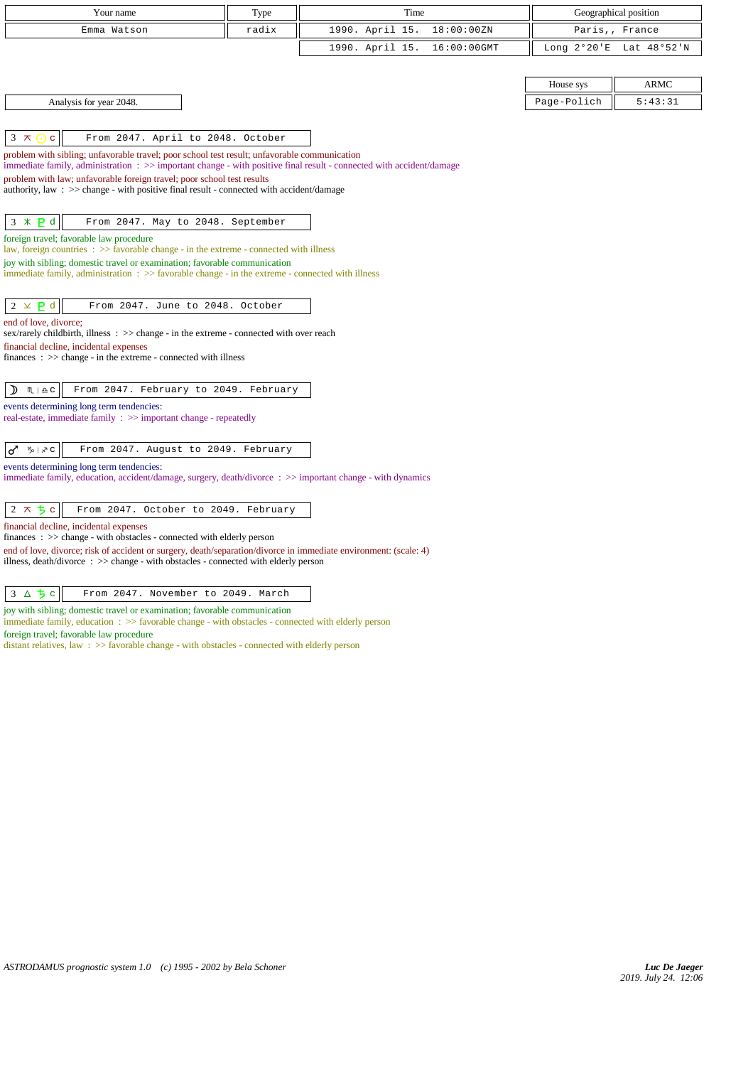| Your name                                                                                                                                                                                                            |  | Time            |             | Geographical position |                         |  |
|----------------------------------------------------------------------------------------------------------------------------------------------------------------------------------------------------------------------|--|-----------------|-------------|-----------------------|-------------------------|--|
| radix<br>Emma Watson                                                                                                                                                                                                 |  | 1990. April 15. | 18:00:00ZN  | Paris,, France        |                         |  |
|                                                                                                                                                                                                                      |  | 1990. April 15. | 16:00:00GMT |                       | Long 2°20'E Lat 48°52'N |  |
|                                                                                                                                                                                                                      |  |                 |             |                       |                         |  |
|                                                                                                                                                                                                                      |  |                 |             | House sys             | <b>ARMC</b>             |  |
| Analysis for year 2048.                                                                                                                                                                                              |  |                 |             | Page-Polich           | 5:43:31                 |  |
|                                                                                                                                                                                                                      |  |                 |             |                       |                         |  |
| $3 \times$<br>From 2047. April to 2048. October<br>$\mathbf{C}$<br>$(\cdot)$                                                                                                                                         |  |                 |             |                       |                         |  |
| problem with sibling; unfavorable travel; poor school test result; unfavorable communication<br>immediate family, administration : >> important change - with positive final result - connected with accident/damage |  |                 |             |                       |                         |  |
| problem with law; unfavorable foreign travel; poor school test results                                                                                                                                               |  |                 |             |                       |                         |  |
| authority, law: >> change - with positive final result - connected with accident/damage                                                                                                                              |  |                 |             |                       |                         |  |
| $3 * P d$<br>From 2047. May to 2048. September                                                                                                                                                                       |  |                 |             |                       |                         |  |
| foreign travel; favorable law procedure                                                                                                                                                                              |  |                 |             |                       |                         |  |
| law, foreign countries : >> favorable change - in the extreme - connected with illness                                                                                                                               |  |                 |             |                       |                         |  |
| joy with sibling; domestic travel or examination; favorable communication<br>immediate family, administration : >> favorable change - in the extreme - connected with illness                                        |  |                 |             |                       |                         |  |
|                                                                                                                                                                                                                      |  |                 |             |                       |                         |  |
| $2 \times P d$<br>From 2047. June to 2048. October                                                                                                                                                                   |  |                 |             |                       |                         |  |
| end of love, divorce;                                                                                                                                                                                                |  |                 |             |                       |                         |  |
| sex/rarely childbirth, illness $\therefore$ $\geq$ change - in the extreme - connected with over reach<br>financial decline, incidental expenses                                                                     |  |                 |             |                       |                         |  |
| $finances : \gg change - in the extreme - connected with illness$                                                                                                                                                    |  |                 |             |                       |                         |  |
|                                                                                                                                                                                                                      |  |                 |             |                       |                         |  |
| From 2047. February to 2049. February<br>$\mathcal{D}$<br>$M \rvert \triangleq C$                                                                                                                                    |  |                 |             |                       |                         |  |
| events determining long term tendencies:<br>real-estate, immediate family : >> important change - repeatedly                                                                                                         |  |                 |             |                       |                         |  |
|                                                                                                                                                                                                                      |  |                 |             |                       |                         |  |
| $\sigma$ $\sqrt[n]{x}$ $\sqrt[n]{x}$<br>From 2047. August to 2049. February                                                                                                                                          |  |                 |             |                       |                         |  |
| events determining long term tendencies:<br>immediate family, education, accident/damage, surgery, death/divorce: >> important change - with dynamics                                                                |  |                 |             |                       |                         |  |
|                                                                                                                                                                                                                      |  |                 |             |                       |                         |  |
| $2 \times 5c$<br>From 2047. October to 2049. February                                                                                                                                                                |  |                 |             |                       |                         |  |
| financial decline, incidental expenses                                                                                                                                                                               |  |                 |             |                       |                         |  |
| $finances : \gg change - with obstacles - connected with elderly person$<br>end of love, divorce; risk of accident or surgery, death/separation/divorce in immediate environment: (scale: 4)                         |  |                 |             |                       |                         |  |
| illness, death/divorce: >> change - with obstacles - connected with elderly person                                                                                                                                   |  |                 |             |                       |                         |  |
|                                                                                                                                                                                                                      |  |                 |             |                       |                         |  |

 $3 \Delta 5 c$  From 2047. November to 2049. March

joy with sibling; domestic travel or examination; favorable communication

immediate family, education :  $>$  favorable change - with obstacles - connected with elderly person

foreign travel; favorable law procedure

distant relatives, law : >> favorable change - with obstacles - connected with elderly person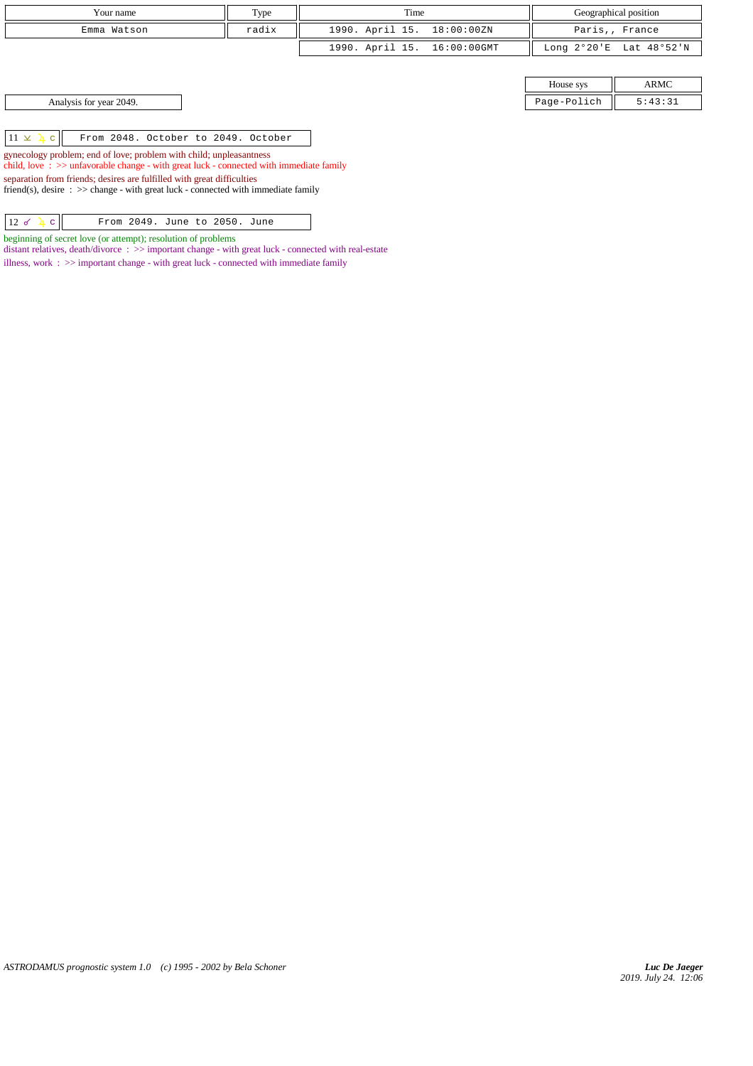| Your name               | Type  | Time                        | Geographical position |                         |
|-------------------------|-------|-----------------------------|-----------------------|-------------------------|
| Emma Watson             | radix | 1990. April 15. 18:00:00ZN  | Paris,, France        |                         |
|                         |       | 1990. April 15. 16:00:00GMT |                       | Long 2°20'E Lat 48°52'N |
|                         |       |                             |                       |                         |
|                         |       |                             | House sys             | ARMC                    |
| Analysis for year 2049. |       |                             | Page-Polich           | 5:43:31                 |

 $11 \times 1 c$  From 2048. October to 2049. October

gynecology problem; end of love; problem with child; unpleasantness child, love : >> unfavorable change - with great luck - connected with immediate family

separation from friends; desires are fulfilled with great difficulties

friend(s), desire :  $\gg$  change - with great luck - connected with immediate family

|--|

beginning of secret love (or attempt); resolution of problems distant relatives, death/divorce : >> important change - with great luck - connected with real-estate illness, work :  $\gg$  important change - with great luck - connected with immediate family